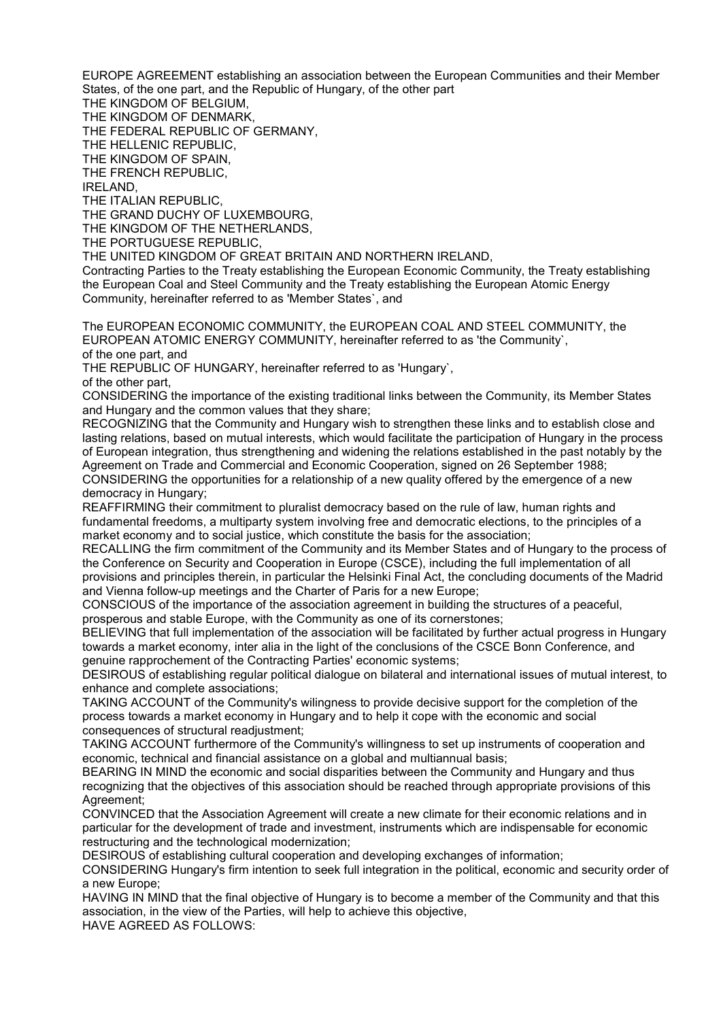EUROPE AGREEMENT establishing an association between the European Communities and their Member States, of the one part, and the Republic of Hungary, of the other part

THE KINGDOM OF BELGIUM,

THE KINGDOM OF DENMARK,

THE FEDERAL REPUBLIC OF GERMANY,

THE HELLENIC REPUBLIC,

THE KINGDOM OF SPAIN, THE FRENCH REPUBLIC,

IRELAND,

THE ITALIAN REPUBLIC,

THE GRAND DUCHY OF LUXEMBOURG,

THE KINGDOM OF THE NETHERLANDS,

THE PORTUGUESE REPUBLIC,

THE UNITED KINGDOM OF GREAT BRITAIN AND NORTHERN IRELAND,

Contracting Parties to the Treaty establishing the European Economic Community, the Treaty establishing the European Coal and Steel Community and the Treaty establishing the European Atomic Energy Community, hereinafter referred to as 'Member States`, and

The EUROPEAN ECONOMIC COMMUNITY, the EUROPEAN COAL AND STEEL COMMUNITY, the EUROPEAN ATOMIC ENERGY COMMUNITY, hereinafter referred to as 'the Community`, of the one part, and

THE REPUBLIC OF HUNGARY, hereinafter referred to as 'Hungary`,

of the other part,

CONSIDERING the importance of the existing traditional links between the Community, its Member States and Hungary and the common values that they share;

RECOGNIZING that the Community and Hungary wish to strengthen these links and to establish close and lasting relations, based on mutual interests, which would facilitate the participation of Hungary in the process of European integration, thus strengthening and widening the relations established in the past notably by the Agreement on Trade and Commercial and Economic Cooperation, signed on 26 September 1988;

CONSIDERING the opportunities for a relationship of a new quality offered by the emergence of a new democracy in Hungary;

REAFFIRMING their commitment to pluralist democracy based on the rule of law, human rights and fundamental freedoms, a multiparty system involving free and democratic elections, to the principles of a market economy and to social justice, which constitute the basis for the association;

RECALLING the firm commitment of the Community and its Member States and of Hungary to the process of the Conference on Security and Cooperation in Europe (CSCE), including the full implementation of all provisions and principles therein, in particular the Helsinki Final Act, the concluding documents of the Madrid and Vienna follow-up meetings and the Charter of Paris for a new Europe;

CONSCIOUS of the importance of the association agreement in building the structures of a peaceful, prosperous and stable Europe, with the Community as one of its cornerstones;

BELIEVING that full implementation of the association will be facilitated by further actual progress in Hungary towards a market economy, inter alia in the light of the conclusions of the CSCE Bonn Conference, and genuine rapprochement of the Contracting Parties' economic systems;

DESIROUS of establishing regular political dialogue on bilateral and international issues of mutual interest, to enhance and complete associations;

TAKING ACCOUNT of the Community's wilingness to provide decisive support for the completion of the process towards a market economy in Hungary and to help it cope with the economic and social consequences of structural readjustment;

TAKING ACCOUNT furthermore of the Community's willingness to set up instruments of cooperation and economic, technical and financial assistance on a global and multiannual basis;

BEARING IN MIND the economic and social disparities between the Community and Hungary and thus recognizing that the objectives of this association should be reached through appropriate provisions of this Agreement;

CONVINCED that the Association Agreement will create a new climate for their economic relations and in particular for the development of trade and investment, instruments which are indispensable for economic restructuring and the technological modernization;

DESIROUS of establishing cultural cooperation and developing exchanges of information;

CONSIDERING Hungary's firm intention to seek full integration in the political, economic and security order of a new Europe;

HAVING IN MIND that the final objective of Hungary is to become a member of the Community and that this association, in the view of the Parties, will help to achieve this objective,

HAVE AGREED AS FOLLOWS: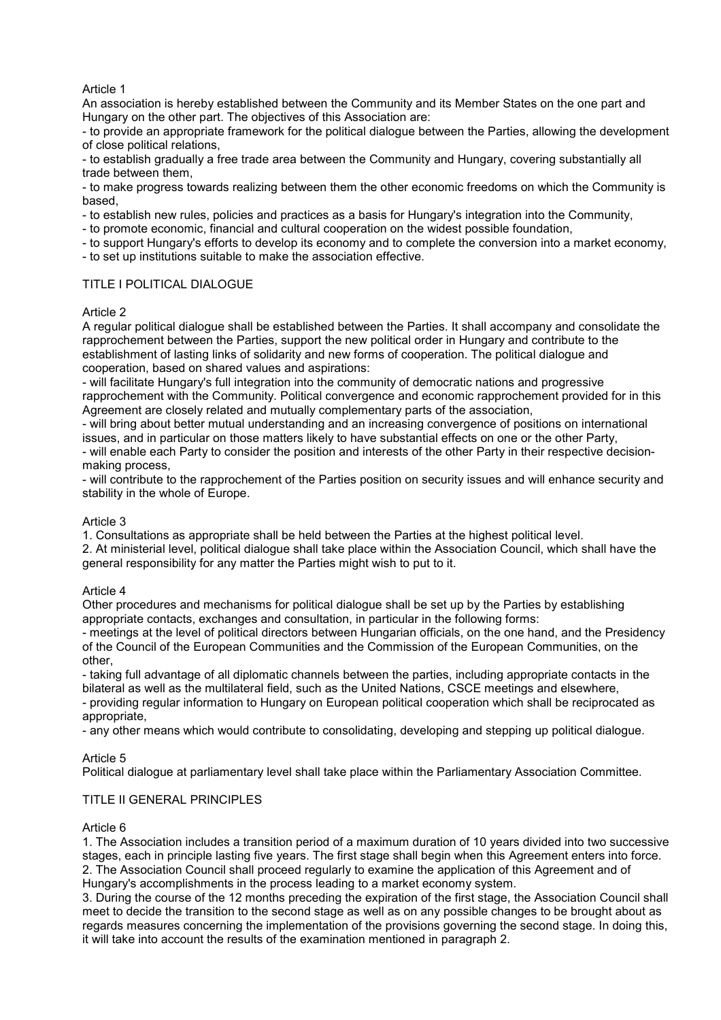# Article 1

An association is hereby established between the Community and its Member States on the one part and Hungary on the other part. The objectives of this Association are:

- to provide an appropriate framework for the political dialogue between the Parties, allowing the development of close political relations,

- to establish gradually a free trade area between the Community and Hungary, covering substantially all trade between them,

- to make progress towards realizing between them the other economic freedoms on which the Community is based,

- to establish new rules, policies and practices as a basis for Hungary's integration into the Community,

- to promote economic, financial and cultural cooperation on the widest possible foundation,

- to support Hungary's efforts to develop its economy and to complete the conversion into a market economy, - to set up institutions suitable to make the association effective.

# TITLE I POLITICAL DIALOGUE

### Article 2

A regular political dialogue shall be established between the Parties. It shall accompany and consolidate the rapprochement between the Parties, support the new political order in Hungary and contribute to the establishment of lasting links of solidarity and new forms of cooperation. The political dialogue and cooperation, based on shared values and aspirations:

- will facilitate Hungary's full integration into the community of democratic nations and progressive rapprochement with the Community. Political convergence and economic rapprochement provided for in this Agreement are closely related and mutually complementary parts of the association,

- will bring about better mutual understanding and an increasing convergence of positions on international issues, and in particular on those matters likely to have substantial effects on one or the other Party, - will enable each Party to consider the position and interests of the other Party in their respective decisionmaking process,

- will contribute to the rapprochement of the Parties position on security issues and will enhance security and stability in the whole of Europe.

# Article 3

1. Consultations as appropriate shall be held between the Parties at the highest political level.

2. At ministerial level, political dialogue shall take place within the Association Council, which shall have the general responsibility for any matter the Parties might wish to put to it.

# Article 4

Other procedures and mechanisms for political dialogue shall be set up by the Parties by establishing appropriate contacts, exchanges and consultation, in particular in the following forms:

- meetings at the level of political directors between Hungarian officials, on the one hand, and the Presidency of the Council of the European Communities and the Commission of the European Communities, on the other,

- taking full advantage of all diplomatic channels between the parties, including appropriate contacts in the bilateral as well as the multilateral field, such as the United Nations, CSCE meetings and elsewhere, - providing regular information to Hungary on European political cooperation which shall be reciprocated as

appropriate,

- any other means which would contribute to consolidating, developing and stepping up political dialogue.

# Article 5

Political dialogue at parliamentary level shall take place within the Parliamentary Association Committee.

# TITLE II GENERAL PRINCIPLES

#### Article 6

1. The Association includes a transition period of a maximum duration of 10 years divided into two successive stages, each in principle lasting five years. The first stage shall begin when this Agreement enters into force. 2. The Association Council shall proceed regularly to examine the application of this Agreement and of Hungary's accomplishments in the process leading to a market economy system.

3. During the course of the 12 months preceding the expiration of the first stage, the Association Council shall meet to decide the transition to the second stage as well as on any possible changes to be brought about as regards measures concerning the implementation of the provisions governing the second stage. In doing this, it will take into account the results of the examination mentioned in paragraph 2.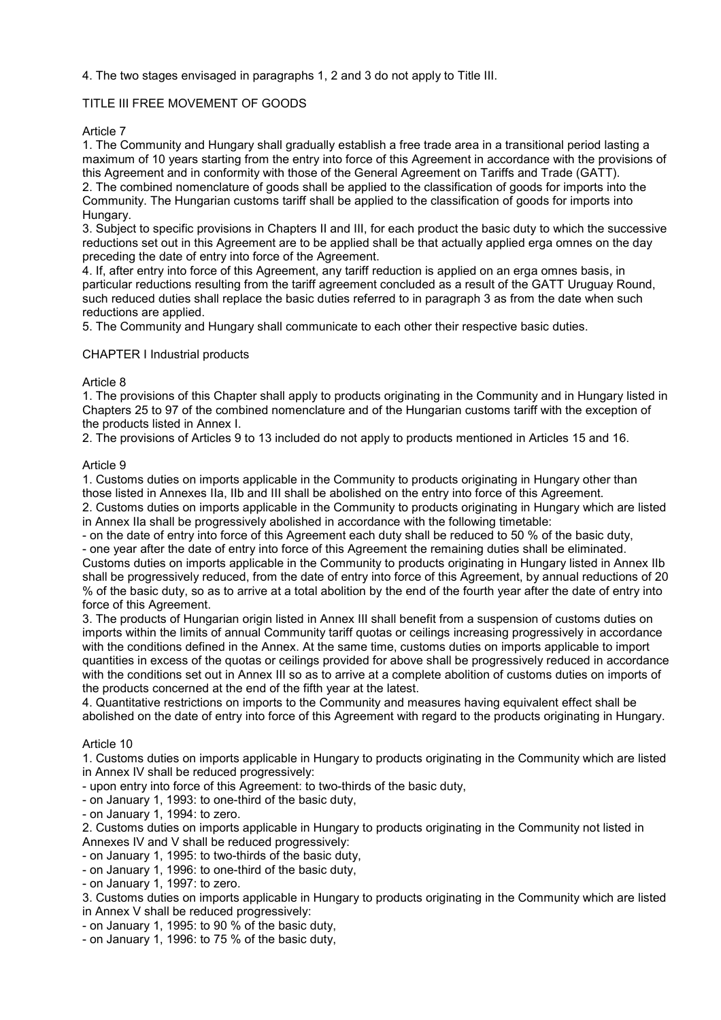### 4. The two stages envisaged in paragraphs 1, 2 and 3 do not apply to Title III.

### TITLE III FREE MOVEMENT OF GOODS

### Article 7

1. The Community and Hungary shall gradually establish a free trade area in a transitional period lasting a maximum of 10 years starting from the entry into force of this Agreement in accordance with the provisions of this Agreement and in conformity with those of the General Agreement on Tariffs and Trade (GATT). 2. The combined nomenclature of goods shall be applied to the classification of goods for imports into the Community. The Hungarian customs tariff shall be applied to the classification of goods for imports into Hungary.

3. Subject to specific provisions in Chapters II and III, for each product the basic duty to which the successive reductions set out in this Agreement are to be applied shall be that actually applied erga omnes on the day preceding the date of entry into force of the Agreement.

4. If, after entry into force of this Agreement, any tariff reduction is applied on an erga omnes basis, in particular reductions resulting from the tariff agreement concluded as a result of the GATT Uruguay Round, such reduced duties shall replace the basic duties referred to in paragraph 3 as from the date when such reductions are applied.

5. The Community and Hungary shall communicate to each other their respective basic duties.

#### CHAPTER I Industrial products

### Article 8

1. The provisions of this Chapter shall apply to products originating in the Community and in Hungary listed in Chapters 25 to 97 of the combined nomenclature and of the Hungarian customs tariff with the exception of the products listed in Annex I.

2. The provisions of Articles 9 to 13 included do not apply to products mentioned in Articles 15 and 16.

### Article 9

1. Customs duties on imports applicable in the Community to products originating in Hungary other than those listed in Annexes IIa, IIb and III shall be abolished on the entry into force of this Agreement. 2. Customs duties on imports applicable in the Community to products originating in Hungary which are listed

in Annex IIa shall be progressively abolished in accordance with the following timetable:

- on the date of entry into force of this Agreement each duty shall be reduced to 50 % of the basic duty, - one year after the date of entry into force of this Agreement the remaining duties shall be eliminated.

Customs duties on imports applicable in the Community to products originating in Hungary listed in Annex IIb shall be progressively reduced, from the date of entry into force of this Agreement, by annual reductions of 20 % of the basic duty, so as to arrive at a total abolition by the end of the fourth year after the date of entry into force of this Agreement.

3. The products of Hungarian origin listed in Annex III shall benefit from a suspension of customs duties on imports within the limits of annual Community tariff quotas or ceilings increasing progressively in accordance with the conditions defined in the Annex. At the same time, customs duties on imports applicable to import quantities in excess of the quotas or ceilings provided for above shall be progressively reduced in accordance with the conditions set out in Annex III so as to arrive at a complete abolition of customs duties on imports of the products concerned at the end of the fifth year at the latest.

4. Quantitative restrictions on imports to the Community and measures having equivalent effect shall be abolished on the date of entry into force of this Agreement with regard to the products originating in Hungary.

#### Article 10

1. Customs duties on imports applicable in Hungary to products originating in the Community which are listed in Annex IV shall be reduced progressively:

- upon entry into force of this Agreement: to two-thirds of the basic duty,

- on January 1, 1993: to one-third of the basic duty,

- on January 1, 1994: to zero.

2. Customs duties on imports applicable in Hungary to products originating in the Community not listed in Annexes IV and V shall be reduced progressively:

- on January 1, 1995: to two-thirds of the basic duty,

- on January 1, 1996: to one-third of the basic duty,

- on January 1, 1997: to zero.

3. Customs duties on imports applicable in Hungary to products originating in the Community which are listed in Annex V shall be reduced progressively:

- on January 1, 1995: to 90 % of the basic duty,

- on January 1, 1996: to 75 % of the basic duty,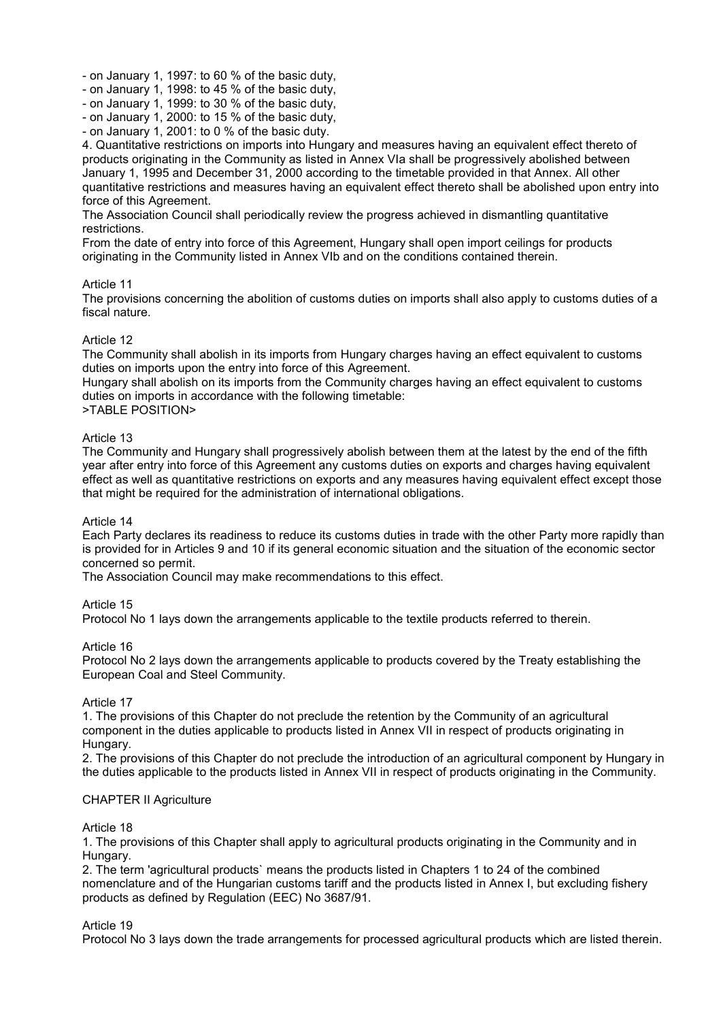- on January 1, 1997: to 60 % of the basic duty,
- on January 1, 1998: to 45 % of the basic duty,
- on January 1, 1999: to 30 % of the basic duty,
- on January 1, 2000: to 15 % of the basic duty,
- on January 1, 2001: to 0 % of the basic duty.

4. Quantitative restrictions on imports into Hungary and measures having an equivalent effect thereto of products originating in the Community as listed in Annex VIa shall be progressively abolished between January 1, 1995 and December 31, 2000 according to the timetable provided in that Annex. All other quantitative restrictions and measures having an equivalent effect thereto shall be abolished upon entry into force of this Agreement.

The Association Council shall periodically review the progress achieved in dismantling quantitative restrictions.

From the date of entry into force of this Agreement, Hungary shall open import ceilings for products originating in the Community listed in Annex VIb and on the conditions contained therein.

#### Article 11

The provisions concerning the abolition of customs duties on imports shall also apply to customs duties of a fiscal nature.

#### Article 12

The Community shall abolish in its imports from Hungary charges having an effect equivalent to customs duties on imports upon the entry into force of this Agreement.

Hungary shall abolish on its imports from the Community charges having an effect equivalent to customs duties on imports in accordance with the following timetable:

# >TABLE POSITION>

#### Article 13

The Community and Hungary shall progressively abolish between them at the latest by the end of the fifth year after entry into force of this Agreement any customs duties on exports and charges having equivalent effect as well as quantitative restrictions on exports and any measures having equivalent effect except those that might be required for the administration of international obligations.

#### Article 14

Each Party declares its readiness to reduce its customs duties in trade with the other Party more rapidly than is provided for in Articles 9 and 10 if its general economic situation and the situation of the economic sector concerned so permit.

The Association Council may make recommendations to this effect.

#### Article 15

Protocol No 1 lays down the arrangements applicable to the textile products referred to therein.

#### Article 16

Protocol No 2 lays down the arrangements applicable to products covered by the Treaty establishing the European Coal and Steel Community.

#### Article 17

1. The provisions of this Chapter do not preclude the retention by the Community of an agricultural component in the duties applicable to products listed in Annex VII in respect of products originating in Hungary.

2. The provisions of this Chapter do not preclude the introduction of an agricultural component by Hungary in the duties applicable to the products listed in Annex VII in respect of products originating in the Community.

#### CHAPTER II Agriculture

### Article 18

1. The provisions of this Chapter shall apply to agricultural products originating in the Community and in Hungary.

2. The term 'agricultural products` means the products listed in Chapters 1 to 24 of the combined nomenclature and of the Hungarian customs tariff and the products listed in Annex I, but excluding fishery products as defined by Regulation (EEC) No 3687/91.

#### Article 19

Protocol No 3 lays down the trade arrangements for processed agricultural products which are listed therein.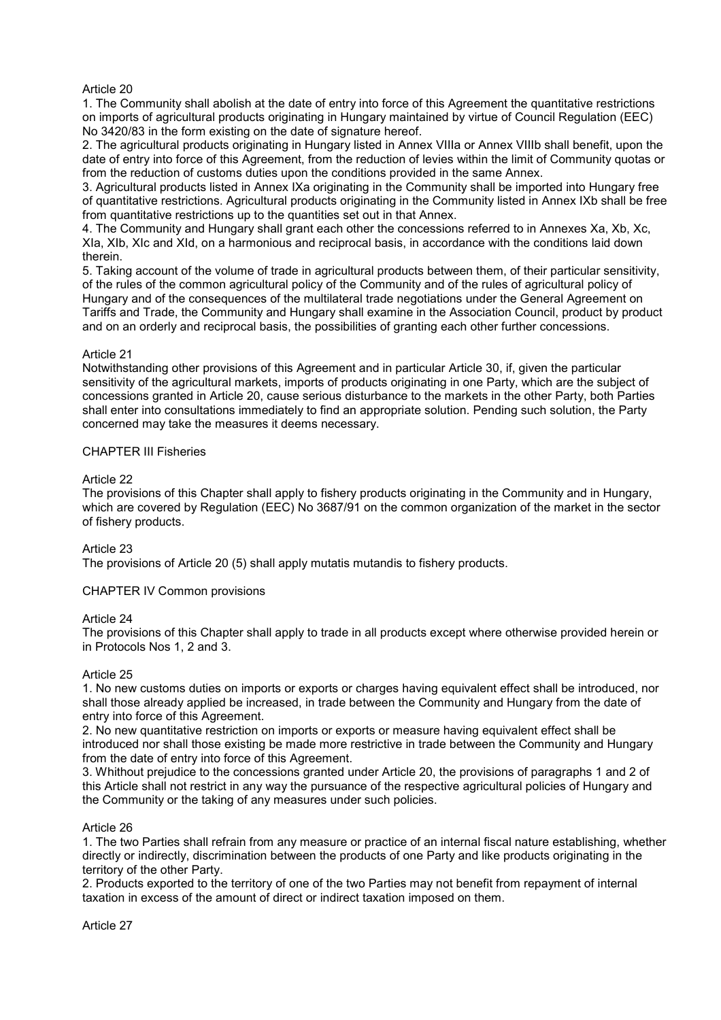### Article 20

1. The Community shall abolish at the date of entry into force of this Agreement the quantitative restrictions on imports of agricultural products originating in Hungary maintained by virtue of Council Regulation (EEC) No 3420/83 in the form existing on the date of signature hereof.

2. The agricultural products originating in Hungary listed in Annex VIIIa or Annex VIIIb shall benefit, upon the date of entry into force of this Agreement, from the reduction of levies within the limit of Community quotas or from the reduction of customs duties upon the conditions provided in the same Annex.

3. Agricultural products listed in Annex IXa originating in the Community shall be imported into Hungary free of quantitative restrictions. Agricultural products originating in the Community listed in Annex IXb shall be free from quantitative restrictions up to the quantities set out in that Annex.

4. The Community and Hungary shall grant each other the concessions referred to in Annexes Xa, Xb, Xc, XIa, XIb, XIc and XId, on a harmonious and reciprocal basis, in accordance with the conditions laid down therein.

5. Taking account of the volume of trade in agricultural products between them, of their particular sensitivity, of the rules of the common agricultural policy of the Community and of the rules of agricultural policy of Hungary and of the consequences of the multilateral trade negotiations under the General Agreement on Tariffs and Trade, the Community and Hungary shall examine in the Association Council, product by product and on an orderly and reciprocal basis, the possibilities of granting each other further concessions.

### Article 21

Notwithstanding other provisions of this Agreement and in particular Article 30, if, given the particular sensitivity of the agricultural markets, imports of products originating in one Party, which are the subject of concessions granted in Article 20, cause serious disturbance to the markets in the other Party, both Parties shall enter into consultations immediately to find an appropriate solution. Pending such solution, the Party concerned may take the measures it deems necessary.

### CHAPTER III Fisheries

### Article 22

The provisions of this Chapter shall apply to fishery products originating in the Community and in Hungary, which are covered by Regulation (EEC) No 3687/91 on the common organization of the market in the sector of fishery products.

# Article 23

The provisions of Article 20 (5) shall apply mutatis mutandis to fishery products.

#### CHAPTER IV Common provisions

#### Article 24

The provisions of this Chapter shall apply to trade in all products except where otherwise provided herein or in Protocols Nos 1, 2 and 3.

# Article 25

1. No new customs duties on imports or exports or charges having equivalent effect shall be introduced, nor shall those already applied be increased, in trade between the Community and Hungary from the date of entry into force of this Agreement.

2. No new quantitative restriction on imports or exports or measure having equivalent effect shall be introduced nor shall those existing be made more restrictive in trade between the Community and Hungary from the date of entry into force of this Agreement.

3. Whithout prejudice to the concessions granted under Article 20, the provisions of paragraphs 1 and 2 of this Article shall not restrict in any way the pursuance of the respective agricultural policies of Hungary and the Community or the taking of any measures under such policies.

#### Article 26

1. The two Parties shall refrain from any measure or practice of an internal fiscal nature establishing, whether directly or indirectly, discrimination between the products of one Party and like products originating in the territory of the other Party.

2. Products exported to the territory of one of the two Parties may not benefit from repayment of internal taxation in excess of the amount of direct or indirect taxation imposed on them.

Article 27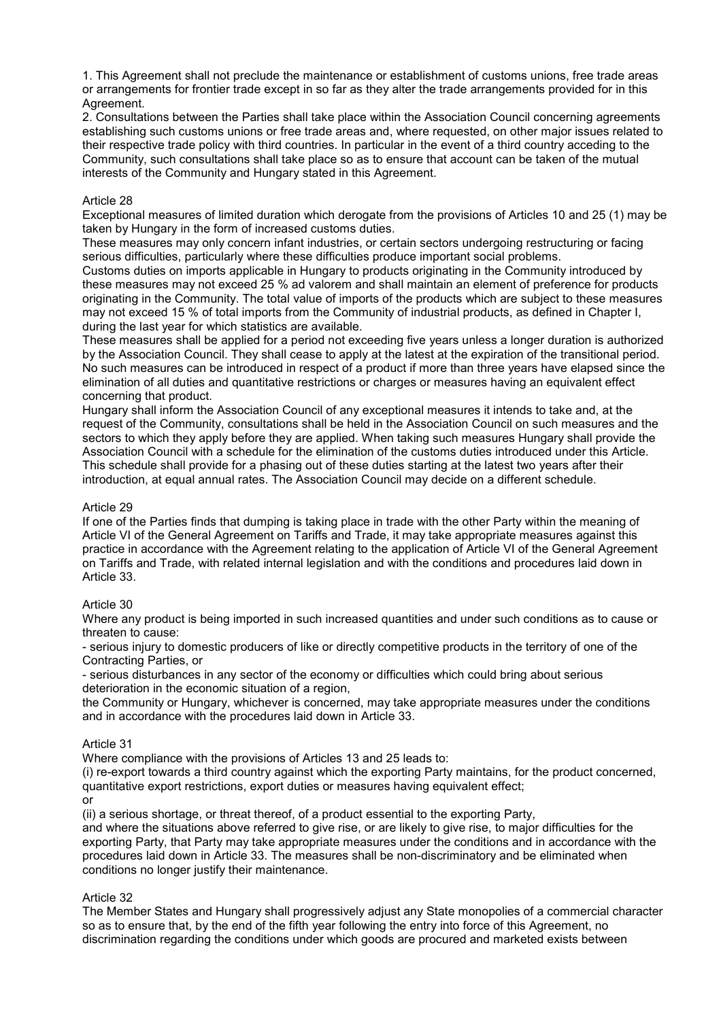1. This Agreement shall not preclude the maintenance or establishment of customs unions, free trade areas or arrangements for frontier trade except in so far as they alter the trade arrangements provided for in this Agreement.

2. Consultations between the Parties shall take place within the Association Council concerning agreements establishing such customs unions or free trade areas and, where requested, on other major issues related to their respective trade policy with third countries. In particular in the event of a third country acceding to the Community, such consultations shall take place so as to ensure that account can be taken of the mutual interests of the Community and Hungary stated in this Agreement.

### Article 28

Exceptional measures of limited duration which derogate from the provisions of Articles 10 and 25 (1) may be taken by Hungary in the form of increased customs duties.

These measures may only concern infant industries, or certain sectors undergoing restructuring or facing serious difficulties, particularly where these difficulties produce important social problems.

Customs duties on imports applicable in Hungary to products originating in the Community introduced by these measures may not exceed 25 % ad valorem and shall maintain an element of preference for products originating in the Community. The total value of imports of the products which are subject to these measures may not exceed 15 % of total imports from the Community of industrial products, as defined in Chapter I, during the last year for which statistics are available.

These measures shall be applied for a period not exceeding five years unless a longer duration is authorized by the Association Council. They shall cease to apply at the latest at the expiration of the transitional period. No such measures can be introduced in respect of a product if more than three years have elapsed since the elimination of all duties and quantitative restrictions or charges or measures having an equivalent effect concerning that product.

Hungary shall inform the Association Council of any exceptional measures it intends to take and, at the request of the Community, consultations shall be held in the Association Council on such measures and the sectors to which they apply before they are applied. When taking such measures Hungary shall provide the Association Council with a schedule for the elimination of the customs duties introduced under this Article. This schedule shall provide for a phasing out of these duties starting at the latest two years after their introduction, at equal annual rates. The Association Council may decide on a different schedule.

#### Article 29

If one of the Parties finds that dumping is taking place in trade with the other Party within the meaning of Article VI of the General Agreement on Tariffs and Trade, it may take appropriate measures against this practice in accordance with the Agreement relating to the application of Article VI of the General Agreement on Tariffs and Trade, with related internal legislation and with the conditions and procedures laid down in Article 33.

#### Article 30

Where any product is being imported in such increased quantities and under such conditions as to cause or threaten to cause:

- serious injury to domestic producers of like or directly competitive products in the territory of one of the Contracting Parties, or

- serious disturbances in any sector of the economy or difficulties which could bring about serious deterioration in the economic situation of a region,

the Community or Hungary, whichever is concerned, may take appropriate measures under the conditions and in accordance with the procedures laid down in Article 33.

#### Article 31

Where compliance with the provisions of Articles 13 and 25 leads to:

(i) re-export towards a third country against which the exporting Party maintains, for the product concerned, quantitative export restrictions, export duties or measures having equivalent effect;

or

(ii) a serious shortage, or threat thereof, of a product essential to the exporting Party,

and where the situations above referred to give rise, or are likely to give rise, to major difficulties for the exporting Party, that Party may take appropriate measures under the conditions and in accordance with the procedures laid down in Article 33. The measures shall be non-discriminatory and be eliminated when conditions no longer justify their maintenance.

# Article 32

The Member States and Hungary shall progressively adjust any State monopolies of a commercial character so as to ensure that, by the end of the fifth year following the entry into force of this Agreement, no discrimination regarding the conditions under which goods are procured and marketed exists between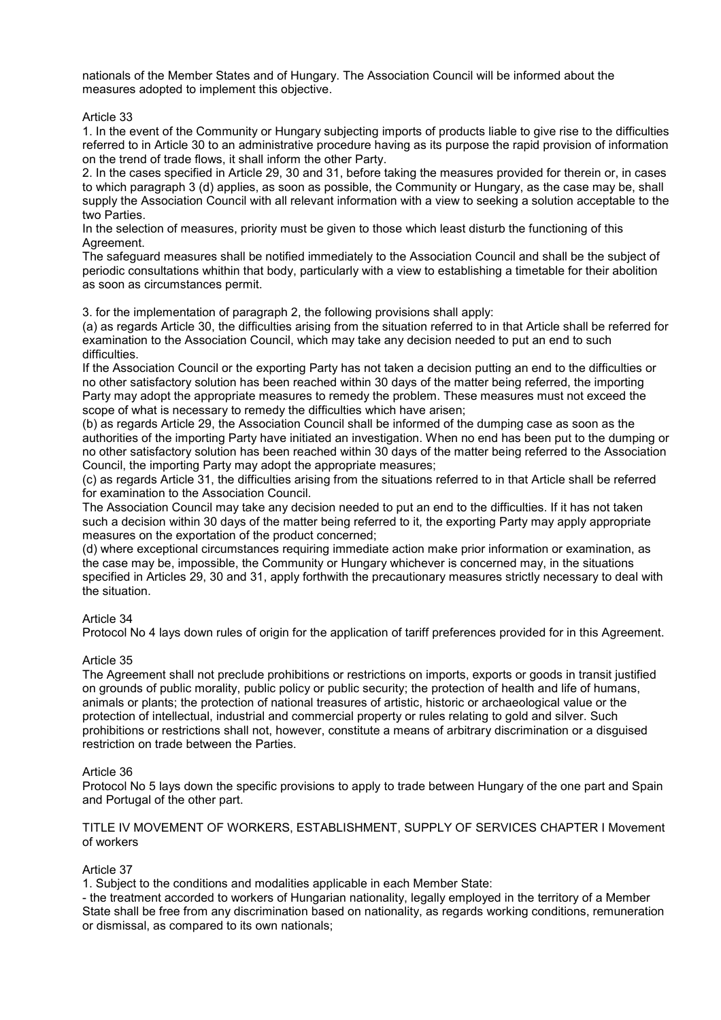nationals of the Member States and of Hungary. The Association Council will be informed about the measures adopted to implement this objective.

Article 33

1. In the event of the Community or Hungary subjecting imports of products liable to give rise to the difficulties referred to in Article 30 to an administrative procedure having as its purpose the rapid provision of information on the trend of trade flows, it shall inform the other Party.

2. In the cases specified in Article 29, 30 and 31, before taking the measures provided for therein or, in cases to which paragraph 3 (d) applies, as soon as possible, the Community or Hungary, as the case may be, shall supply the Association Council with all relevant information with a view to seeking a solution acceptable to the two Parties.

In the selection of measures, priority must be given to those which least disturb the functioning of this Agreement.

The safeguard measures shall be notified immediately to the Association Council and shall be the subject of periodic consultations whithin that body, particularly with a view to establishing a timetable for their abolition as soon as circumstances permit.

3. for the implementation of paragraph 2, the following provisions shall apply:

(a) as regards Article 30, the difficulties arising from the situation referred to in that Article shall be referred for examination to the Association Council, which may take any decision needed to put an end to such difficulties.

If the Association Council or the exporting Party has not taken a decision putting an end to the difficulties or no other satisfactory solution has been reached within 30 days of the matter being referred, the importing Party may adopt the appropriate measures to remedy the problem. These measures must not exceed the scope of what is necessary to remedy the difficulties which have arisen;

(b) as regards Article 29, the Association Council shall be informed of the dumping case as soon as the authorities of the importing Party have initiated an investigation. When no end has been put to the dumping or no other satisfactory solution has been reached within 30 days of the matter being referred to the Association Council, the importing Party may adopt the appropriate measures;

(c) as regards Article 31, the difficulties arising from the situations referred to in that Article shall be referred for examination to the Association Council.

The Association Council may take any decision needed to put an end to the difficulties. If it has not taken such a decision within 30 days of the matter being referred to it, the exporting Party may apply appropriate measures on the exportation of the product concerned;

(d) where exceptional circumstances requiring immediate action make prior information or examination, as the case may be, impossible, the Community or Hungary whichever is concerned may, in the situations specified in Articles 29, 30 and 31, apply forthwith the precautionary measures strictly necessary to deal with the situation.

# Article 34

Protocol No 4 lays down rules of origin for the application of tariff preferences provided for in this Agreement.

# Article 35

The Agreement shall not preclude prohibitions or restrictions on imports, exports or goods in transit justified on grounds of public morality, public policy or public security; the protection of health and life of humans, animals or plants; the protection of national treasures of artistic, historic or archaeological value or the protection of intellectual, industrial and commercial property or rules relating to gold and silver. Such prohibitions or restrictions shall not, however, constitute a means of arbitrary discrimination or a disguised restriction on trade between the Parties.

#### Article 36

Protocol No 5 lays down the specific provisions to apply to trade between Hungary of the one part and Spain and Portugal of the other part.

TITLE IV MOVEMENT OF WORKERS, ESTABLISHMENT, SUPPLY OF SERVICES CHAPTER I Movement of workers

#### Article 37

1. Subject to the conditions and modalities applicable in each Member State:

- the treatment accorded to workers of Hungarian nationality, legally employed in the territory of a Member State shall be free from any discrimination based on nationality, as regards working conditions, remuneration or dismissal, as compared to its own nationals;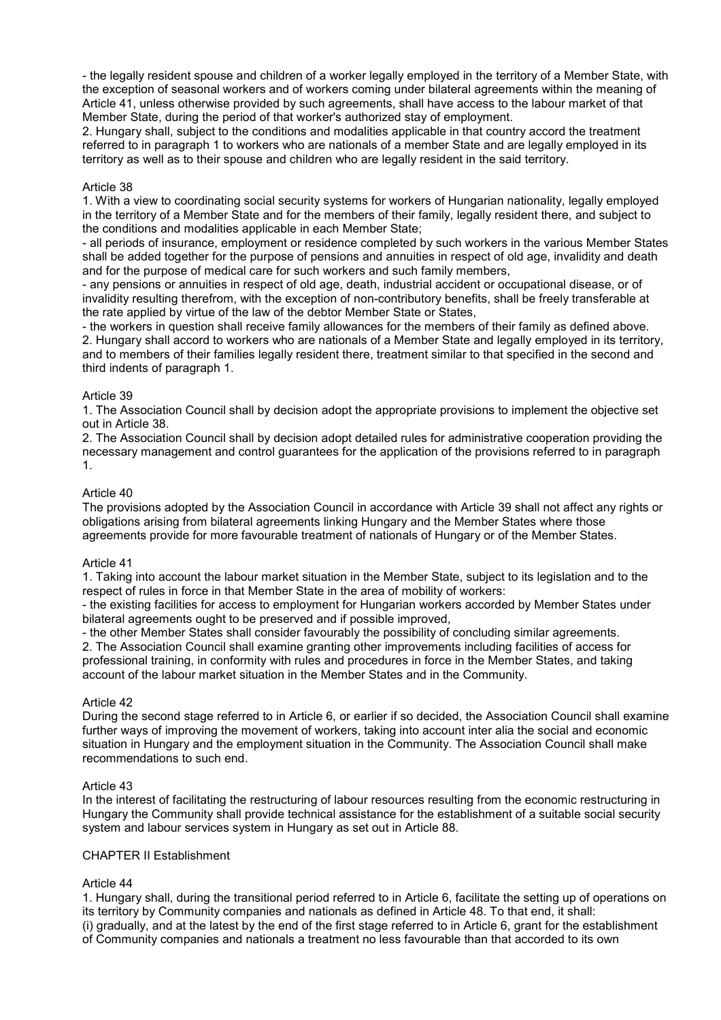- the legally resident spouse and children of a worker legally employed in the territory of a Member State, with the exception of seasonal workers and of workers coming under bilateral agreements within the meaning of Article 41, unless otherwise provided by such agreements, shall have access to the labour market of that Member State, during the period of that worker's authorized stay of employment.

2. Hungary shall, subject to the conditions and modalities applicable in that country accord the treatment referred to in paragraph 1 to workers who are nationals of a member State and are legally employed in its territory as well as to their spouse and children who are legally resident in the said territory.

#### Article 38

1. With a view to coordinating social security systems for workers of Hungarian nationality, legally employed in the territory of a Member State and for the members of their family, legally resident there, and subject to the conditions and modalities applicable in each Member State;

- all periods of insurance, employment or residence completed by such workers in the various Member States shall be added together for the purpose of pensions and annuities in respect of old age, invalidity and death and for the purpose of medical care for such workers and such family members,

- any pensions or annuities in respect of old age, death, industrial accident or occupational disease, or of invalidity resulting therefrom, with the exception of non-contributory benefits, shall be freely transferable at the rate applied by virtue of the law of the debtor Member State or States,

- the workers in question shall receive family allowances for the members of their family as defined above. 2. Hungary shall accord to workers who are nationals of a Member State and legally employed in its territory, and to members of their families legally resident there, treatment similar to that specified in the second and third indents of paragraph 1.

#### Article 39

1. The Association Council shall by decision adopt the appropriate provisions to implement the objective set out in Article 38.

2. The Association Council shall by decision adopt detailed rules for administrative cooperation providing the necessary management and control guarantees for the application of the provisions referred to in paragraph 1.

#### Article 40

The provisions adopted by the Association Council in accordance with Article 39 shall not affect any rights or obligations arising from bilateral agreements linking Hungary and the Member States where those agreements provide for more favourable treatment of nationals of Hungary or of the Member States.

#### Article 41

1. Taking into account the labour market situation in the Member State, subject to its legislation and to the respect of rules in force in that Member State in the area of mobility of workers:

- the existing facilities for access to employment for Hungarian workers accorded by Member States under bilateral agreements ought to be preserved and if possible improved,

- the other Member States shall consider favourably the possibility of concluding similar agreements.

2. The Association Council shall examine granting other improvements including facilities of access for professional training, in conformity with rules and procedures in force in the Member States, and taking account of the labour market situation in the Member States and in the Community.

#### Article 42

During the second stage referred to in Article 6, or earlier if so decided, the Association Council shall examine further ways of improving the movement of workers, taking into account inter alia the social and economic situation in Hungary and the employment situation in the Community. The Association Council shall make recommendations to such end.

#### Article 43

In the interest of facilitating the restructuring of labour resources resulting from the economic restructuring in Hungary the Community shall provide technical assistance for the establishment of a suitable social security system and labour services system in Hungary as set out in Article 88.

# CHAPTER II Establishment

# Article 44

1. Hungary shall, during the transitional period referred to in Article 6, facilitate the setting up of operations on its territory by Community companies and nationals as defined in Article 48. To that end, it shall: (i) gradually, and at the latest by the end of the first stage referred to in Article 6, grant for the establishment of Community companies and nationals a treatment no less favourable than that accorded to its own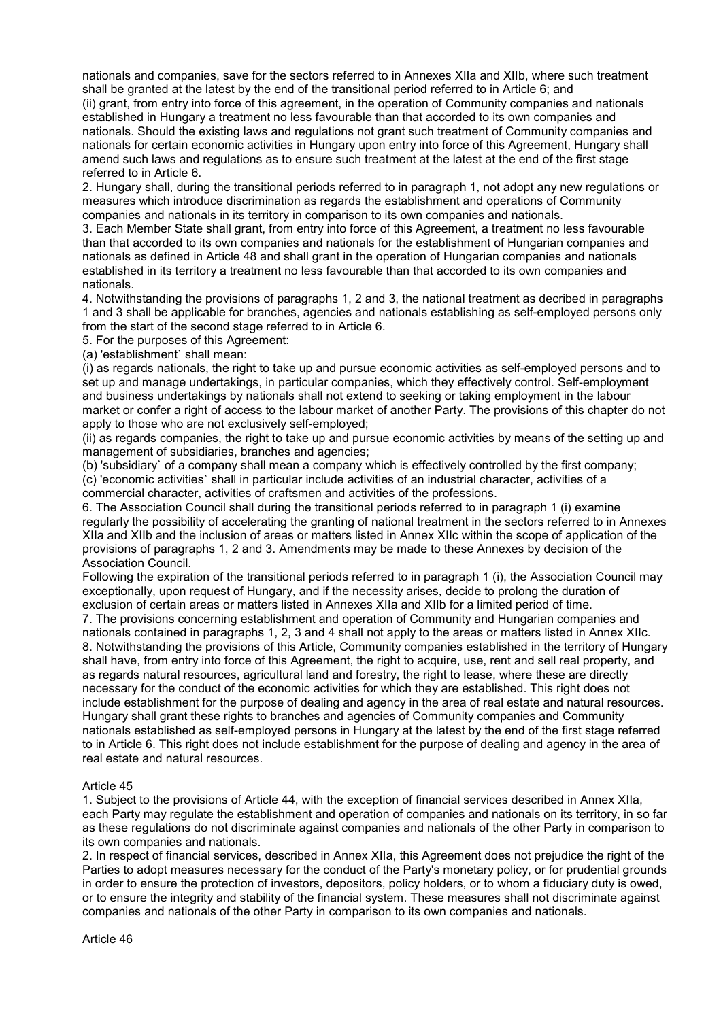nationals and companies, save for the sectors referred to in Annexes XIIa and XIIb, where such treatment shall be granted at the latest by the end of the transitional period referred to in Article 6; and (ii) grant, from entry into force of this agreement, in the operation of Community companies and nationals established in Hungary a treatment no less favourable than that accorded to its own companies and nationals. Should the existing laws and regulations not grant such treatment of Community companies and nationals for certain economic activities in Hungary upon entry into force of this Agreement, Hungary shall amend such laws and regulations as to ensure such treatment at the latest at the end of the first stage referred to in Article 6.

2. Hungary shall, during the transitional periods referred to in paragraph 1, not adopt any new regulations or measures which introduce discrimination as regards the establishment and operations of Community companies and nationals in its territory in comparison to its own companies and nationals.

3. Each Member State shall grant, from entry into force of this Agreement, a treatment no less favourable than that accorded to its own companies and nationals for the establishment of Hungarian companies and nationals as defined in Article 48 and shall grant in the operation of Hungarian companies and nationals established in its territory a treatment no less favourable than that accorded to its own companies and nationals.

4. Notwithstanding the provisions of paragraphs 1, 2 and 3, the national treatment as decribed in paragraphs 1 and 3 shall be applicable for branches, agencies and nationals establishing as self-employed persons only from the start of the second stage referred to in Article 6.

5. For the purposes of this Agreement:

(a) 'establishment` shall mean:

(i) as regards nationals, the right to take up and pursue economic activities as self-employed persons and to set up and manage undertakings, in particular companies, which they effectively control. Self-employment and business undertakings by nationals shall not extend to seeking or taking employment in the labour market or confer a right of access to the labour market of another Party. The provisions of this chapter do not apply to those who are not exclusively self-employed;

(ii) as regards companies, the right to take up and pursue economic activities by means of the setting up and management of subsidiaries, branches and agencies;

(b) 'subsidiary` of a company shall mean a company which is effectively controlled by the first company; (c) 'economic activities` shall in particular include activities of an industrial character, activities of a commercial character, activities of craftsmen and activities of the professions.

6. The Association Council shall during the transitional periods referred to in paragraph 1 (i) examine regularly the possibility of accelerating the granting of national treatment in the sectors referred to in Annexes XIIa and XIIb and the inclusion of areas or matters listed in Annex XIIc within the scope of application of the provisions of paragraphs 1, 2 and 3. Amendments may be made to these Annexes by decision of the Association Council.

Following the expiration of the transitional periods referred to in paragraph 1 (i), the Association Council may exceptionally, upon request of Hungary, and if the necessity arises, decide to prolong the duration of exclusion of certain areas or matters listed in Annexes XIIa and XIIb for a limited period of time.

7. The provisions concerning establishment and operation of Community and Hungarian companies and nationals contained in paragraphs 1, 2, 3 and 4 shall not apply to the areas or matters listed in Annex XIIc. 8. Notwithstanding the provisions of this Article, Community companies established in the territory of Hungary shall have, from entry into force of this Agreement, the right to acquire, use, rent and sell real property, and as regards natural resources, agricultural land and forestry, the right to lease, where these are directly necessary for the conduct of the economic activities for which they are established. This right does not include establishment for the purpose of dealing and agency in the area of real estate and natural resources. Hungary shall grant these rights to branches and agencies of Community companies and Community nationals established as self-employed persons in Hungary at the latest by the end of the first stage referred to in Article 6. This right does not include establishment for the purpose of dealing and agency in the area of real estate and natural resources.

#### Article 45

1. Subject to the provisions of Article 44, with the exception of financial services described in Annex XIIa, each Party may regulate the establishment and operation of companies and nationals on its territory, in so far as these regulations do not discriminate against companies and nationals of the other Party in comparison to its own companies and nationals.

2. In respect of financial services, described in Annex XIIa, this Agreement does not prejudice the right of the Parties to adopt measures necessary for the conduct of the Party's monetary policy, or for prudential grounds in order to ensure the protection of investors, depositors, policy holders, or to whom a fiduciary duty is owed, or to ensure the integrity and stability of the financial system. These measures shall not discriminate against companies and nationals of the other Party in comparison to its own companies and nationals.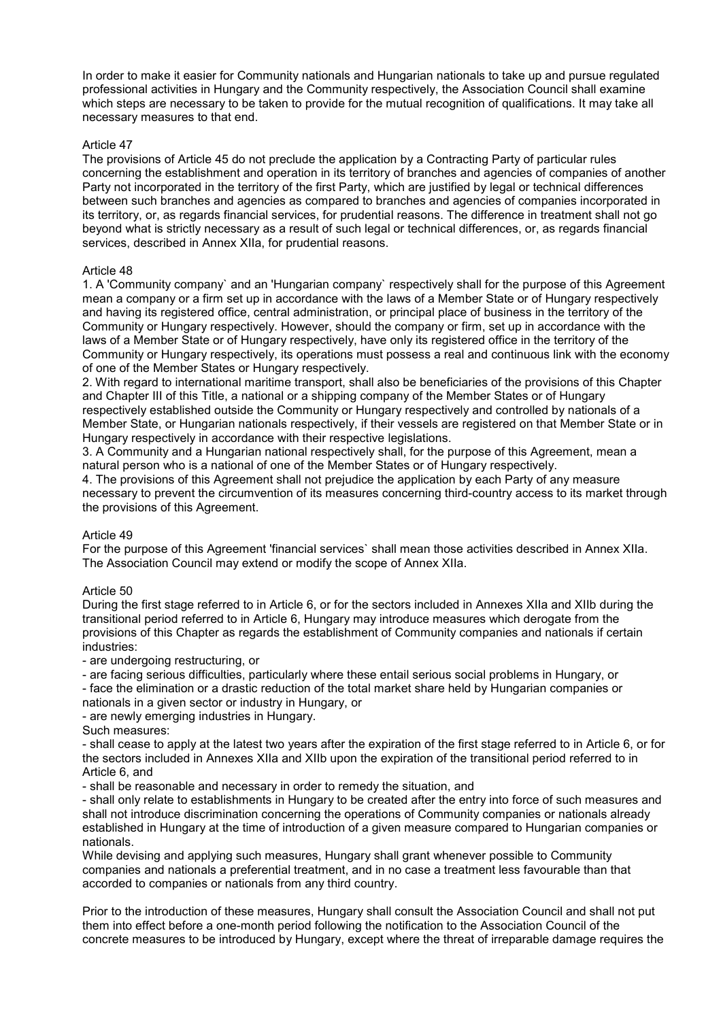In order to make it easier for Community nationals and Hungarian nationals to take up and pursue regulated professional activities in Hungary and the Community respectively, the Association Council shall examine which steps are necessary to be taken to provide for the mutual recognition of qualifications. It may take all necessary measures to that end.

#### Article 47

The provisions of Article 45 do not preclude the application by a Contracting Party of particular rules concerning the establishment and operation in its territory of branches and agencies of companies of another Party not incorporated in the territory of the first Party, which are justified by legal or technical differences between such branches and agencies as compared to branches and agencies of companies incorporated in its territory, or, as regards financial services, for prudential reasons. The difference in treatment shall not go beyond what is strictly necessary as a result of such legal or technical differences, or, as regards financial services, described in Annex XIIa, for prudential reasons.

#### Article 48

1. A 'Community company` and an 'Hungarian company` respectively shall for the purpose of this Agreement mean a company or a firm set up in accordance with the laws of a Member State or of Hungary respectively and having its registered office, central administration, or principal place of business in the territory of the Community or Hungary respectively. However, should the company or firm, set up in accordance with the laws of a Member State or of Hungary respectively, have only its registered office in the territory of the Community or Hungary respectively, its operations must possess a real and continuous link with the economy of one of the Member States or Hungary respectively.

2. With regard to international maritime transport, shall also be beneficiaries of the provisions of this Chapter and Chapter III of this Title, a national or a shipping company of the Member States or of Hungary respectively established outside the Community or Hungary respectively and controlled by nationals of a Member State, or Hungarian nationals respectively, if their vessels are registered on that Member State or in Hungary respectively in accordance with their respective legislations.

3. A Community and a Hungarian national respectively shall, for the purpose of this Agreement, mean a natural person who is a national of one of the Member States or of Hungary respectively.

4. The provisions of this Agreement shall not prejudice the application by each Party of any measure necessary to prevent the circumvention of its measures concerning third-country access to its market through the provisions of this Agreement.

#### Article 49

For the purpose of this Agreement 'financial services` shall mean those activities described in Annex XIIa. The Association Council may extend or modify the scope of Annex XIIa.

#### Article 50

During the first stage referred to in Article 6, or for the sectors included in Annexes XIIa and XIIb during the transitional period referred to in Article 6, Hungary may introduce measures which derogate from the provisions of this Chapter as regards the establishment of Community companies and nationals if certain industries:

- are undergoing restructuring, or

- are facing serious difficulties, particularly where these entail serious social problems in Hungary, or

- face the elimination or a drastic reduction of the total market share held by Hungarian companies or

nationals in a given sector or industry in Hungary, or

- are newly emerging industries in Hungary.

Such measures:

- shall cease to apply at the latest two years after the expiration of the first stage referred to in Article 6, or for the sectors included in Annexes XIIa and XIIb upon the expiration of the transitional period referred to in Article 6, and

- shall be reasonable and necessary in order to remedy the situation, and

- shall only relate to establishments in Hungary to be created after the entry into force of such measures and shall not introduce discrimination concerning the operations of Community companies or nationals already established in Hungary at the time of introduction of a given measure compared to Hungarian companies or nationals.

While devising and applying such measures, Hungary shall grant whenever possible to Community companies and nationals a preferential treatment, and in no case a treatment less favourable than that accorded to companies or nationals from any third country.

Prior to the introduction of these measures, Hungary shall consult the Association Council and shall not put them into effect before a one-month period following the notification to the Association Council of the concrete measures to be introduced by Hungary, except where the threat of irreparable damage requires the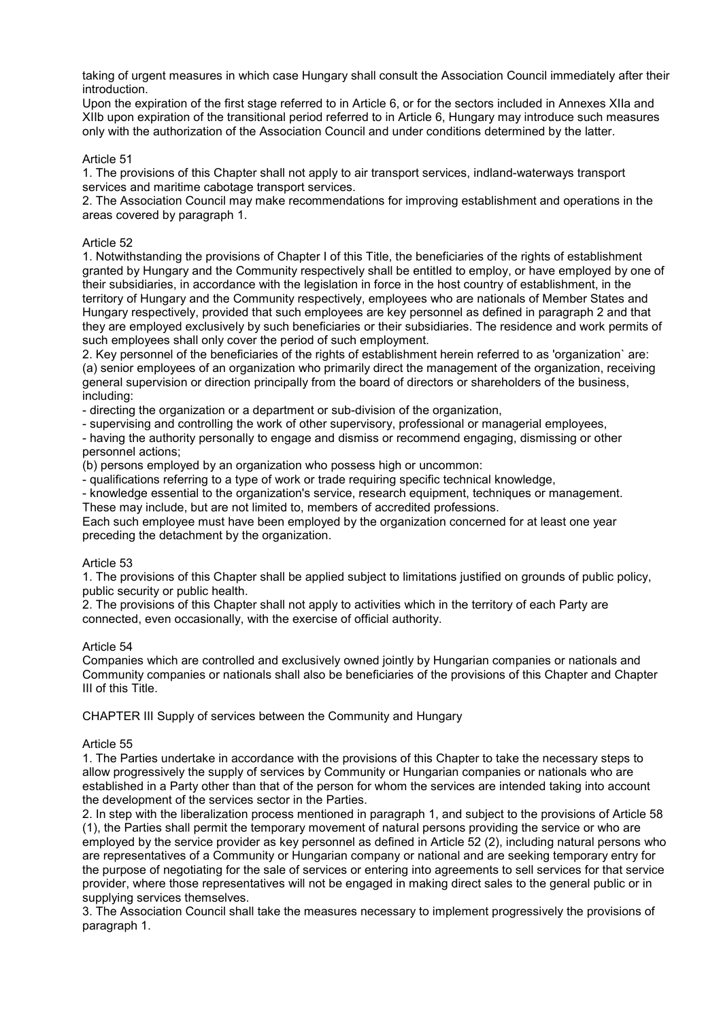taking of urgent measures in which case Hungary shall consult the Association Council immediately after their introduction.

Upon the expiration of the first stage referred to in Article 6, or for the sectors included in Annexes XIIa and XIIb upon expiration of the transitional period referred to in Article 6, Hungary may introduce such measures only with the authorization of the Association Council and under conditions determined by the latter.

### Article 51

1. The provisions of this Chapter shall not apply to air transport services, indland-waterways transport services and maritime cabotage transport services.

2. The Association Council may make recommendations for improving establishment and operations in the areas covered by paragraph 1.

#### Article 52

1. Notwithstanding the provisions of Chapter I of this Title, the beneficiaries of the rights of establishment granted by Hungary and the Community respectively shall be entitled to employ, or have employed by one of their subsidiaries, in accordance with the legislation in force in the host country of establishment, in the territory of Hungary and the Community respectively, employees who are nationals of Member States and Hungary respectively, provided that such employees are key personnel as defined in paragraph 2 and that they are employed exclusively by such beneficiaries or their subsidiaries. The residence and work permits of such employees shall only cover the period of such employment.

2. Key personnel of the beneficiaries of the rights of establishment herein referred to as 'organization` are: (a) senior employees of an organization who primarily direct the management of the organization, receiving general supervision or direction principally from the board of directors or shareholders of the business, including:

- directing the organization or a department or sub-division of the organization,

- supervising and controlling the work of other supervisory, professional or managerial employees,

- having the authority personally to engage and dismiss or recommend engaging, dismissing or other personnel actions;

(b) persons employed by an organization who possess high or uncommon:

- qualifications referring to a type of work or trade requiring specific technical knowledge,

- knowledge essential to the organization's service, research equipment, techniques or management.

These may include, but are not limited to, members of accredited professions.

Each such employee must have been employed by the organization concerned for at least one year preceding the detachment by the organization.

#### Article 53

1. The provisions of this Chapter shall be applied subject to limitations justified on grounds of public policy, public security or public health.

2. The provisions of this Chapter shall not apply to activities which in the territory of each Party are connected, even occasionally, with the exercise of official authority.

# Article 54

Companies which are controlled and exclusively owned jointly by Hungarian companies or nationals and Community companies or nationals shall also be beneficiaries of the provisions of this Chapter and Chapter III of this Title.

CHAPTER III Supply of services between the Community and Hungary

# Article 55

1. The Parties undertake in accordance with the provisions of this Chapter to take the necessary steps to allow progressively the supply of services by Community or Hungarian companies or nationals who are established in a Party other than that of the person for whom the services are intended taking into account the development of the services sector in the Parties.

2. In step with the liberalization process mentioned in paragraph 1, and subject to the provisions of Article 58 (1), the Parties shall permit the temporary movement of natural persons providing the service or who are employed by the service provider as key personnel as defined in Article 52 (2), including natural persons who are representatives of a Community or Hungarian company or national and are seeking temporary entry for the purpose of negotiating for the sale of services or entering into agreements to sell services for that service provider, where those representatives will not be engaged in making direct sales to the general public or in supplying services themselves.

3. The Association Council shall take the measures necessary to implement progressively the provisions of paragraph 1.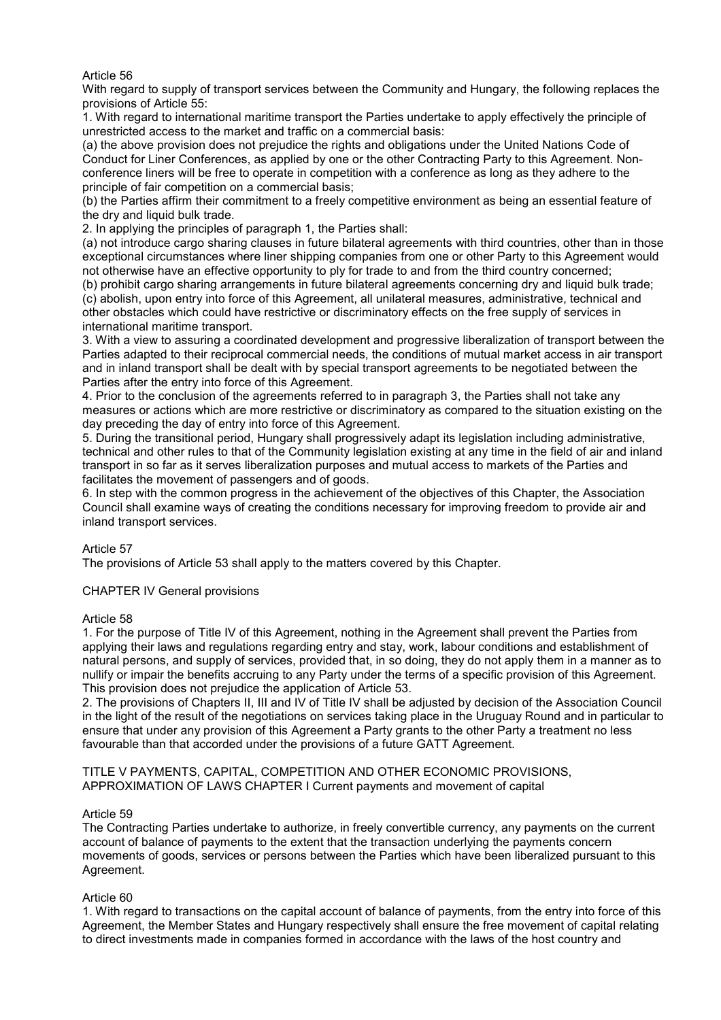Article 56

With regard to supply of transport services between the Community and Hungary, the following replaces the provisions of Article 55:

1. With regard to international maritime transport the Parties undertake to apply effectively the principle of unrestricted access to the market and traffic on a commercial basis:

(a) the above provision does not prejudice the rights and obligations under the United Nations Code of Conduct for Liner Conferences, as applied by one or the other Contracting Party to this Agreement. Nonconference liners will be free to operate in competition with a conference as long as they adhere to the principle of fair competition on a commercial basis;

(b) the Parties affirm their commitment to a freely competitive environment as being an essential feature of the dry and liquid bulk trade.

2. In applying the principles of paragraph 1, the Parties shall:

(a) not introduce cargo sharing clauses in future bilateral agreements with third countries, other than in those exceptional circumstances where liner shipping companies from one or other Party to this Agreement would not otherwise have an effective opportunity to ply for trade to and from the third country concerned;

(b) prohibit cargo sharing arrangements in future bilateral agreements concerning dry and liquid bulk trade; (c) abolish, upon entry into force of this Agreement, all unilateral measures, administrative, technical and other obstacles which could have restrictive or discriminatory effects on the free supply of services in international maritime transport.

3. With a view to assuring a coordinated development and progressive liberalization of transport between the Parties adapted to their reciprocal commercial needs, the conditions of mutual market access in air transport and in inland transport shall be dealt with by special transport agreements to be negotiated between the Parties after the entry into force of this Agreement.

4. Prior to the conclusion of the agreements referred to in paragraph 3, the Parties shall not take any measures or actions which are more restrictive or discriminatory as compared to the situation existing on the day preceding the day of entry into force of this Agreement.

5. During the transitional period, Hungary shall progressively adapt its legislation including administrative, technical and other rules to that of the Community legislation existing at any time in the field of air and inland transport in so far as it serves liberalization purposes and mutual access to markets of the Parties and facilitates the movement of passengers and of goods.

6. In step with the common progress in the achievement of the objectives of this Chapter, the Association Council shall examine ways of creating the conditions necessary for improving freedom to provide air and inland transport services.

# Article 57

The provisions of Article 53 shall apply to the matters covered by this Chapter.

#### CHAPTER IV General provisions

#### Article 58

1. For the purpose of Title IV of this Agreement, nothing in the Agreement shall prevent the Parties from applying their laws and regulations regarding entry and stay, work, labour conditions and establishment of natural persons, and supply of services, provided that, in so doing, they do not apply them in a manner as to nullify or impair the benefits accruing to any Party under the terms of a specific provision of this Agreement. This provision does not prejudice the application of Article 53.

2. The provisions of Chapters II, III and IV of Title IV shall be adjusted by decision of the Association Council in the light of the result of the negotiations on services taking place in the Uruguay Round and in particular to ensure that under any provision of this Agreement a Party grants to the other Party a treatment no less favourable than that accorded under the provisions of a future GATT Agreement.

TITLE V PAYMENTS, CAPITAL, COMPETITION AND OTHER ECONOMIC PROVISIONS, APPROXIMATION OF LAWS CHAPTER I Current payments and movement of capital

#### Article 59

The Contracting Parties undertake to authorize, in freely convertible currency, any payments on the current account of balance of payments to the extent that the transaction underlying the payments concern movements of goods, services or persons between the Parties which have been liberalized pursuant to this Agreement.

# Article 60

1. With regard to transactions on the capital account of balance of payments, from the entry into force of this Agreement, the Member States and Hungary respectively shall ensure the free movement of capital relating to direct investments made in companies formed in accordance with the laws of the host country and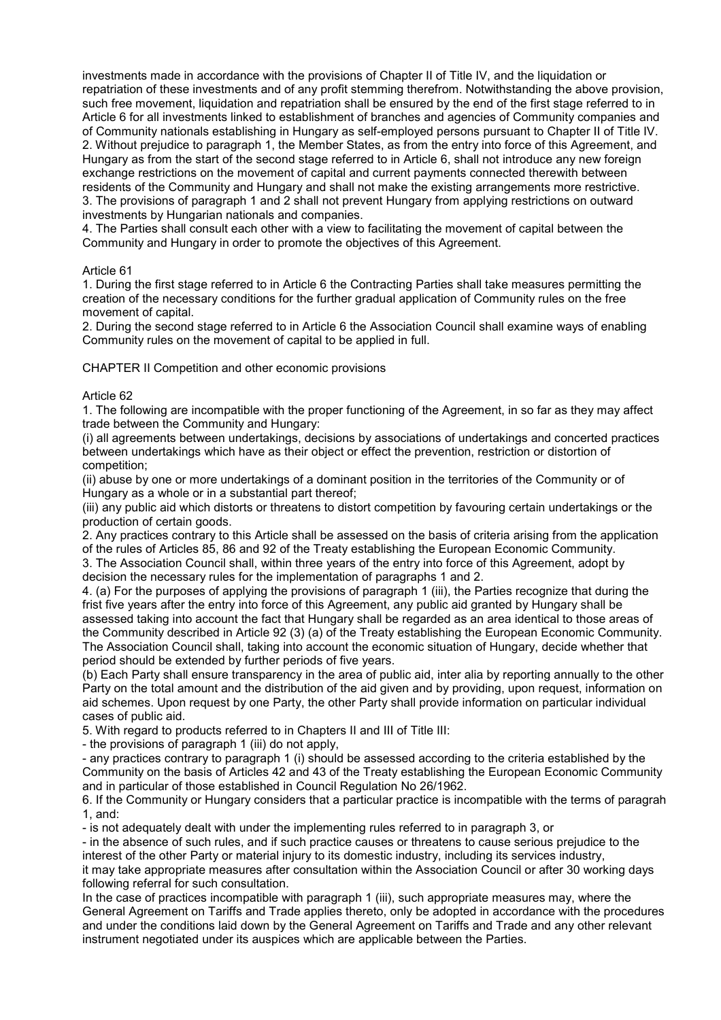investments made in accordance with the provisions of Chapter II of Title IV, and the liquidation or repatriation of these investments and of any profit stemming therefrom. Notwithstanding the above provision, such free movement, liquidation and repatriation shall be ensured by the end of the first stage referred to in Article 6 for all investments linked to establishment of branches and agencies of Community companies and of Community nationals establishing in Hungary as self-employed persons pursuant to Chapter II of Title IV. 2. Without prejudice to paragraph 1, the Member States, as from the entry into force of this Agreement, and Hungary as from the start of the second stage referred to in Article 6, shall not introduce any new foreign exchange restrictions on the movement of capital and current payments connected therewith between residents of the Community and Hungary and shall not make the existing arrangements more restrictive. 3. The provisions of paragraph 1 and 2 shall not prevent Hungary from applying restrictions on outward investments by Hungarian nationals and companies.

4. The Parties shall consult each other with a view to facilitating the movement of capital between the Community and Hungary in order to promote the objectives of this Agreement.

#### Article 61

1. During the first stage referred to in Article 6 the Contracting Parties shall take measures permitting the creation of the necessary conditions for the further gradual application of Community rules on the free movement of capital.

2. During the second stage referred to in Article 6 the Association Council shall examine ways of enabling Community rules on the movement of capital to be applied in full.

CHAPTER II Competition and other economic provisions

#### Article 62

1. The following are incompatible with the proper functioning of the Agreement, in so far as they may affect trade between the Community and Hungary:

(i) all agreements between undertakings, decisions by associations of undertakings and concerted practices between undertakings which have as their object or effect the prevention, restriction or distortion of competition;

(ii) abuse by one or more undertakings of a dominant position in the territories of the Community or of Hungary as a whole or in a substantial part thereof;

(iii) any public aid which distorts or threatens to distort competition by favouring certain undertakings or the production of certain goods.

2. Any practices contrary to this Article shall be assessed on the basis of criteria arising from the application of the rules of Articles 85, 86 and 92 of the Treaty establishing the European Economic Community.

3. The Association Council shall, within three years of the entry into force of this Agreement, adopt by decision the necessary rules for the implementation of paragraphs 1 and 2.

4. (a) For the purposes of applying the provisions of paragraph 1 (iii), the Parties recognize that during the frist five years after the entry into force of this Agreement, any public aid granted by Hungary shall be assessed taking into account the fact that Hungary shall be regarded as an area identical to those areas of the Community described in Article 92 (3) (a) of the Treaty establishing the European Economic Community. The Association Council shall, taking into account the economic situation of Hungary, decide whether that period should be extended by further periods of five years.

(b) Each Party shall ensure transparency in the area of public aid, inter alia by reporting annually to the other Party on the total amount and the distribution of the aid given and by providing, upon request, information on aid schemes. Upon request by one Party, the other Party shall provide information on particular individual cases of public aid.

5. With regard to products referred to in Chapters II and III of Title III:

- the provisions of paragraph 1 (iii) do not apply,

- any practices contrary to paragraph 1 (i) should be assessed according to the criteria established by the Community on the basis of Articles 42 and 43 of the Treaty establishing the European Economic Community and in particular of those established in Council Regulation No 26/1962.

6. If the Community or Hungary considers that a particular practice is incompatible with the terms of paragrah 1, and:

- is not adequately dealt with under the implementing rules referred to in paragraph 3, or

- in the absence of such rules, and if such practice causes or threatens to cause serious prejudice to the interest of the other Party or material injury to its domestic industry, including its services industry, it may take appropriate measures after consultation within the Association Council or after 30 working days following referral for such consultation.

In the case of practices incompatible with paragraph 1 (iii), such appropriate measures may, where the General Agreement on Tariffs and Trade applies thereto, only be adopted in accordance with the procedures and under the conditions laid down by the General Agreement on Tariffs and Trade and any other relevant instrument negotiated under its auspices which are applicable between the Parties.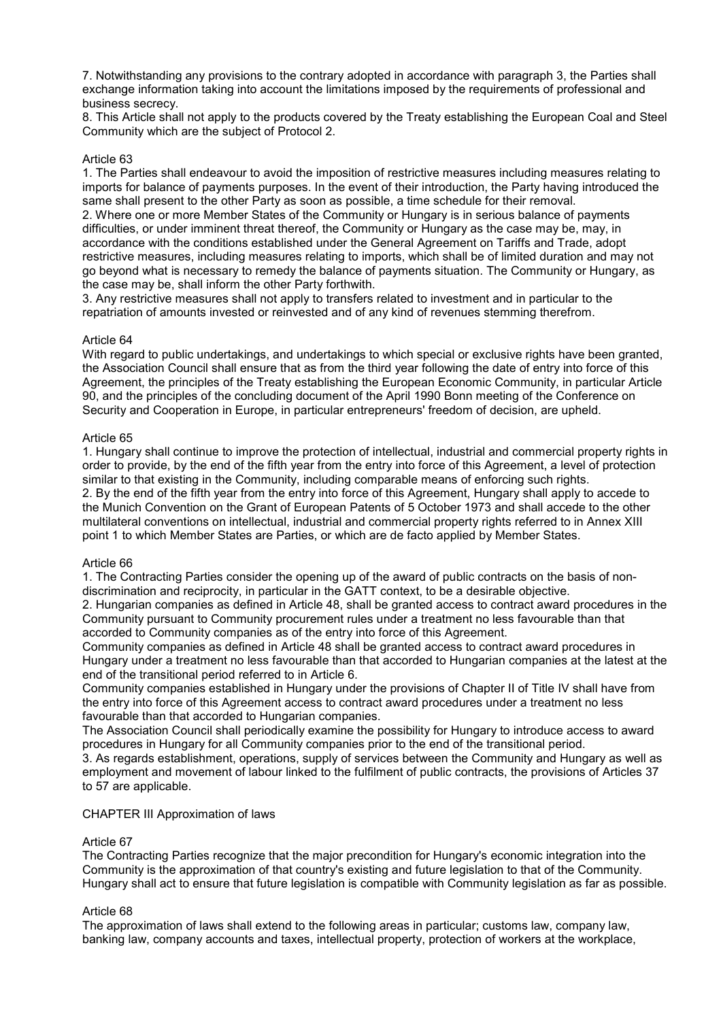7. Notwithstanding any provisions to the contrary adopted in accordance with paragraph 3, the Parties shall exchange information taking into account the limitations imposed by the requirements of professional and business secrecy.

8. This Article shall not apply to the products covered by the Treaty establishing the European Coal and Steel Community which are the subject of Protocol 2.

### Article 63

1. The Parties shall endeavour to avoid the imposition of restrictive measures including measures relating to imports for balance of payments purposes. In the event of their introduction, the Party having introduced the same shall present to the other Party as soon as possible, a time schedule for their removal. 2. Where one or more Member States of the Community or Hungary is in serious balance of payments difficulties, or under imminent threat thereof, the Community or Hungary as the case may be, may, in accordance with the conditions established under the General Agreement on Tariffs and Trade, adopt restrictive measures, including measures relating to imports, which shall be of limited duration and may not go beyond what is necessary to remedy the balance of payments situation. The Community or Hungary, as the case may be, shall inform the other Party forthwith.

3. Any restrictive measures shall not apply to transfers related to investment and in particular to the repatriation of amounts invested or reinvested and of any kind of revenues stemming therefrom.

#### Article 64

With regard to public undertakings, and undertakings to which special or exclusive rights have been granted, the Association Council shall ensure that as from the third year following the date of entry into force of this Agreement, the principles of the Treaty establishing the European Economic Community, in particular Article 90, and the principles of the concluding document of the April 1990 Bonn meeting of the Conference on Security and Cooperation in Europe, in particular entrepreneurs' freedom of decision, are upheld.

#### Article 65

1. Hungary shall continue to improve the protection of intellectual, industrial and commercial property rights in order to provide, by the end of the fifth year from the entry into force of this Agreement, a level of protection similar to that existing in the Community, including comparable means of enforcing such rights. 2. By the end of the fifth year from the entry into force of this Agreement, Hungary shall apply to accede to the Munich Convention on the Grant of European Patents of 5 October 1973 and shall accede to the other multilateral conventions on intellectual, industrial and commercial property rights referred to in Annex XIII point 1 to which Member States are Parties, or which are de facto applied by Member States.

#### Article 66

1. The Contracting Parties consider the opening up of the award of public contracts on the basis of nondiscrimination and reciprocity, in particular in the GATT context, to be a desirable objective.

2. Hungarian companies as defined in Article 48, shall be granted access to contract award procedures in the Community pursuant to Community procurement rules under a treatment no less favourable than that accorded to Community companies as of the entry into force of this Agreement.

Community companies as defined in Article 48 shall be granted access to contract award procedures in Hungary under a treatment no less favourable than that accorded to Hungarian companies at the latest at the end of the transitional period referred to in Article 6.

Community companies established in Hungary under the provisions of Chapter II of Title IV shall have from the entry into force of this Agreement access to contract award procedures under a treatment no less favourable than that accorded to Hungarian companies.

The Association Council shall periodically examine the possibility for Hungary to introduce access to award procedures in Hungary for all Community companies prior to the end of the transitional period.

3. As regards establishment, operations, supply of services between the Community and Hungary as well as employment and movement of labour linked to the fulfilment of public contracts, the provisions of Articles 37 to 57 are applicable.

#### CHAPTER III Approximation of laws

#### Article 67

The Contracting Parties recognize that the major precondition for Hungary's economic integration into the Community is the approximation of that country's existing and future legislation to that of the Community. Hungary shall act to ensure that future legislation is compatible with Community legislation as far as possible.

#### Article 68

The approximation of laws shall extend to the following areas in particular; customs law, company law, banking law, company accounts and taxes, intellectual property, protection of workers at the workplace,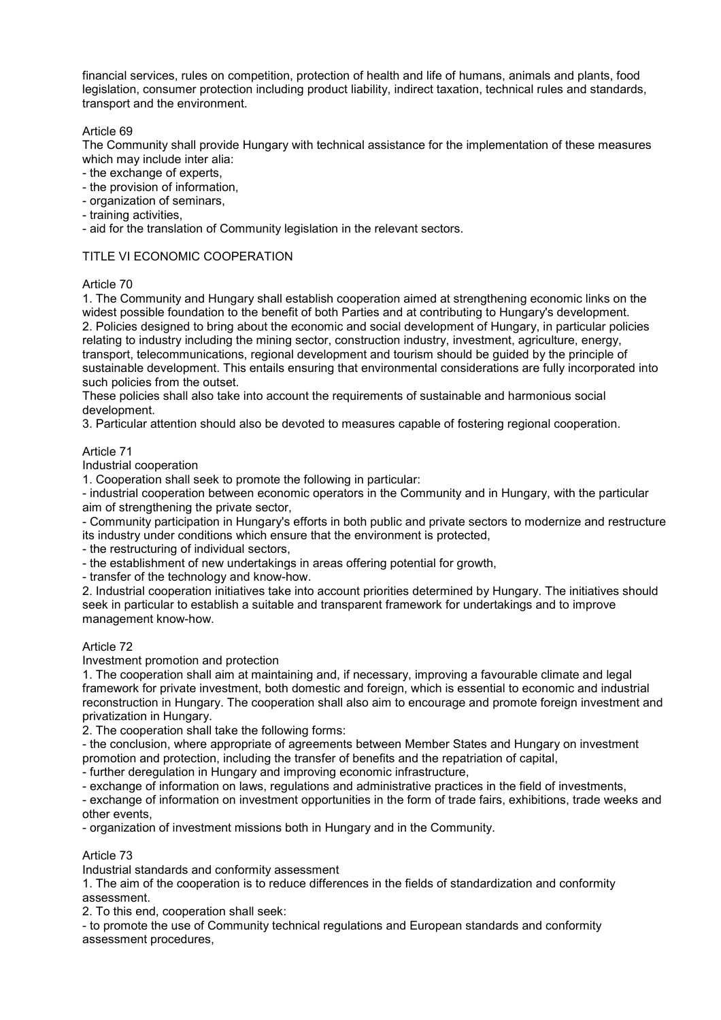financial services, rules on competition, protection of health and life of humans, animals and plants, food legislation, consumer protection including product liability, indirect taxation, technical rules and standards, transport and the environment.

# Article 69

The Community shall provide Hungary with technical assistance for the implementation of these measures which may include inter alia:

- the exchange of experts,
- the provision of information,
- organization of seminars,
- training activities,
- aid for the translation of Community legislation in the relevant sectors.

# TITLE VI ECONOMIC COOPERATION

# Article 70

1. The Community and Hungary shall establish cooperation aimed at strengthening economic links on the widest possible foundation to the benefit of both Parties and at contributing to Hungary's development. 2. Policies designed to bring about the economic and social development of Hungary, in particular policies relating to industry including the mining sector, construction industry, investment, agriculture, energy, transport, telecommunications, regional development and tourism should be guided by the principle of sustainable development. This entails ensuring that environmental considerations are fully incorporated into such policies from the outset.

These policies shall also take into account the requirements of sustainable and harmonious social development.

3. Particular attention should also be devoted to measures capable of fostering regional cooperation.

# Article 71

Industrial cooperation

1. Cooperation shall seek to promote the following in particular:

- industrial cooperation between economic operators in the Community and in Hungary, with the particular aim of strengthening the private sector,

- Community participation in Hungary's efforts in both public and private sectors to modernize and restructure its industry under conditions which ensure that the environment is protected,

- the restructuring of individual sectors,

- the establishment of new undertakings in areas offering potential for growth,

- transfer of the technology and know-how.

2. Industrial cooperation initiatives take into account priorities determined by Hungary. The initiatives should seek in particular to establish a suitable and transparent framework for undertakings and to improve management know-how.

# Article 72

Investment promotion and protection

1. The cooperation shall aim at maintaining and, if necessary, improving a favourable climate and legal framework for private investment, both domestic and foreign, which is essential to economic and industrial reconstruction in Hungary. The cooperation shall also aim to encourage and promote foreign investment and privatization in Hungary.

2. The cooperation shall take the following forms:

- the conclusion, where appropriate of agreements between Member States and Hungary on investment promotion and protection, including the transfer of benefits and the repatriation of capital,

- further deregulation in Hungary and improving economic infrastructure,

- exchange of information on laws, regulations and administrative practices in the field of investments,

- exchange of information on investment opportunities in the form of trade fairs, exhibitions, trade weeks and other events,

- organization of investment missions both in Hungary and in the Community.

# Article 73

Industrial standards and conformity assessment

1. The aim of the cooperation is to reduce differences in the fields of standardization and conformity assessment.

2. To this end, cooperation shall seek:

- to promote the use of Community technical regulations and European standards and conformity assessment procedures,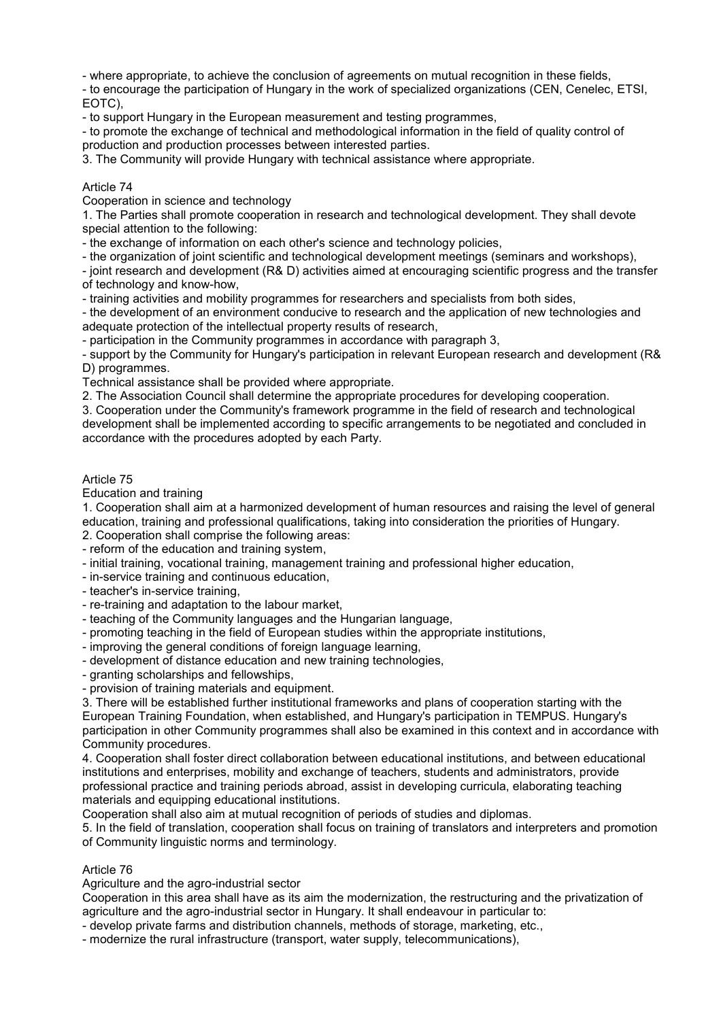- where appropriate, to achieve the conclusion of agreements on mutual recognition in these fields,

- to encourage the participation of Hungary in the work of specialized organizations (CEN, Cenelec, ETSI, EOTC),

- to support Hungary in the European measurement and testing programmes,

- to promote the exchange of technical and methodological information in the field of quality control of production and production processes between interested parties.

3. The Community will provide Hungary with technical assistance where appropriate.

### Article 74

Cooperation in science and technology

1. The Parties shall promote cooperation in research and technological development. They shall devote special attention to the following:

- the exchange of information on each other's science and technology policies,
- the organization of joint scientific and technological development meetings (seminars and workshops),

- joint research and development (R& D) activities aimed at encouraging scientific progress and the transfer of technology and know-how,

- training activities and mobility programmes for researchers and specialists from both sides,

- the development of an environment conducive to research and the application of new technologies and adequate protection of the intellectual property results of research,

- participation in the Community programmes in accordance with paragraph 3,

- support by the Community for Hungary's participation in relevant European research and development (R& D) programmes.

Technical assistance shall be provided where appropriate.

2. The Association Council shall determine the appropriate procedures for developing cooperation.

3. Cooperation under the Community's framework programme in the field of research and technological development shall be implemented according to specific arrangements to be negotiated and concluded in accordance with the procedures adopted by each Party.

### Article 75

Education and training

1. Cooperation shall aim at a harmonized development of human resources and raising the level of general education, training and professional qualifications, taking into consideration the priorities of Hungary.

2. Cooperation shall comprise the following areas:

- reform of the education and training system,
- initial training, vocational training, management training and professional higher education,
- in-service training and continuous education,
- teacher's in-service training,
- re-training and adaptation to the labour market,
- teaching of the Community languages and the Hungarian language,
- promoting teaching in the field of European studies within the appropriate institutions,
- improving the general conditions of foreign language learning,
- development of distance education and new training technologies,
- granting scholarships and fellowships,
- provision of training materials and equipment.

3. There will be established further institutional frameworks and plans of cooperation starting with the European Training Foundation, when established, and Hungary's participation in TEMPUS. Hungary's

participation in other Community programmes shall also be examined in this context and in accordance with Community procedures.

4. Cooperation shall foster direct collaboration between educational institutions, and between educational institutions and enterprises, mobility and exchange of teachers, students and administrators, provide professional practice and training periods abroad, assist in developing curricula, elaborating teaching materials and equipping educational institutions.

Cooperation shall also aim at mutual recognition of periods of studies and diplomas.

5. In the field of translation, cooperation shall focus on training of translators and interpreters and promotion of Community linguistic norms and terminology.

# Article 76

Agriculture and the agro-industrial sector

Cooperation in this area shall have as its aim the modernization, the restructuring and the privatization of agriculture and the agro-industrial sector in Hungary. It shall endeavour in particular to:

- develop private farms and distribution channels, methods of storage, marketing, etc.,

- modernize the rural infrastructure (transport, water supply, telecommunications),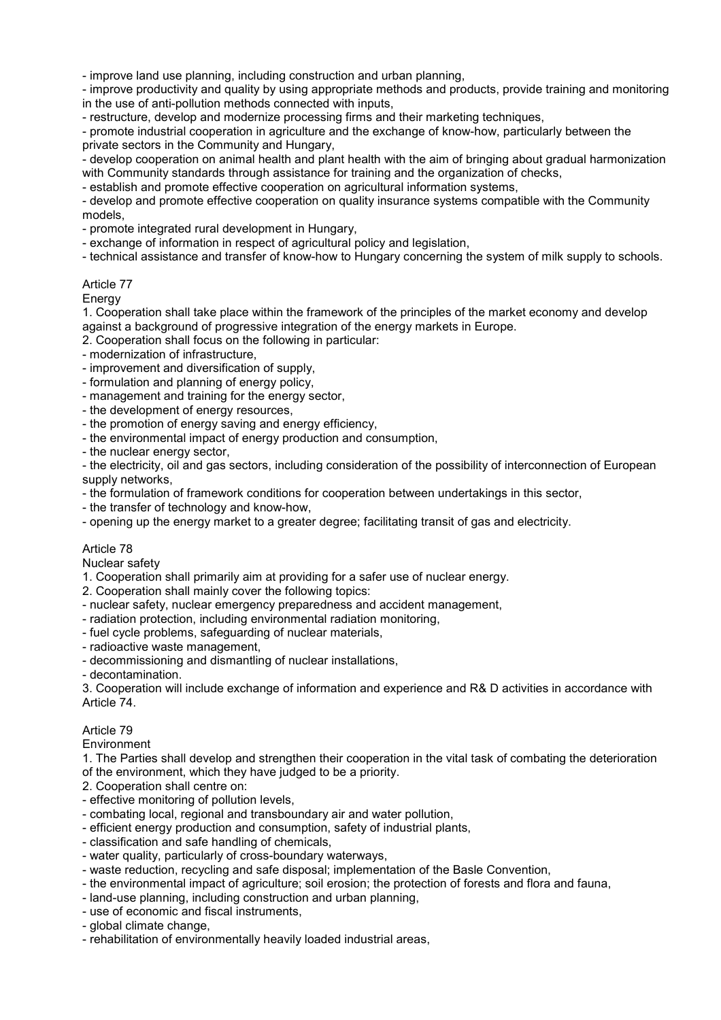- improve land use planning, including construction and urban planning,

- improve productivity and quality by using appropriate methods and products, provide training and monitoring in the use of anti-pollution methods connected with inputs,

- restructure, develop and modernize processing firms and their marketing techniques,

- promote industrial cooperation in agriculture and the exchange of know-how, particularly between the private sectors in the Community and Hungary,

- develop cooperation on animal health and plant health with the aim of bringing about gradual harmonization with Community standards through assistance for training and the organization of checks,

- establish and promote effective cooperation on agricultural information systems,

- develop and promote effective cooperation on quality insurance systems compatible with the Community models,

- promote integrated rural development in Hungary,

- exchange of information in respect of agricultural policy and legislation,

- technical assistance and transfer of know-how to Hungary concerning the system of milk supply to schools.

# Article 77

Energy

1. Cooperation shall take place within the framework of the principles of the market economy and develop against a background of progressive integration of the energy markets in Europe.

2. Cooperation shall focus on the following in particular:

- modernization of infrastructure,

- improvement and diversification of supply,

- formulation and planning of energy policy,

- management and training for the energy sector,

- the development of energy resources,
- the promotion of energy saving and energy efficiency,
- the environmental impact of energy production and consumption,

- the nuclear energy sector,

- the electricity, oil and gas sectors, including consideration of the possibility of interconnection of European supply networks,

- the formulation of framework conditions for cooperation between undertakings in this sector,

- the transfer of technology and know-how,

- opening up the energy market to a greater degree; facilitating transit of gas and electricity.

# Article 78

Nuclear safety

1. Cooperation shall primarily aim at providing for a safer use of nuclear energy.

2. Cooperation shall mainly cover the following topics:

- nuclear safety, nuclear emergency preparedness and accident management,

- radiation protection, including environmental radiation monitoring,

- fuel cycle problems, safeguarding of nuclear materials,

- radioactive waste management,

- decommissioning and dismantling of nuclear installations,

- decontamination.

3. Cooperation will include exchange of information and experience and R& D activities in accordance with Article 74.

# Article 79

**Environment** 

1. The Parties shall develop and strengthen their cooperation in the vital task of combating the deterioration of the environment, which they have judged to be a priority.

2. Cooperation shall centre on:

- effective monitoring of pollution levels,

- combating local, regional and transboundary air and water pollution,

- efficient energy production and consumption, safety of industrial plants,

- classification and safe handling of chemicals,

- water quality, particularly of cross-boundary waterways,

- waste reduction, recycling and safe disposal; implementation of the Basle Convention,

- the environmental impact of agriculture; soil erosion; the protection of forests and flora and fauna,

- land-use planning, including construction and urban planning,

- use of economic and fiscal instruments,

- global climate change,

- rehabilitation of environmentally heavily loaded industrial areas,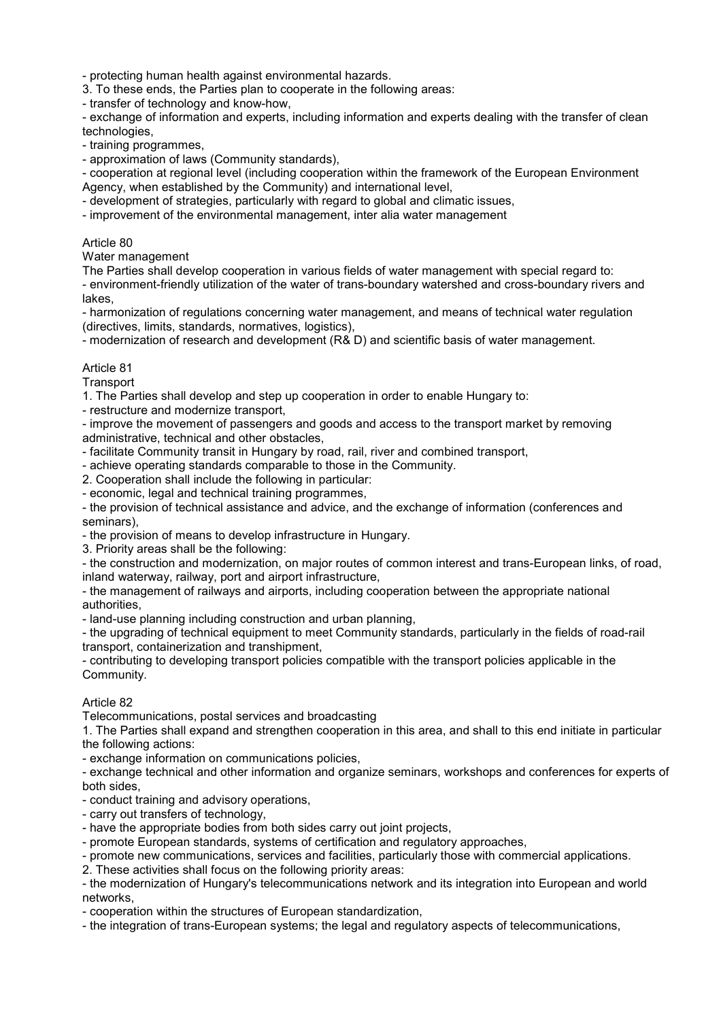- protecting human health against environmental hazards.

3. To these ends, the Parties plan to cooperate in the following areas:

- transfer of technology and know-how,

- exchange of information and experts, including information and experts dealing with the transfer of clean technologies,

- training programmes,

- approximation of laws (Community standards),

- cooperation at regional level (including cooperation within the framework of the European Environment Agency, when established by the Community) and international level,

- development of strategies, particularly with regard to global and climatic issues,
- improvement of the environmental management, inter alia water management

### Article 80

Water management

The Parties shall develop cooperation in various fields of water management with special regard to:

- environment-friendly utilization of the water of trans-boundary watershed and cross-boundary rivers and lakes,

- harmonization of regulations concerning water management, and means of technical water regulation (directives, limits, standards, normatives, logistics),

- modernization of research and development (R& D) and scientific basis of water management.

### Article 81

**Transport** 

1. The Parties shall develop and step up cooperation in order to enable Hungary to:

- restructure and modernize transport,

- improve the movement of passengers and goods and access to the transport market by removing administrative, technical and other obstacles,

- facilitate Community transit in Hungary by road, rail, river and combined transport,

- achieve operating standards comparable to those in the Community.

2. Cooperation shall include the following in particular:

- economic, legal and technical training programmes,

- the provision of technical assistance and advice, and the exchange of information (conferences and seminars),

- the provision of means to develop infrastructure in Hungary.

3. Priority areas shall be the following:

- the construction and modernization, on major routes of common interest and trans-European links, of road, inland waterway, railway, port and airport infrastructure,

- the management of railways and airports, including cooperation between the appropriate national authorities,

- land-use planning including construction and urban planning,

- the upgrading of technical equipment to meet Community standards, particularly in the fields of road-rail transport, containerization and transhipment,

- contributing to developing transport policies compatible with the transport policies applicable in the Community.

# Article 82

Telecommunications, postal services and broadcasting

1. The Parties shall expand and strengthen cooperation in this area, and shall to this end initiate in particular the following actions:

- exchange information on communications policies,

- exchange technical and other information and organize seminars, workshops and conferences for experts of both sides,

- conduct training and advisory operations,

- carry out transfers of technology,
- have the appropriate bodies from both sides carry out joint projects,

- promote European standards, systems of certification and regulatory approaches,

- promote new communications, services and facilities, particularly those with commercial applications.

2. These activities shall focus on the following priority areas:

- the modernization of Hungary's telecommunications network and its integration into European and world networks,

- cooperation within the structures of European standardization,

- the integration of trans-European systems; the legal and regulatory aspects of telecommunications,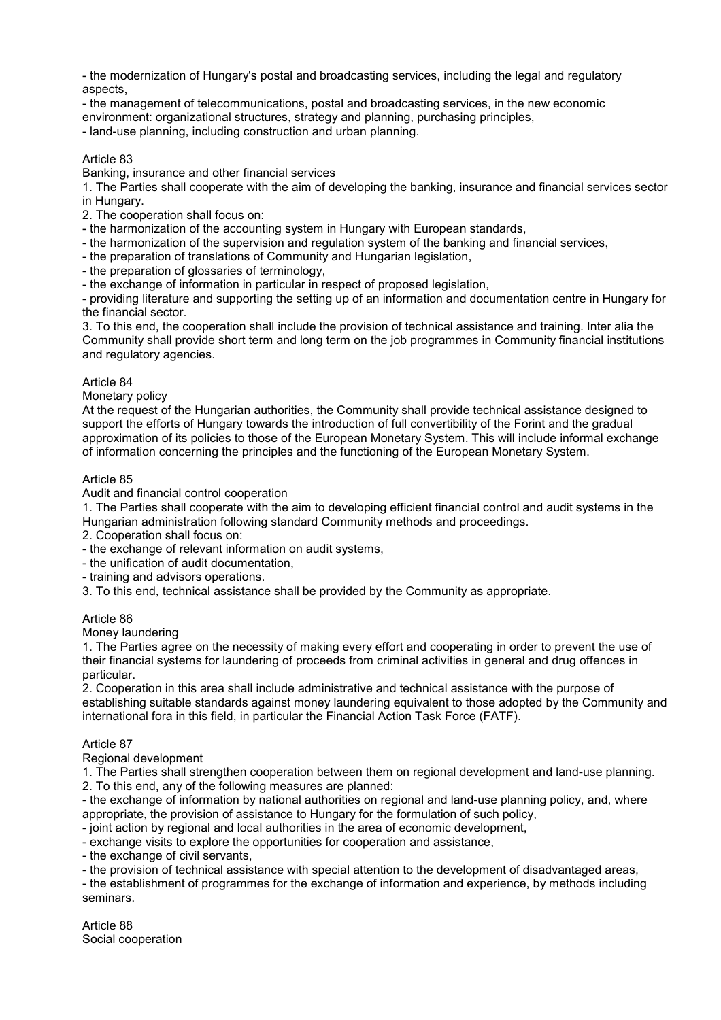- the modernization of Hungary's postal and broadcasting services, including the legal and regulatory aspects,

- the management of telecommunications, postal and broadcasting services, in the new economic

environment: organizational structures, strategy and planning, purchasing principles,

- land-use planning, including construction and urban planning.

# Article 83

Banking, insurance and other financial services

1. The Parties shall cooperate with the aim of developing the banking, insurance and financial services sector in Hungary.

2. The cooperation shall focus on:

- the harmonization of the accounting system in Hungary with European standards,

- the harmonization of the supervision and regulation system of the banking and financial services,

- the preparation of translations of Community and Hungarian legislation,
- the preparation of glossaries of terminology,

- the exchange of information in particular in respect of proposed legislation,

- providing literature and supporting the setting up of an information and documentation centre in Hungary for the financial sector.

3. To this end, the cooperation shall include the provision of technical assistance and training. Inter alia the Community shall provide short term and long term on the job programmes in Community financial institutions and regulatory agencies.

# Article 84

Monetary policy

At the request of the Hungarian authorities, the Community shall provide technical assistance designed to support the efforts of Hungary towards the introduction of full convertibility of the Forint and the gradual approximation of its policies to those of the European Monetary System. This will include informal exchange of information concerning the principles and the functioning of the European Monetary System.

# Article 85

Audit and financial control cooperation

1. The Parties shall cooperate with the aim to developing efficient financial control and audit systems in the Hungarian administration following standard Community methods and proceedings.

2. Cooperation shall focus on:

- the exchange of relevant information on audit systems,

- the unification of audit documentation,

- training and advisors operations.

3. To this end, technical assistance shall be provided by the Community as appropriate.

# Article 86

Money laundering

1. The Parties agree on the necessity of making every effort and cooperating in order to prevent the use of their financial systems for laundering of proceeds from criminal activities in general and drug offences in particular.

2. Cooperation in this area shall include administrative and technical assistance with the purpose of establishing suitable standards against money laundering equivalent to those adopted by the Community and international fora in this field, in particular the Financial Action Task Force (FATF).

# Article 87

Regional development

1. The Parties shall strengthen cooperation between them on regional development and land-use planning. 2. To this end, any of the following measures are planned:

- the exchange of information by national authorities on regional and land-use planning policy, and, where appropriate, the provision of assistance to Hungary for the formulation of such policy,

- joint action by regional and local authorities in the area of economic development,

- exchange visits to explore the opportunities for cooperation and assistance,

- the exchange of civil servants,

- the provision of technical assistance with special attention to the development of disadvantaged areas,

- the establishment of programmes for the exchange of information and experience, by methods including seminars.

Article 88 Social cooperation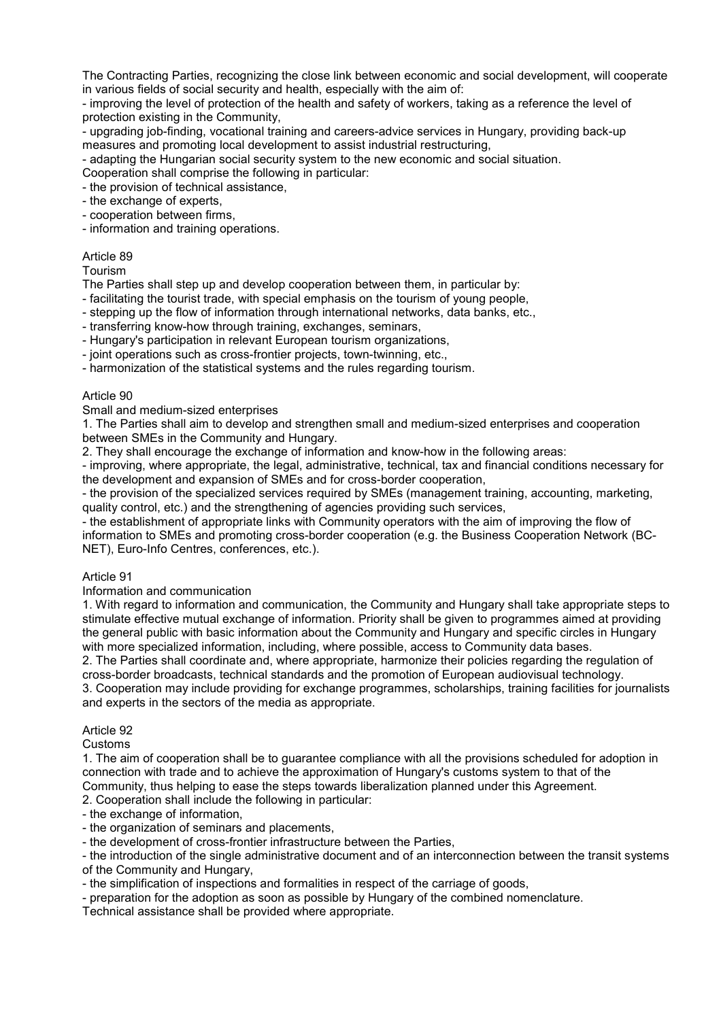The Contracting Parties, recognizing the close link between economic and social development, will cooperate in various fields of social security and health, especially with the aim of:

- improving the level of protection of the health and safety of workers, taking as a reference the level of protection existing in the Community,

- upgrading job-finding, vocational training and careers-advice services in Hungary, providing back-up measures and promoting local development to assist industrial restructuring,

- adapting the Hungarian social security system to the new economic and social situation.

Cooperation shall comprise the following in particular:

- the provision of technical assistance,

- the exchange of experts,
- cooperation between firms,

- information and training operations.

### Article 89

Tourism

The Parties shall step up and develop cooperation between them, in particular by:

- facilitating the tourist trade, with special emphasis on the tourism of young people,

- stepping up the flow of information through international networks, data banks, etc.,
- transferring know-how through training, exchanges, seminars,

- Hungary's participation in relevant European tourism organizations,

- joint operations such as cross-frontier projects, town-twinning, etc.,

- harmonization of the statistical systems and the rules regarding tourism.

### Article 90

Small and medium-sized enterprises

1. The Parties shall aim to develop and strengthen small and medium-sized enterprises and cooperation between SMEs in the Community and Hungary.

2. They shall encourage the exchange of information and know-how in the following areas:

- improving, where appropriate, the legal, administrative, technical, tax and financial conditions necessary for the development and expansion of SMEs and for cross-border cooperation,

- the provision of the specialized services required by SMEs (management training, accounting, marketing, quality control, etc.) and the strengthening of agencies providing such services,

- the establishment of appropriate links with Community operators with the aim of improving the flow of information to SMEs and promoting cross-border cooperation (e.g. the Business Cooperation Network (BC-NET), Euro-Info Centres, conferences, etc.).

# Article 91

Information and communication

1. With regard to information and communication, the Community and Hungary shall take appropriate steps to stimulate effective mutual exchange of information. Priority shall be given to programmes aimed at providing the general public with basic information about the Community and Hungary and specific circles in Hungary with more specialized information, including, where possible, access to Community data bases.

2. The Parties shall coordinate and, where appropriate, harmonize their policies regarding the regulation of cross-border broadcasts, technical standards and the promotion of European audiovisual technology. 3. Cooperation may include providing for exchange programmes, scholarships, training facilities for journalists and experts in the sectors of the media as appropriate.

# Article 92

#### Customs

1. The aim of cooperation shall be to guarantee compliance with all the provisions scheduled for adoption in connection with trade and to achieve the approximation of Hungary's customs system to that of the Community, thus helping to ease the steps towards liberalization planned under this Agreement.

2. Cooperation shall include the following in particular:

- the exchange of information,
- the organization of seminars and placements,

- the development of cross-frontier infrastructure between the Parties,

- the introduction of the single administrative document and of an interconnection between the transit systems of the Community and Hungary,

- the simplification of inspections and formalities in respect of the carriage of goods,

- preparation for the adoption as soon as possible by Hungary of the combined nomenclature.

Technical assistance shall be provided where appropriate.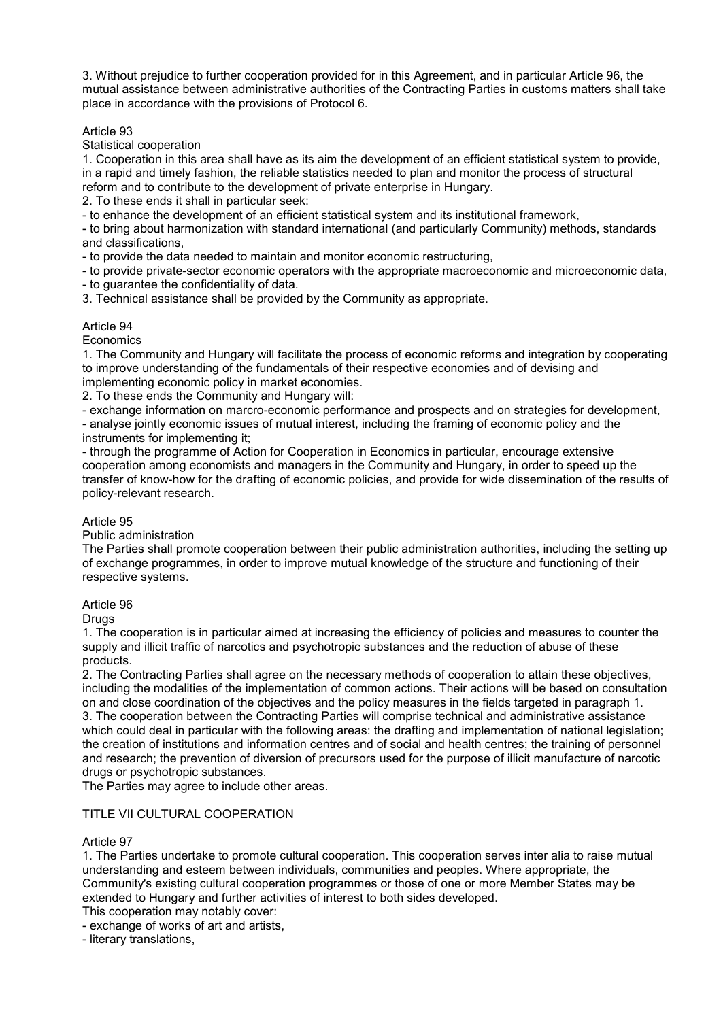3. Without prejudice to further cooperation provided for in this Agreement, and in particular Article 96, the mutual assistance between administrative authorities of the Contracting Parties in customs matters shall take place in accordance with the provisions of Protocol 6.

# Article 93

### Statistical cooperation

1. Cooperation in this area shall have as its aim the development of an efficient statistical system to provide, in a rapid and timely fashion, the reliable statistics needed to plan and monitor the process of structural reform and to contribute to the development of private enterprise in Hungary.

2. To these ends it shall in particular seek:

- to enhance the development of an efficient statistical system and its institutional framework,

- to bring about harmonization with standard international (and particularly Community) methods, standards and classifications,

- to provide the data needed to maintain and monitor economic restructuring,

- to provide private-sector economic operators with the appropriate macroeconomic and microeconomic data,

- to guarantee the confidentiality of data.

3. Technical assistance shall be provided by the Community as appropriate.

# Article 94

### **Economics**

1. The Community and Hungary will facilitate the process of economic reforms and integration by cooperating to improve understanding of the fundamentals of their respective economies and of devising and implementing economic policy in market economies.

2. To these ends the Community and Hungary will:

- exchange information on marcro-economic performance and prospects and on strategies for development, - analyse jointly economic issues of mutual interest, including the framing of economic policy and the instruments for implementing it;

- through the programme of Action for Cooperation in Economics in particular, encourage extensive cooperation among economists and managers in the Community and Hungary, in order to speed up the transfer of know-how for the drafting of economic policies, and provide for wide dissemination of the results of policy-relevant research.

# Article 95

Public administration

The Parties shall promote cooperation between their public administration authorities, including the setting up of exchange programmes, in order to improve mutual knowledge of the structure and functioning of their respective systems.

#### Article 96

Drugs

1. The cooperation is in particular aimed at increasing the efficiency of policies and measures to counter the supply and illicit traffic of narcotics and psychotropic substances and the reduction of abuse of these products.

2. The Contracting Parties shall agree on the necessary methods of cooperation to attain these objectives, including the modalities of the implementation of common actions. Their actions will be based on consultation on and close coordination of the objectives and the policy measures in the fields targeted in paragraph 1. 3. The cooperation between the Contracting Parties will comprise technical and administrative assistance which could deal in particular with the following areas: the drafting and implementation of national legislation; the creation of institutions and information centres and of social and health centres; the training of personnel and research; the prevention of diversion of precursors used for the purpose of illicit manufacture of narcotic drugs or psychotropic substances.

The Parties may agree to include other areas.

# TITLE VII CULTURAL COOPERATION

# Article 97

1. The Parties undertake to promote cultural cooperation. This cooperation serves inter alia to raise mutual understanding and esteem between individuals, communities and peoples. Where appropriate, the Community's existing cultural cooperation programmes or those of one or more Member States may be extended to Hungary and further activities of interest to both sides developed.

This cooperation may notably cover:

- exchange of works of art and artists,

- literary translations,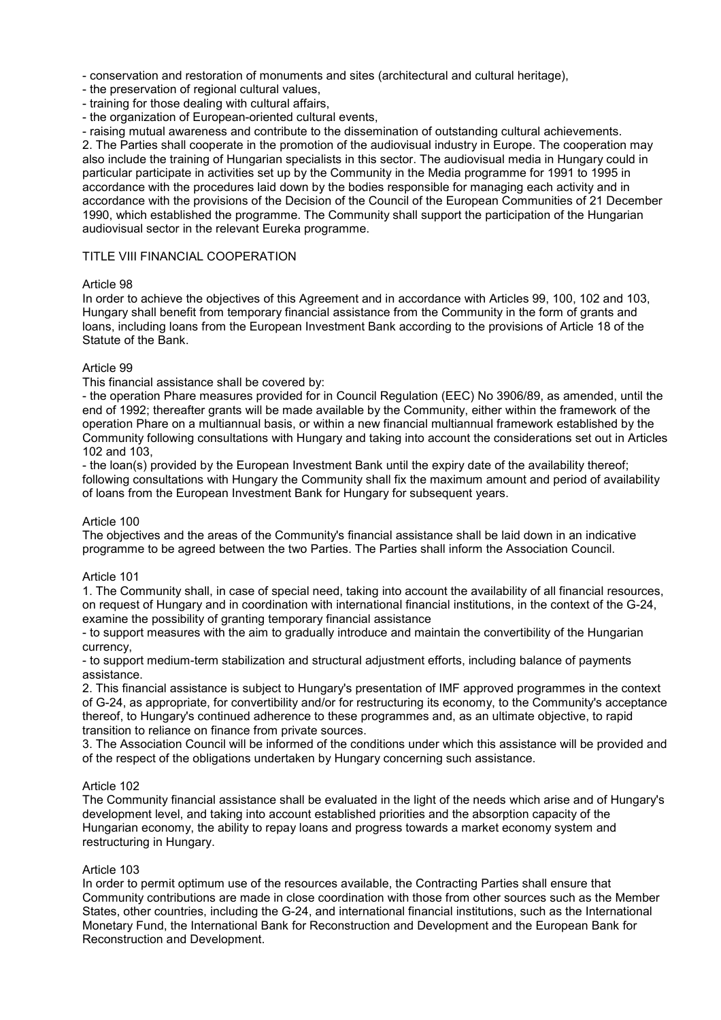- conservation and restoration of monuments and sites (architectural and cultural heritage),

- the preservation of regional cultural values,
- training for those dealing with cultural affairs,
- the organization of European-oriented cultural events,

- raising mutual awareness and contribute to the dissemination of outstanding cultural achievements.

2. The Parties shall cooperate in the promotion of the audiovisual industry in Europe. The cooperation may also include the training of Hungarian specialists in this sector. The audiovisual media in Hungary could in particular participate in activities set up by the Community in the Media programme for 1991 to 1995 in accordance with the procedures laid down by the bodies responsible for managing each activity and in accordance with the provisions of the Decision of the Council of the European Communities of 21 December 1990, which established the programme. The Community shall support the participation of the Hungarian audiovisual sector in the relevant Eureka programme.

### TITLE VIII FINANCIAL COOPERATION

### Article 98

In order to achieve the objectives of this Agreement and in accordance with Articles 99, 100, 102 and 103, Hungary shall benefit from temporary financial assistance from the Community in the form of grants and loans, including loans from the European Investment Bank according to the provisions of Article 18 of the Statute of the Bank.

### Article 99

#### This financial assistance shall be covered by:

- the operation Phare measures provided for in Council Regulation (EEC) No 3906/89, as amended, until the end of 1992; thereafter grants will be made available by the Community, either within the framework of the operation Phare on a multiannual basis, or within a new financial multiannual framework established by the Community following consultations with Hungary and taking into account the considerations set out in Articles 102 and 103,

- the loan(s) provided by the European Investment Bank until the expiry date of the availability thereof; following consultations with Hungary the Community shall fix the maximum amount and period of availability of loans from the European Investment Bank for Hungary for subsequent years.

#### Article 100

The objectives and the areas of the Community's financial assistance shall be laid down in an indicative programme to be agreed between the two Parties. The Parties shall inform the Association Council.

#### Article 101

1. The Community shall, in case of special need, taking into account the availability of all financial resources, on request of Hungary and in coordination with international financial institutions, in the context of the G-24, examine the possibility of granting temporary financial assistance

- to support measures with the aim to gradually introduce and maintain the convertibility of the Hungarian currency,

- to support medium-term stabilization and structural adjustment efforts, including balance of payments assistance.

2. This financial assistance is subject to Hungary's presentation of IMF approved programmes in the context of G-24, as appropriate, for convertibility and/or for restructuring its economy, to the Community's acceptance thereof, to Hungary's continued adherence to these programmes and, as an ultimate objective, to rapid transition to reliance on finance from private sources.

3. The Association Council will be informed of the conditions under which this assistance will be provided and of the respect of the obligations undertaken by Hungary concerning such assistance.

#### Article 102

The Community financial assistance shall be evaluated in the light of the needs which arise and of Hungary's development level, and taking into account established priorities and the absorption capacity of the Hungarian economy, the ability to repay loans and progress towards a market economy system and restructuring in Hungary.

#### Article 103

In order to permit optimum use of the resources available, the Contracting Parties shall ensure that Community contributions are made in close coordination with those from other sources such as the Member States, other countries, including the G-24, and international financial institutions, such as the International Monetary Fund, the International Bank for Reconstruction and Development and the European Bank for Reconstruction and Development.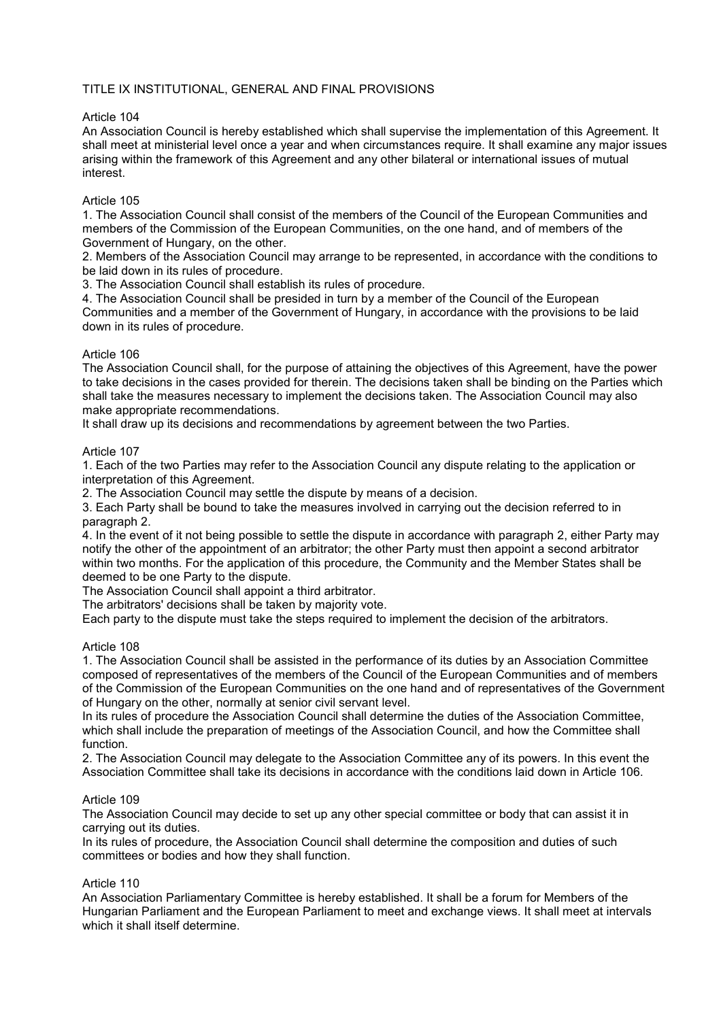# TITLE IX INSTITUTIONAL, GENERAL AND FINAL PROVISIONS

### Article 104

An Association Council is hereby established which shall supervise the implementation of this Agreement. It shall meet at ministerial level once a year and when circumstances require. It shall examine any major issues arising within the framework of this Agreement and any other bilateral or international issues of mutual interest.

### Article 105

1. The Association Council shall consist of the members of the Council of the European Communities and members of the Commission of the European Communities, on the one hand, and of members of the Government of Hungary, on the other.

2. Members of the Association Council may arrange to be represented, in accordance with the conditions to be laid down in its rules of procedure.

3. The Association Council shall establish its rules of procedure.

4. The Association Council shall be presided in turn by a member of the Council of the European Communities and a member of the Government of Hungary, in accordance with the provisions to be laid down in its rules of procedure.

### Article 106

The Association Council shall, for the purpose of attaining the objectives of this Agreement, have the power to take decisions in the cases provided for therein. The decisions taken shall be binding on the Parties which shall take the measures necessary to implement the decisions taken. The Association Council may also make appropriate recommendations.

It shall draw up its decisions and recommendations by agreement between the two Parties.

#### Article 107

1. Each of the two Parties may refer to the Association Council any dispute relating to the application or interpretation of this Agreement.

2. The Association Council may settle the dispute by means of a decision.

3. Each Party shall be bound to take the measures involved in carrying out the decision referred to in paragraph 2.

4. In the event of it not being possible to settle the dispute in accordance with paragraph 2, either Party may notify the other of the appointment of an arbitrator; the other Party must then appoint a second arbitrator within two months. For the application of this procedure, the Community and the Member States shall be deemed to be one Party to the dispute.

The Association Council shall appoint a third arbitrator.

The arbitrators' decisions shall be taken by majority vote.

Each party to the dispute must take the steps required to implement the decision of the arbitrators.

# Article 108

1. The Association Council shall be assisted in the performance of its duties by an Association Committee composed of representatives of the members of the Council of the European Communities and of members of the Commission of the European Communities on the one hand and of representatives of the Government of Hungary on the other, normally at senior civil servant level.

In its rules of procedure the Association Council shall determine the duties of the Association Committee, which shall include the preparation of meetings of the Association Council, and how the Committee shall function.

2. The Association Council may delegate to the Association Committee any of its powers. In this event the Association Committee shall take its decisions in accordance with the conditions laid down in Article 106.

#### Article 109

The Association Council may decide to set up any other special committee or body that can assist it in carrying out its duties.

In its rules of procedure, the Association Council shall determine the composition and duties of such committees or bodies and how they shall function.

#### Article 110

An Association Parliamentary Committee is hereby established. It shall be a forum for Members of the Hungarian Parliament and the European Parliament to meet and exchange views. It shall meet at intervals which it shall itself determine.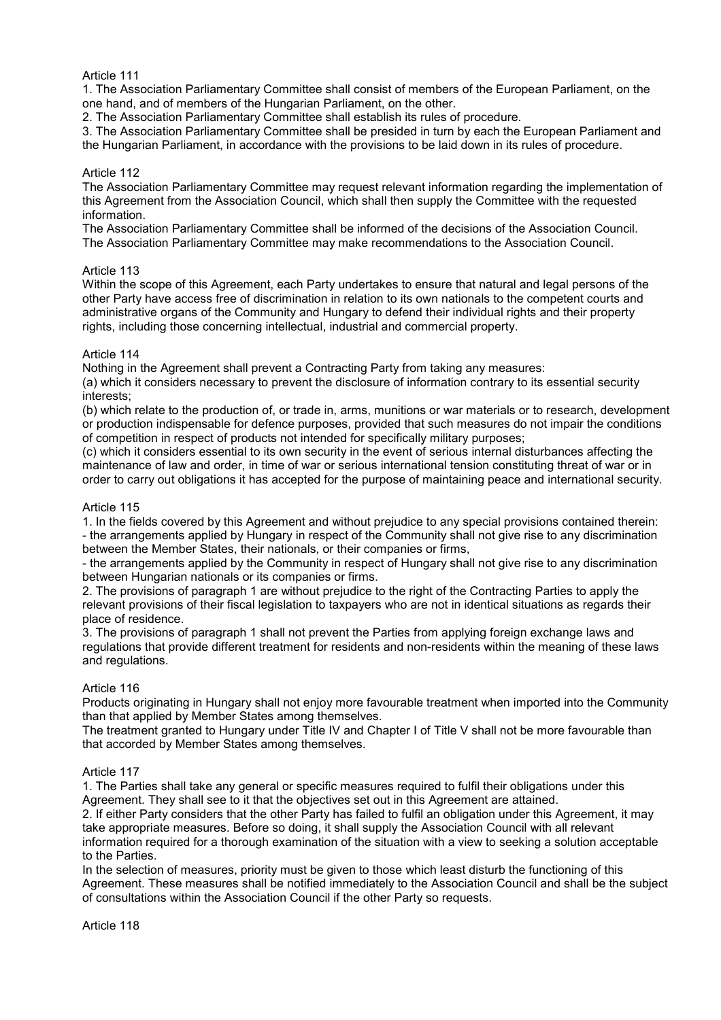### Article 111

1. The Association Parliamentary Committee shall consist of members of the European Parliament, on the one hand, and of members of the Hungarian Parliament, on the other.

2. The Association Parliamentary Committee shall establish its rules of procedure.

3. The Association Parliamentary Committee shall be presided in turn by each the European Parliament and the Hungarian Parliament, in accordance with the provisions to be laid down in its rules of procedure.

#### Article 112

The Association Parliamentary Committee may request relevant information regarding the implementation of this Agreement from the Association Council, which shall then supply the Committee with the requested information.

The Association Parliamentary Committee shall be informed of the decisions of the Association Council. The Association Parliamentary Committee may make recommendations to the Association Council.

#### Article 113

Within the scope of this Agreement, each Party undertakes to ensure that natural and legal persons of the other Party have access free of discrimination in relation to its own nationals to the competent courts and administrative organs of the Community and Hungary to defend their individual rights and their property rights, including those concerning intellectual, industrial and commercial property.

### Article 114

Nothing in the Agreement shall prevent a Contracting Party from taking any measures:

(a) which it considers necessary to prevent the disclosure of information contrary to its essential security interests;

(b) which relate to the production of, or trade in, arms, munitions or war materials or to research, development or production indispensable for defence purposes, provided that such measures do not impair the conditions of competition in respect of products not intended for specifically military purposes;

(c) which it considers essential to its own security in the event of serious internal disturbances affecting the maintenance of law and order, in time of war or serious international tension constituting threat of war or in order to carry out obligations it has accepted for the purpose of maintaining peace and international security.

#### Article 115

1. In the fields covered by this Agreement and without prejudice to any special provisions contained therein: - the arrangements applied by Hungary in respect of the Community shall not give rise to any discrimination between the Member States, their nationals, or their companies or firms,

- the arrangements applied by the Community in respect of Hungary shall not give rise to any discrimination between Hungarian nationals or its companies or firms.

2. The provisions of paragraph 1 are without prejudice to the right of the Contracting Parties to apply the relevant provisions of their fiscal legislation to taxpayers who are not in identical situations as regards their place of residence.

3. The provisions of paragraph 1 shall not prevent the Parties from applying foreign exchange laws and regulations that provide different treatment for residents and non-residents within the meaning of these laws and regulations.

#### Article 116

Products originating in Hungary shall not enjoy more favourable treatment when imported into the Community than that applied by Member States among themselves.

The treatment granted to Hungary under Title IV and Chapter I of Title V shall not be more favourable than that accorded by Member States among themselves.

#### Article 117

1. The Parties shall take any general or specific measures required to fulfil their obligations under this Agreement. They shall see to it that the objectives set out in this Agreement are attained.

2. If either Party considers that the other Party has failed to fulfil an obligation under this Agreement, it may take appropriate measures. Before so doing, it shall supply the Association Council with all relevant information required for a thorough examination of the situation with a view to seeking a solution acceptable to the Parties.

In the selection of measures, priority must be given to those which least disturb the functioning of this Agreement. These measures shall be notified immediately to the Association Council and shall be the subject of consultations within the Association Council if the other Party so requests.

Article 118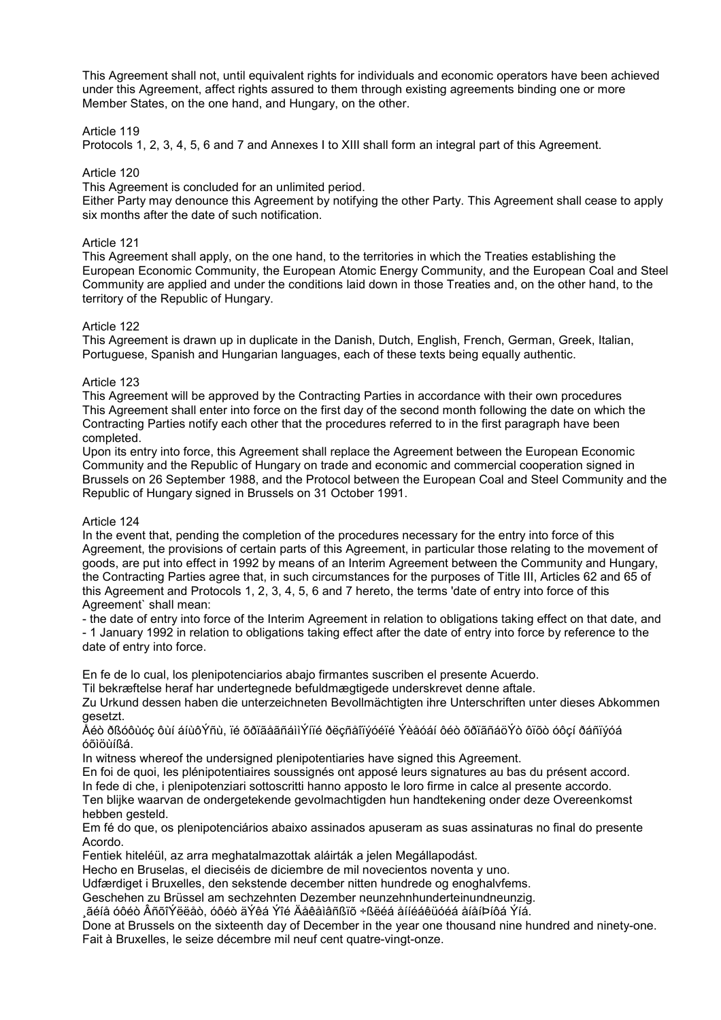This Agreement shall not, until equivalent rights for individuals and economic operators have been achieved under this Agreement, affect rights assured to them through existing agreements binding one or more Member States, on the one hand, and Hungary, on the other.

### Article 119

Protocols 1, 2, 3, 4, 5, 6 and 7 and Annexes I to XIII shall form an integral part of this Agreement.

#### Article 120

This Agreement is concluded for an unlimited period.

Either Party may denounce this Agreement by notifying the other Party. This Agreement shall cease to apply six months after the date of such notification.

#### Article 121

This Agreement shall apply, on the one hand, to the territories in which the Treaties establishing the European Economic Community, the European Atomic Energy Community, and the European Coal and Steel Community are applied and under the conditions laid down in those Treaties and, on the other hand, to the territory of the Republic of Hungary.

#### Article 122

This Agreement is drawn up in duplicate in the Danish, Dutch, English, French, German, Greek, Italian, Portuguese, Spanish and Hungarian languages, each of these texts being equally authentic.

#### Article 123

This Agreement will be approved by the Contracting Parties in accordance with their own procedures This Agreement shall enter into force on the first day of the second month following the date on which the Contracting Parties notify each other that the procedures referred to in the first paragraph have been completed.

Upon its entry into force, this Agreement shall replace the Agreement between the European Economic Community and the Republic of Hungary on trade and economic and commercial cooperation signed in Brussels on 26 September 1988, and the Protocol between the European Coal and Steel Community and the Republic of Hungary signed in Brussels on 31 October 1991.

#### Article 124

In the event that, pending the completion of the procedures necessary for the entry into force of this Agreement, the provisions of certain parts of this Agreement, in particular those relating to the movement of goods, are put into effect in 1992 by means of an Interim Agreement between the Community and Hungary, the Contracting Parties agree that, in such circumstances for the purposes of Title III, Articles 62 and 65 of this Agreement and Protocols 1, 2, 3, 4, 5, 6 and 7 hereto, the terms 'date of entry into force of this Agreement` shall mean:

- the date of entry into force of the Interim Agreement in relation to obligations taking effect on that date, and - 1 January 1992 in relation to obligations taking effect after the date of entry into force by reference to the date of entry into force.

En fe de lo cual, los plenipotenciarios abajo firmantes suscriben el presente Acuerdo.

Til bekræftelse heraf har undertegnede befuldmægtigede underskrevet denne aftale.

Zu Urkund dessen haben die unterzeichneten Bevollmächtigten ihre Unterschriften unter dieses Abkommen gesetzt.

Åéò ðßóôùóç ôùí áíùôÝñù, ïé õðïãåãñáììÝíïé ðëçñåîïýóéïé Ýèåóáí ôéò õðïãñáöÝò ôïõò óôçí ðáñïýóá óõìöùíßá.

In witness whereof the undersigned plenipotentiaries have signed this Agreement.

En foi de quoi, les plénipotentiaires soussignés ont apposé leurs signatures au bas du présent accord. In fede di che, i plenipotenziari sottoscritti hanno apposto le loro firme in calce al presente accordo. Ten blijke waarvan de ondergetekende gevolmachtigden hun handtekening onder deze Overeenkomst

hebben gesteld.

Em fé do que, os plenipotenciários abaixo assinados apuseram as suas assinaturas no final do presente Acordo.

Fentiek hiteléül, az arra meghatalmazottak aláirták a jelen Megállapodást.

Hecho en Bruselas, el dieciséis de diciembre de mil novecientos noventa y uno.

Udfærdiget i Bruxelles, den sekstende december nitten hundrede og enoghalvfems.

Geschehen zu Brüssel am sechzehnten Dezember neunzehnhunderteinundneunzig.

¸ãéíå óôéò ÂñõîÝëëåò, óôéò äÝêá Ýîé Äåêåìâñßïõ ÷ßëéá åííéáêüóéá åíåíÞíôá Ýíá.

Done at Brussels on the sixteenth day of December in the year one thousand nine hundred and ninety-one. Fait à Bruxelles, le seize décembre mil neuf cent quatre-vingt-onze.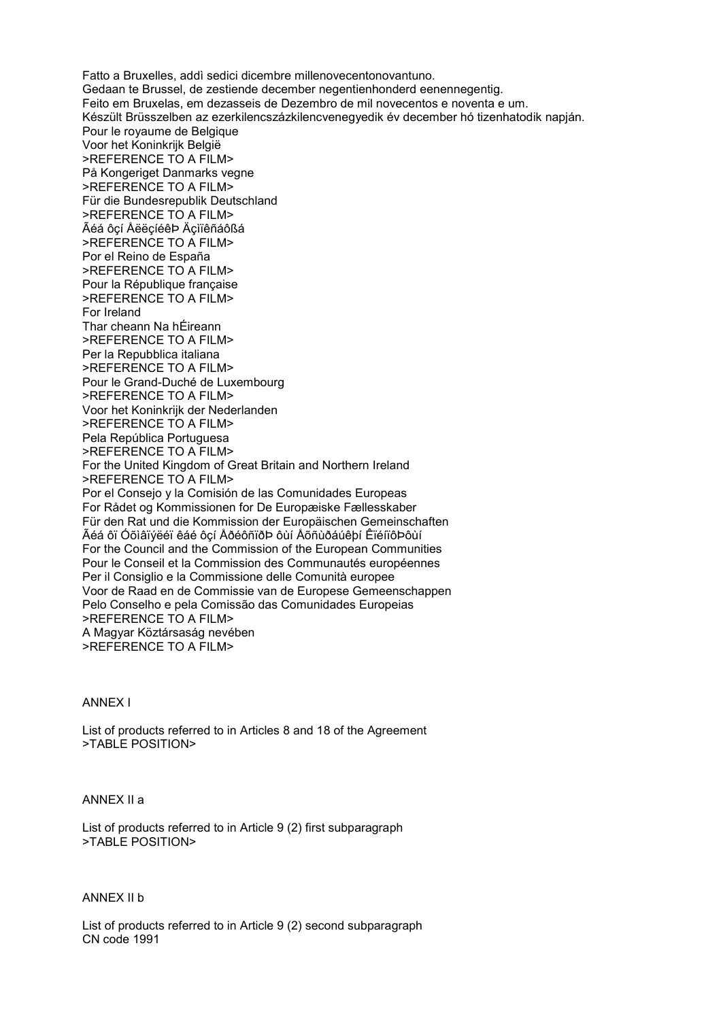Fatto a Bruxelles, addì sedici dicembre millenovecentonovantuno. Gedaan te Brussel, de zestiende december negentienhonderd eenennegentig. Feito em Bruxelas, em dezasseis de Dezembro de mil novecentos e noventa e um. Készült Brüsszelben az ezerkilencszázkilencvenegyedik év december hó tizenhatodik napján. Pour le royaume de Belgique Voor het Koninkrijk België >REFERENCE TO A FILM> På Kongeriget Danmarks vegne >REFERENCE TO A FILM> Für die Bundesrepublik Deutschland >REFERENCE TO A FILM> Ãéá ôçí ÅëëçíéêÞ Äçìïêñáôßá >REFERENCE TO A FILM> Por el Reino de España >REFERENCE TO A FILM> Pour la République française >REFERENCE TO A FILM> For Ireland Thar cheann Na hÉireann >REFERENCE TO A FILM> Per la Repubblica italiana >REFERENCE TO A FILM> Pour le Grand-Duché de Luxembourg >REFERENCE TO A FILM> Voor het Koninkrijk der Nederlanden >REFERENCE TO A FILM> Pela República Portuguesa >REFERENCE TO A FILM> For the United Kingdom of Great Britain and Northern Ireland >REFERENCE TO A FILM> Por el Consejo y la Comisión de las Comunidades Europeas For Rådet og Kommissionen for De Europæiske Fællesskaber Für den Rat und die Kommission der Europäischen Gemeinschaften Ãéá ôï Óõìâïýëéï êáé ôçí ÅðéôñïðÞ ôùí Åõñùðáúêþí ÊïéíïôÞôùí For the Council and the Commission of the European Communities Pour le Conseil et la Commission des Communautés européennes Per il Consiglio e la Commissione delle Comunità europee Voor de Raad en de Commissie van de Europese Gemeenschappen Pelo Conselho e pela Comissão das Comunidades Europeias >REFERENCE TO A FILM> A Magyar Köztársaság nevében >REFERENCE TO A FILM>

#### ANNEX I

List of products referred to in Articles 8 and 18 of the Agreement >TABLE POSITION>

#### ANNEX II a

List of products referred to in Article 9 (2) first subparagraph >TABLE POSITION>

#### ANNEX II b

List of products referred to in Article 9 (2) second subparagraph CN code 1991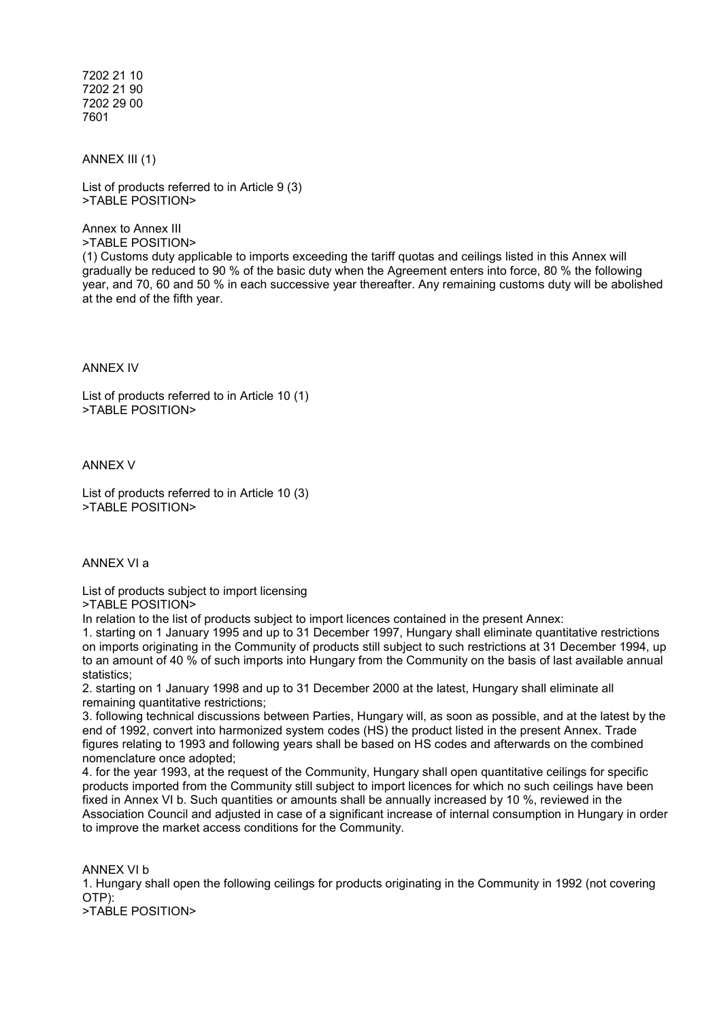7202 21 10 7202 21 90 7202 29 00 7601

ANNEX III (1)

List of products referred to in Article 9 (3) >TABLE POSITION>

Annex to Annex III >TABLE POSITION>

(1) Customs duty applicable to imports exceeding the tariff quotas and ceilings listed in this Annex will gradually be reduced to 90 % of the basic duty when the Agreement enters into force, 80 % the following year, and 70, 60 and 50 % in each successive year thereafter. Any remaining customs duty will be abolished at the end of the fifth year.

ANNEX IV

List of products referred to in Article 10 (1) >TABLE POSITION>

ANNEX V

List of products referred to in Article 10 (3) >TABLE POSITION>

ANNEX VI a

List of products subject to import licensing >TABLE POSITION>

In relation to the list of products subject to import licences contained in the present Annex:

1. starting on 1 January 1995 and up to 31 December 1997, Hungary shall eliminate quantitative restrictions on imports originating in the Community of products still subject to such restrictions at 31 December 1994, up to an amount of 40 % of such imports into Hungary from the Community on the basis of last available annual statistics;

2. starting on 1 January 1998 and up to 31 December 2000 at the latest, Hungary shall eliminate all remaining quantitative restrictions;

3. following technical discussions between Parties, Hungary will, as soon as possible, and at the latest by the end of 1992, convert into harmonized system codes (HS) the product listed in the present Annex. Trade figures relating to 1993 and following years shall be based on HS codes and afterwards on the combined nomenclature once adopted;

4. for the year 1993, at the request of the Community, Hungary shall open quantitative ceilings for specific products imported from the Community still subject to import licences for which no such ceilings have been fixed in Annex VI b. Such quantities or amounts shall be annually increased by 10 %, reviewed in the Association Council and adjusted in case of a significant increase of internal consumption in Hungary in order to improve the market access conditions for the Community.

ANNEX VI b 1. Hungary shall open the following ceilings for products originating in the Community in 1992 (not covering OTP):

>TABLE POSITION>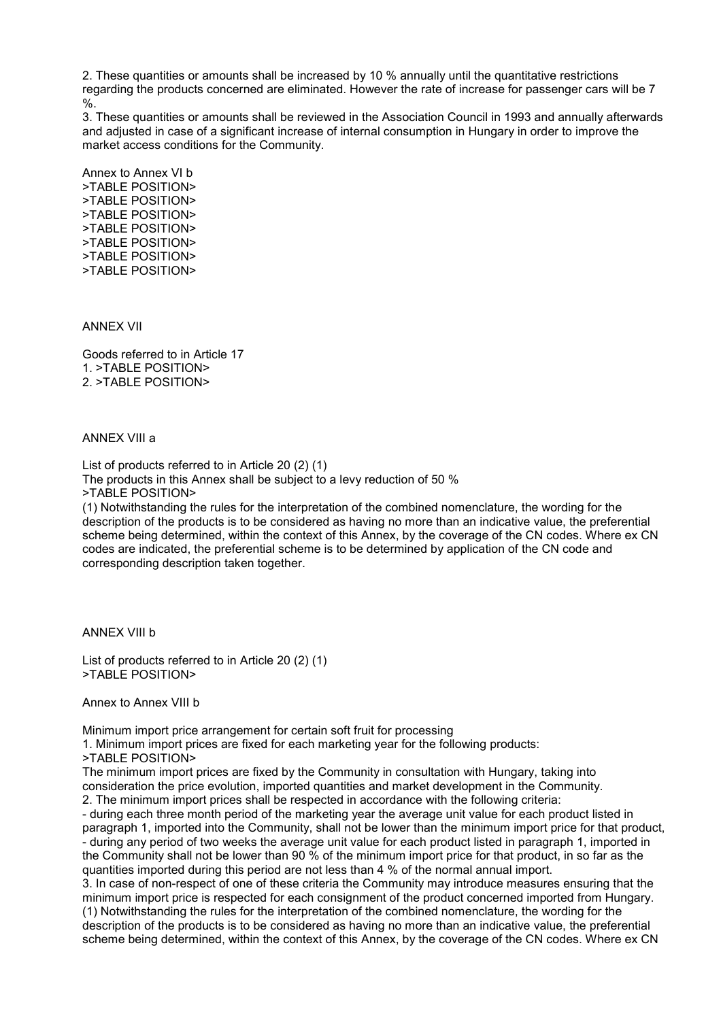2. These quantities or amounts shall be increased by 10 % annually until the quantitative restrictions regarding the products concerned are eliminated. However the rate of increase for passenger cars will be 7 %.

3. These quantities or amounts shall be reviewed in the Association Council in 1993 and annually afterwards and adjusted in case of a significant increase of internal consumption in Hungary in order to improve the market access conditions for the Community.

Annex to Annex VI b >TABLE POSITION> >TABLE POSITION> >TABLE POSITION> >TABLE POSITION> >TABLE POSITION> >TABLE POSITION> >TABLE POSITION>

ANNEX VII

Goods referred to in Article 17 1. >TABLE POSITION> 2. >TABLE POSITION>

ANNEX VIII a

List of products referred to in Article 20 (2) (1) The products in this Annex shall be subject to a levy reduction of 50 % >TABLE POSITION>

(1) Notwithstanding the rules for the interpretation of the combined nomenclature, the wording for the description of the products is to be considered as having no more than an indicative value, the preferential scheme being determined, within the context of this Annex, by the coverage of the CN codes. Where ex CN codes are indicated, the preferential scheme is to be determined by application of the CN code and corresponding description taken together.

ANNEX VIII b

List of products referred to in Article 20 (2) (1) >TABLE POSITION>

Annex to Annex VIII b

Minimum import price arrangement for certain soft fruit for processing

1. Minimum import prices are fixed for each marketing year for the following products:

>TABLE POSITION>

The minimum import prices are fixed by the Community in consultation with Hungary, taking into consideration the price evolution, imported quantities and market development in the Community. 2. The minimum import prices shall be respected in accordance with the following criteria:

- during each three month period of the marketing year the average unit value for each product listed in paragraph 1, imported into the Community, shall not be lower than the minimum import price for that product, - during any period of two weeks the average unit value for each product listed in paragraph 1, imported in the Community shall not be lower than 90 % of the minimum import price for that product, in so far as the quantities imported during this period are not less than 4 % of the normal annual import.

3. In case of non-respect of one of these criteria the Community may introduce measures ensuring that the minimum import price is respected for each consignment of the product concerned imported from Hungary. (1) Notwithstanding the rules for the interpretation of the combined nomenclature, the wording for the description of the products is to be considered as having no more than an indicative value, the preferential scheme being determined, within the context of this Annex, by the coverage of the CN codes. Where ex CN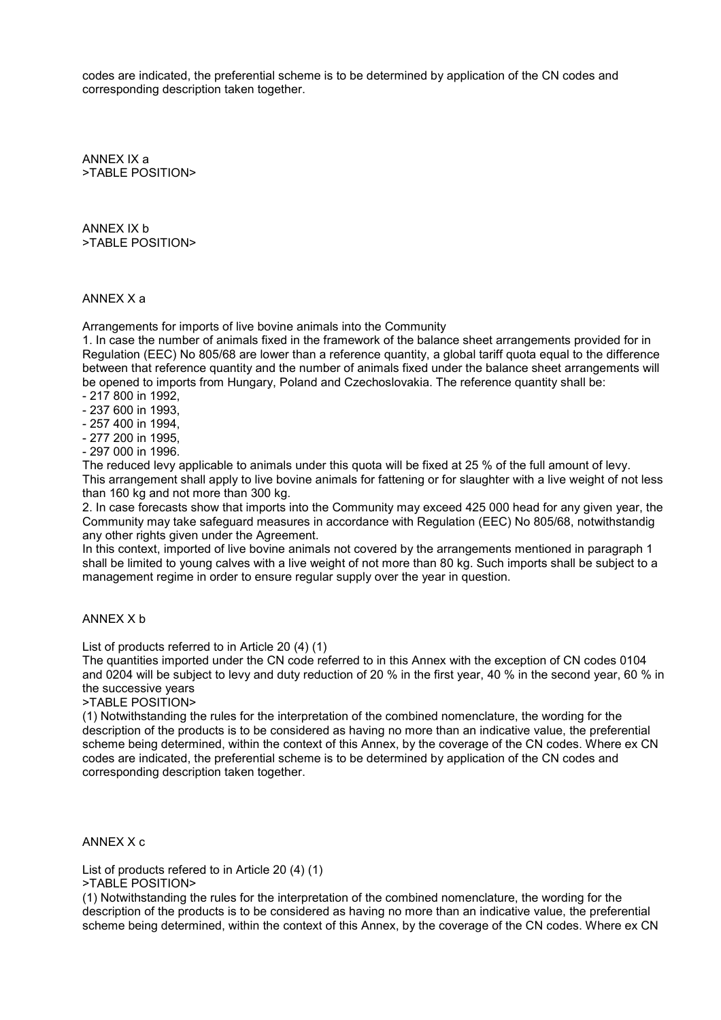codes are indicated, the preferential scheme is to be determined by application of the CN codes and corresponding description taken together.

ANNEX IX a >TABLE POSITION>

ANNEX IX b >TABLE POSITION>

ANNEX X a

Arrangements for imports of live bovine animals into the Community

1. In case the number of animals fixed in the framework of the balance sheet arrangements provided for in Regulation (EEC) No 805/68 are lower than a reference quantity, a global tariff quota equal to the difference between that reference quantity and the number of animals fixed under the balance sheet arrangements will be opened to imports from Hungary, Poland and Czechoslovakia. The reference quantity shall be:

- 217 800 in 1992,
- 237 600 in 1993,
- 257 400 in 1994,
- 277 200 in 1995,
- 297 000 in 1996.

The reduced levy applicable to animals under this quota will be fixed at 25 % of the full amount of levy. This arrangement shall apply to live bovine animals for fattening or for slaughter with a live weight of not less than 160 kg and not more than 300 kg.

2. In case forecasts show that imports into the Community may exceed 425 000 head for any given year, the Community may take safeguard measures in accordance with Regulation (EEC) No 805/68, notwithstandig any other rights given under the Agreement.

In this context, imported of live bovine animals not covered by the arrangements mentioned in paragraph 1 shall be limited to young calves with a live weight of not more than 80 kg. Such imports shall be subject to a management regime in order to ensure regular supply over the year in question.

# ANNEX X b

List of products referred to in Article 20 (4) (1)

The quantities imported under the CN code referred to in this Annex with the exception of CN codes 0104 and 0204 will be subject to levy and duty reduction of 20 % in the first year, 40 % in the second year, 60 % in the successive years

#### >TABLE POSITION>

(1) Notwithstanding the rules for the interpretation of the combined nomenclature, the wording for the description of the products is to be considered as having no more than an indicative value, the preferential scheme being determined, within the context of this Annex, by the coverage of the CN codes. Where ex CN codes are indicated, the preferential scheme is to be determined by application of the CN codes and corresponding description taken together.

ANNEX X c

List of products refered to in Article 20 (4) (1) >TABLE POSITION>

(1) Notwithstanding the rules for the interpretation of the combined nomenclature, the wording for the description of the products is to be considered as having no more than an indicative value, the preferential scheme being determined, within the context of this Annex, by the coverage of the CN codes. Where ex CN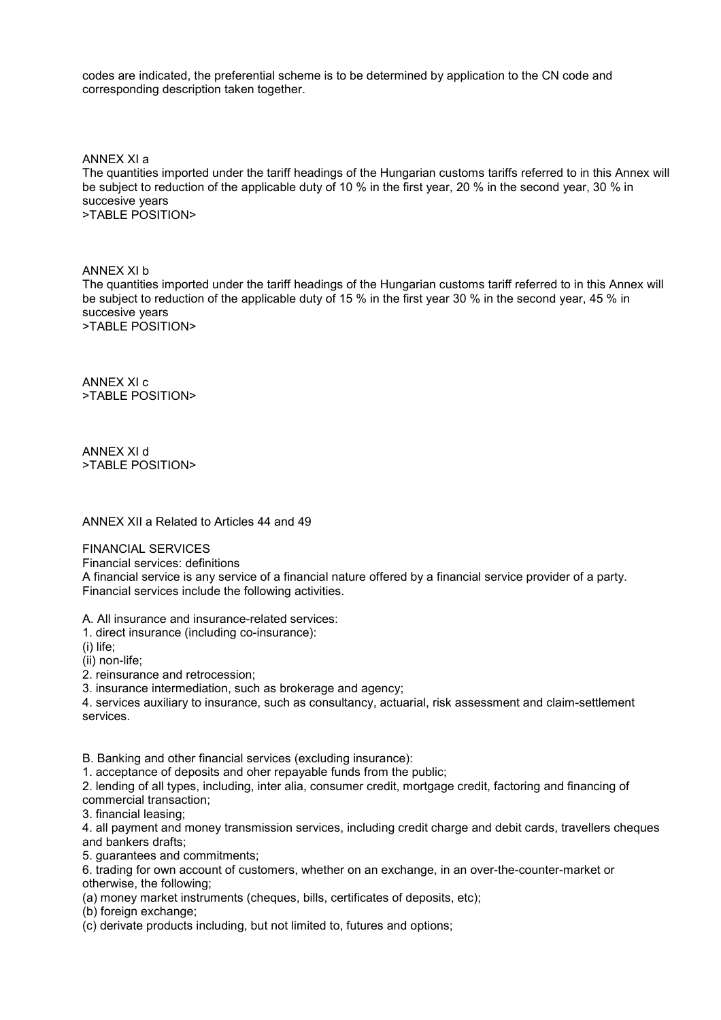codes are indicated, the preferential scheme is to be determined by application to the CN code and corresponding description taken together.

ANNEX XI a

The quantities imported under the tariff headings of the Hungarian customs tariffs referred to in this Annex will be subject to reduction of the applicable duty of 10 % in the first year, 20 % in the second year, 30 % in succesive years >TABLE POSITION>

ANNEX XI b

The quantities imported under the tariff headings of the Hungarian customs tariff referred to in this Annex will be subject to reduction of the applicable duty of 15 % in the first year 30 % in the second year, 45 % in succesive years >TABLE POSITION>

ANNEX XI c >TABLE POSITION>

ANNEX XI d >TABLE POSITION>

ANNEX XII a Related to Articles 44 and 49

FINANCIAL SERVICES

Financial services: definitions

A financial service is any service of a financial nature offered by a financial service provider of a party. Financial services include the following activities.

A. All insurance and insurance-related services:

1. direct insurance (including co-insurance):

(i) life;

(ii) non-life;

2. reinsurance and retrocession;

3. insurance intermediation, such as brokerage and agency;

4. services auxiliary to insurance, such as consultancy, actuarial, risk assessment and claim-settlement services.

B. Banking and other financial services (excluding insurance):

1. acceptance of deposits and oher repayable funds from the public;

2. lending of all types, including, inter alia, consumer credit, mortgage credit, factoring and financing of commercial transaction;

3. financial leasing;

4. all payment and money transmission services, including credit charge and debit cards, travellers cheques and bankers drafts;

5. guarantees and commitments;

6. trading for own account of customers, whether on an exchange, in an over-the-counter-market or otherwise, the following;

(a) money market instruments (cheques, bills, certificates of deposits, etc);

(b) foreign exchange;

(c) derivate products including, but not limited to, futures and options;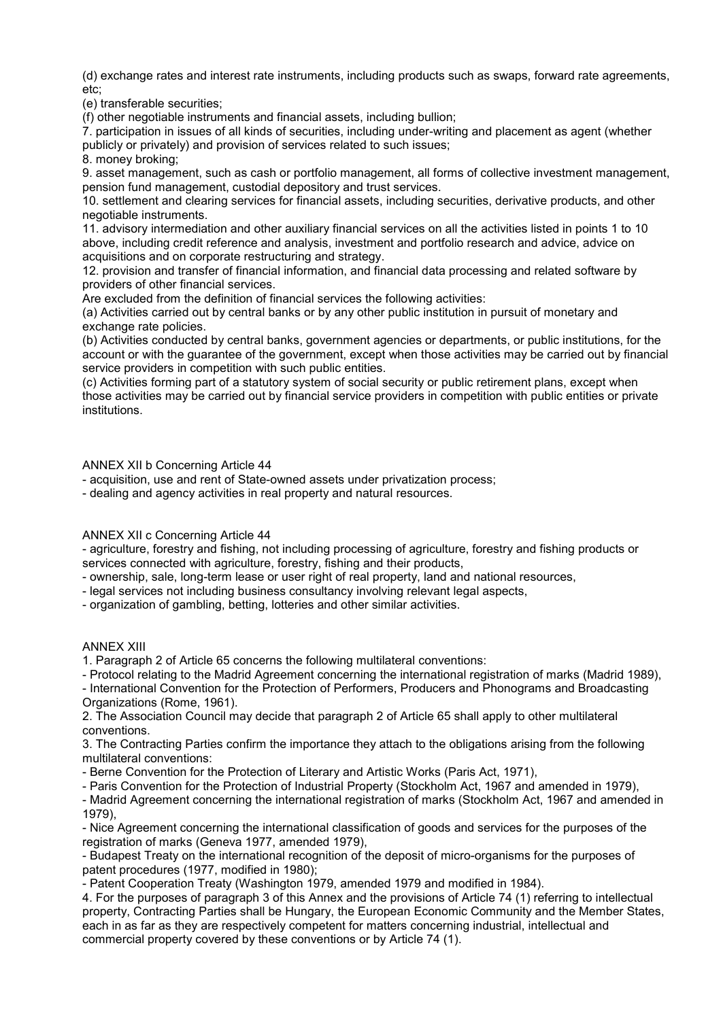(d) exchange rates and interest rate instruments, including products such as swaps, forward rate agreements, etc;

(e) transferable securities;

(f) other negotiable instruments and financial assets, including bullion;

7. participation in issues of all kinds of securities, including under-writing and placement as agent (whether publicly or privately) and provision of services related to such issues;

8. money broking;

9. asset management, such as cash or portfolio management, all forms of collective investment management, pension fund management, custodial depository and trust services.

10. settlement and clearing services for financial assets, including securities, derivative products, and other negotiable instruments.

11. advisory intermediation and other auxiliary financial services on all the activities listed in points 1 to 10 above, including credit reference and analysis, investment and portfolio research and advice, advice on acquisitions and on corporate restructuring and strategy.

12. provision and transfer of financial information, and financial data processing and related software by providers of other financial services.

Are excluded from the definition of financial services the following activities:

(a) Activities carried out by central banks or by any other public institution in pursuit of monetary and exchange rate policies.

(b) Activities conducted by central banks, government agencies or departments, or public institutions, for the account or with the guarantee of the government, except when those activities may be carried out by financial service providers in competition with such public entities.

(c) Activities forming part of a statutory system of social security or public retirement plans, except when those activities may be carried out by financial service providers in competition with public entities or private institutions.

ANNEX XII b Concerning Article 44

- acquisition, use and rent of State-owned assets under privatization process;

- dealing and agency activities in real property and natural resources.

ANNEX XII c Concerning Article 44

- agriculture, forestry and fishing, not including processing of agriculture, forestry and fishing products or services connected with agriculture, forestry, fishing and their products,

- ownership, sale, long-term lease or user right of real property, land and national resources,
- legal services not including business consultancy involving relevant legal aspects,
- organization of gambling, betting, lotteries and other similar activities.

ANNEX XIII

1. Paragraph 2 of Article 65 concerns the following multilateral conventions:

- Protocol relating to the Madrid Agreement concerning the international registration of marks (Madrid 1989),

- International Convention for the Protection of Performers, Producers and Phonograms and Broadcasting Organizations (Rome, 1961).

2. The Association Council may decide that paragraph 2 of Article 65 shall apply to other multilateral conventions.

3. The Contracting Parties confirm the importance they attach to the obligations arising from the following multilateral conventions:

- Berne Convention for the Protection of Literary and Artistic Works (Paris Act, 1971),

- Paris Convention for the Protection of Industrial Property (Stockholm Act, 1967 and amended in 1979),

- Madrid Agreement concerning the international registration of marks (Stockholm Act, 1967 and amended in 1979),

- Nice Agreement concerning the international classification of goods and services for the purposes of the registration of marks (Geneva 1977, amended 1979),

- Budapest Treaty on the international recognition of the deposit of micro-organisms for the purposes of patent procedures (1977, modified in 1980);

- Patent Cooperation Treaty (Washington 1979, amended 1979 and modified in 1984).

4. For the purposes of paragraph 3 of this Annex and the provisions of Article 74 (1) referring to intellectual property, Contracting Parties shall be Hungary, the European Economic Community and the Member States, each in as far as they are respectively competent for matters concerning industrial, intellectual and commercial property covered by these conventions or by Article 74 (1).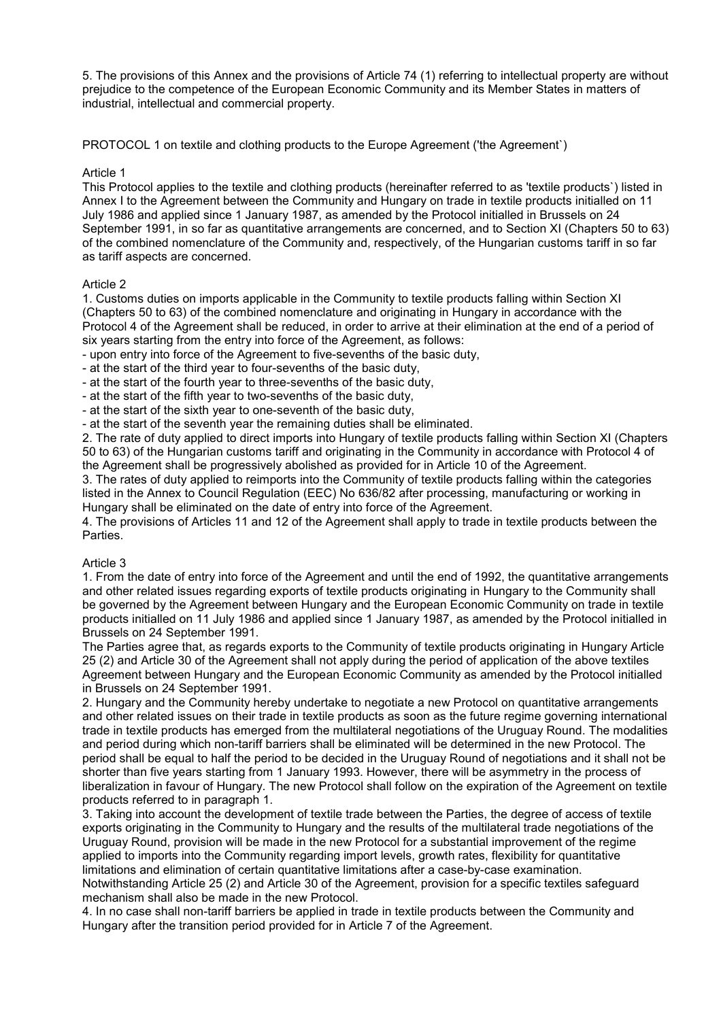5. The provisions of this Annex and the provisions of Article 74 (1) referring to intellectual property are without prejudice to the competence of the European Economic Community and its Member States in matters of industrial, intellectual and commercial property.

PROTOCOL 1 on textile and clothing products to the Europe Agreement ('the Agreement`)

#### Article 1

This Protocol applies to the textile and clothing products (hereinafter referred to as 'textile products`) listed in Annex I to the Agreement between the Community and Hungary on trade in textile products initialled on 11 July 1986 and applied since 1 January 1987, as amended by the Protocol initialled in Brussels on 24 September 1991, in so far as quantitative arrangements are concerned, and to Section XI (Chapters 50 to 63) of the combined nomenclature of the Community and, respectively, of the Hungarian customs tariff in so far as tariff aspects are concerned.

### Article 2

1. Customs duties on imports applicable in the Community to textile products falling within Section XI (Chapters 50 to 63) of the combined nomenclature and originating in Hungary in accordance with the Protocol 4 of the Agreement shall be reduced, in order to arrive at their elimination at the end of a period of six years starting from the entry into force of the Agreement, as follows:

- upon entry into force of the Agreement to five-sevenths of the basic duty,

- at the start of the third year to four-sevenths of the basic duty,
- at the start of the fourth year to three-sevenths of the basic duty,
- at the start of the fifth year to two-sevenths of the basic duty,
- at the start of the sixth year to one-seventh of the basic duty,

- at the start of the seventh year the remaining duties shall be eliminated.

2. The rate of duty applied to direct imports into Hungary of textile products falling within Section XI (Chapters 50 to 63) of the Hungarian customs tariff and originating in the Community in accordance with Protocol 4 of the Agreement shall be progressively abolished as provided for in Article 10 of the Agreement.

3. The rates of duty applied to reimports into the Community of textile products falling within the categories listed in the Annex to Council Regulation (EEC) No 636/82 after processing, manufacturing or working in Hungary shall be eliminated on the date of entry into force of the Agreement.

4. The provisions of Articles 11 and 12 of the Agreement shall apply to trade in textile products between the Parties.

#### Article 3

1. From the date of entry into force of the Agreement and until the end of 1992, the quantitative arrangements and other related issues regarding exports of textile products originating in Hungary to the Community shall be governed by the Agreement between Hungary and the European Economic Community on trade in textile products initialled on 11 July 1986 and applied since 1 January 1987, as amended by the Protocol initialled in Brussels on 24 September 1991.

The Parties agree that, as regards exports to the Community of textile products originating in Hungary Article 25 (2) and Article 30 of the Agreement shall not apply during the period of application of the above textiles Agreement between Hungary and the European Economic Community as amended by the Protocol initialled in Brussels on 24 September 1991.

2. Hungary and the Community hereby undertake to negotiate a new Protocol on quantitative arrangements and other related issues on their trade in textile products as soon as the future regime governing international trade in textile products has emerged from the multilateral negotiations of the Uruguay Round. The modalities and period during which non-tariff barriers shall be eliminated will be determined in the new Protocol. The period shall be equal to half the period to be decided in the Uruguay Round of negotiations and it shall not be shorter than five years starting from 1 January 1993. However, there will be asymmetry in the process of liberalization in favour of Hungary. The new Protocol shall follow on the expiration of the Agreement on textile products referred to in paragraph 1.

3. Taking into account the development of textile trade between the Parties, the degree of access of textile exports originating in the Community to Hungary and the results of the multilateral trade negotiations of the Uruguay Round, provision will be made in the new Protocol for a substantial improvement of the regime applied to imports into the Community regarding import levels, growth rates, flexibility for quantitative limitations and elimination of certain quantitative limitations after a case-by-case examination. Notwithstanding Article 25 (2) and Article 30 of the Agreement, provision for a specific textiles safeguard mechanism shall also be made in the new Protocol.

4. In no case shall non-tariff barriers be applied in trade in textile products between the Community and Hungary after the transition period provided for in Article 7 of the Agreement.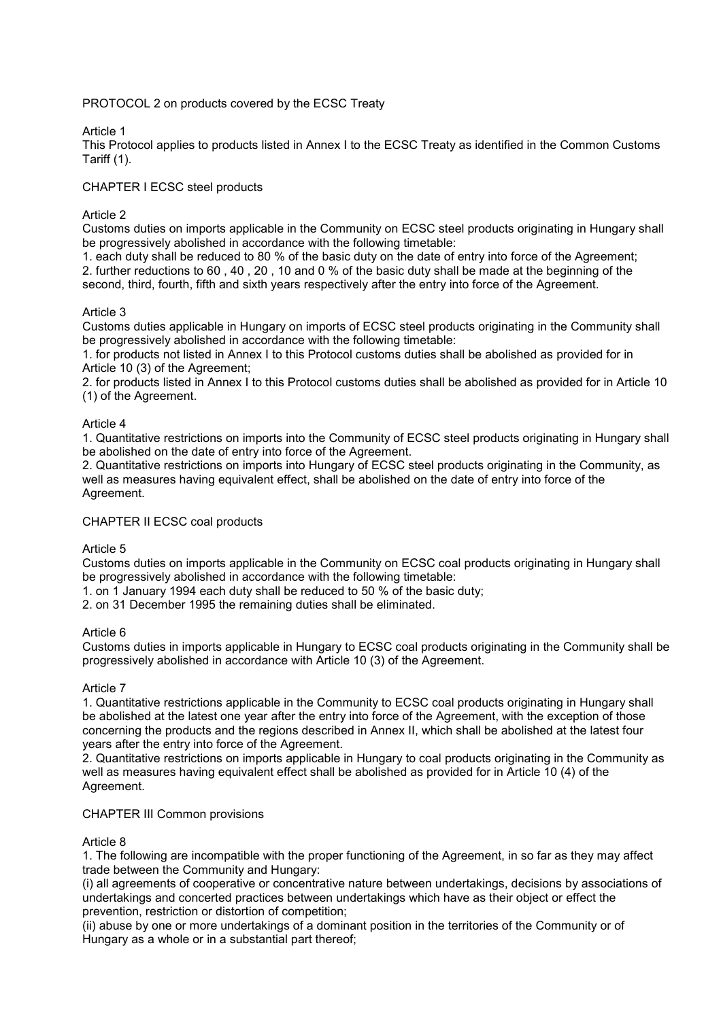# PROTOCOL 2 on products covered by the ECSC Treaty

### Article 1

This Protocol applies to products listed in Annex I to the ECSC Treaty as identified in the Common Customs Tariff (1).

### CHAPTER I ECSC steel products

### Article 2

Customs duties on imports applicable in the Community on ECSC steel products originating in Hungary shall be progressively abolished in accordance with the following timetable:

1. each duty shall be reduced to 80 % of the basic duty on the date of entry into force of the Agreement; 2. further reductions to 60 , 40 , 20 , 10 and 0 % of the basic duty shall be made at the beginning of the second, third, fourth, fifth and sixth years respectively after the entry into force of the Agreement.

### Article 3

Customs duties applicable in Hungary on imports of ECSC steel products originating in the Community shall be progressively abolished in accordance with the following timetable:

1. for products not listed in Annex I to this Protocol customs duties shall be abolished as provided for in Article 10 (3) of the Agreement;

2. for products listed in Annex I to this Protocol customs duties shall be abolished as provided for in Article 10 (1) of the Agreement.

### Article 4

1. Quantitative restrictions on imports into the Community of ECSC steel products originating in Hungary shall be abolished on the date of entry into force of the Agreement.

2. Quantitative restrictions on imports into Hungary of ECSC steel products originating in the Community, as well as measures having equivalent effect, shall be abolished on the date of entry into force of the Agreement.

# CHAPTER II ECSC coal products

#### Article 5

Customs duties on imports applicable in the Community on ECSC coal products originating in Hungary shall be progressively abolished in accordance with the following timetable:

1. on 1 January 1994 each duty shall be reduced to 50 % of the basic duty;

2. on 31 December 1995 the remaining duties shall be eliminated.

#### Article 6

Customs duties in imports applicable in Hungary to ECSC coal products originating in the Community shall be progressively abolished in accordance with Article 10 (3) of the Agreement.

#### Article 7

1. Quantitative restrictions applicable in the Community to ECSC coal products originating in Hungary shall be abolished at the latest one year after the entry into force of the Agreement, with the exception of those concerning the products and the regions described in Annex II, which shall be abolished at the latest four years after the entry into force of the Agreement.

2. Quantitative restrictions on imports applicable in Hungary to coal products originating in the Community as well as measures having equivalent effect shall be abolished as provided for in Article 10 (4) of the Agreement.

#### CHAPTER III Common provisions

#### Article 8

1. The following are incompatible with the proper functioning of the Agreement, in so far as they may affect trade between the Community and Hungary:

(i) all agreements of cooperative or concentrative nature between undertakings, decisions by associations of undertakings and concerted practices between undertakings which have as their object or effect the prevention, restriction or distortion of competition;

(ii) abuse by one or more undertakings of a dominant position in the territories of the Community or of Hungary as a whole or in a substantial part thereof;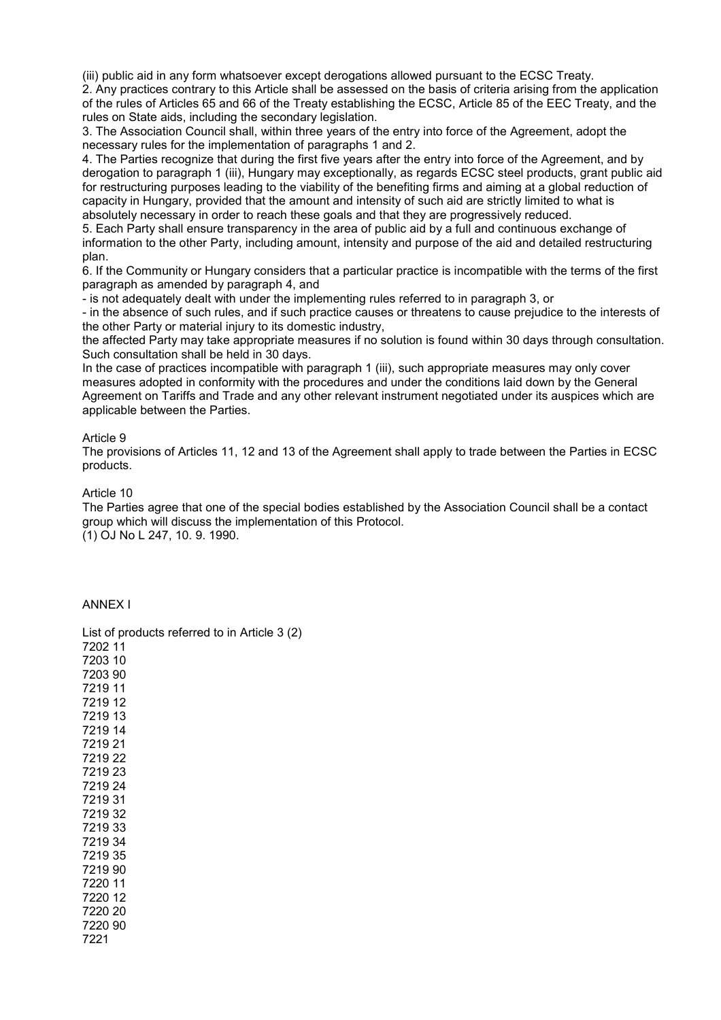(iii) public aid in any form whatsoever except derogations allowed pursuant to the ECSC Treaty.

2. Any practices contrary to this Article shall be assessed on the basis of criteria arising from the application of the rules of Articles 65 and 66 of the Treaty establishing the ECSC, Article 85 of the EEC Treaty, and the rules on State aids, including the secondary legislation.

3. The Association Council shall, within three years of the entry into force of the Agreement, adopt the necessary rules for the implementation of paragraphs 1 and 2.

4. The Parties recognize that during the first five years after the entry into force of the Agreement, and by derogation to paragraph 1 (iii), Hungary may exceptionally, as regards ECSC steel products, grant public aid for restructuring purposes leading to the viability of the benefiting firms and aiming at a global reduction of capacity in Hungary, provided that the amount and intensity of such aid are strictly limited to what is absolutely necessary in order to reach these goals and that they are progressively reduced.

5. Each Party shall ensure transparency in the area of public aid by a full and continuous exchange of information to the other Party, including amount, intensity and purpose of the aid and detailed restructuring plan.

6. If the Community or Hungary considers that a particular practice is incompatible with the terms of the first paragraph as amended by paragraph 4, and

- is not adequately dealt with under the implementing rules referred to in paragraph 3, or

- in the absence of such rules, and if such practice causes or threatens to cause prejudice to the interests of the other Party or material injury to its domestic industry,

the affected Party may take appropriate measures if no solution is found within 30 days through consultation. Such consultation shall be held in 30 days.

In the case of practices incompatible with paragraph 1 (iii), such appropriate measures may only cover measures adopted in conformity with the procedures and under the conditions laid down by the General Agreement on Tariffs and Trade and any other relevant instrument negotiated under its auspices which are applicable between the Parties.

### Article 9

The provisions of Articles 11, 12 and 13 of the Agreement shall apply to trade between the Parties in ECSC products.

### Article 10

The Parties agree that one of the special bodies established by the Association Council shall be a contact group which will discuss the implementation of this Protocol. (1) OJ No L 247, 10. 9. 1990.

#### ANNEX I

List of products referred to in Article 3 (2)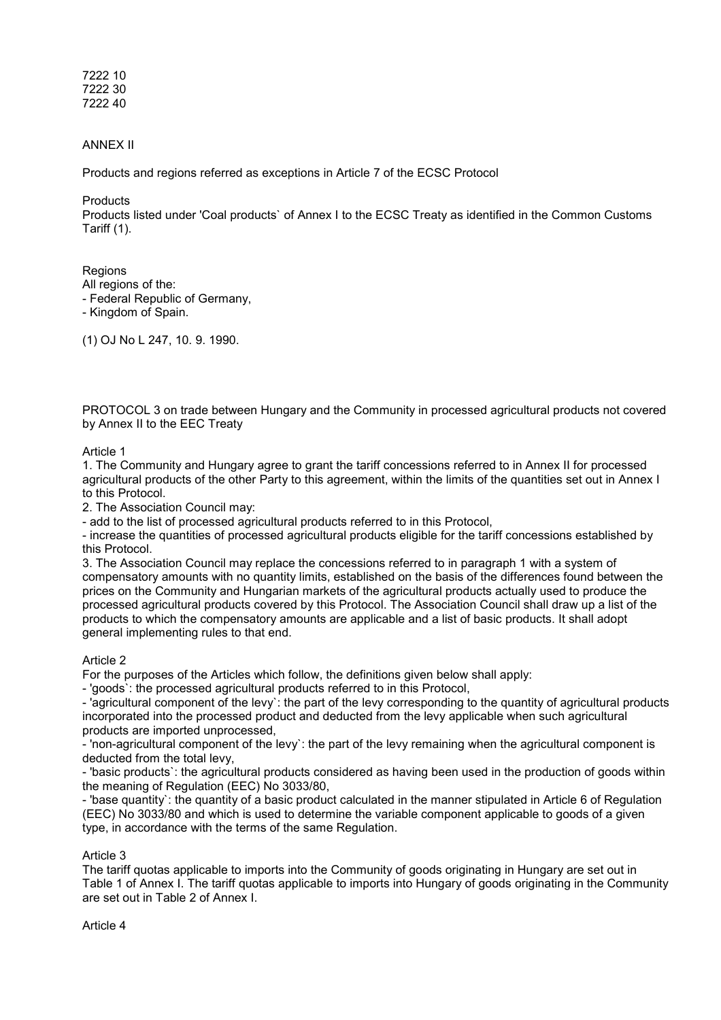7222 10 7222 30 7222 40

#### ANNEX II

Products and regions referred as exceptions in Article 7 of the ECSC Protocol

**Products** 

Products listed under 'Coal products` of Annex I to the ECSC Treaty as identified in the Common Customs Tariff (1).

Regions

- All regions of the:
- Federal Republic of Germany,
- Kingdom of Spain.

(1) OJ No L 247, 10. 9. 1990.

PROTOCOL 3 on trade between Hungary and the Community in processed agricultural products not covered by Annex II to the EEC Treaty

#### Article 1

1. The Community and Hungary agree to grant the tariff concessions referred to in Annex II for processed agricultural products of the other Party to this agreement, within the limits of the quantities set out in Annex I to this Protocol.

2. The Association Council may:

- add to the list of processed agricultural products referred to in this Protocol,

- increase the quantities of processed agricultural products eligible for the tariff concessions established by this Protocol.

3. The Association Council may replace the concessions referred to in paragraph 1 with a system of compensatory amounts with no quantity limits, established on the basis of the differences found between the prices on the Community and Hungarian markets of the agricultural products actually used to produce the processed agricultural products covered by this Protocol. The Association Council shall draw up a list of the products to which the compensatory amounts are applicable and a list of basic products. It shall adopt general implementing rules to that end.

#### Article 2

For the purposes of the Articles which follow, the definitions given below shall apply:

- 'goods`: the processed agricultural products referred to in this Protocol,

- 'agricultural component of the levy`: the part of the levy corresponding to the quantity of agricultural products incorporated into the processed product and deducted from the levy applicable when such agricultural products are imported unprocessed,

- 'non-agricultural component of the levy`: the part of the levy remaining when the agricultural component is deducted from the total levy,

- 'basic products`: the agricultural products considered as having been used in the production of goods within the meaning of Regulation (EEC) No 3033/80,

- 'base quantity`: the quantity of a basic product calculated in the manner stipulated in Article 6 of Regulation (EEC) No 3033/80 and which is used to determine the variable component applicable to goods of a given type, in accordance with the terms of the same Regulation.

#### Article 3

The tariff quotas applicable to imports into the Community of goods originating in Hungary are set out in Table 1 of Annex I. The tariff quotas applicable to imports into Hungary of goods originating in the Community are set out in Table 2 of Annex I.

Article 4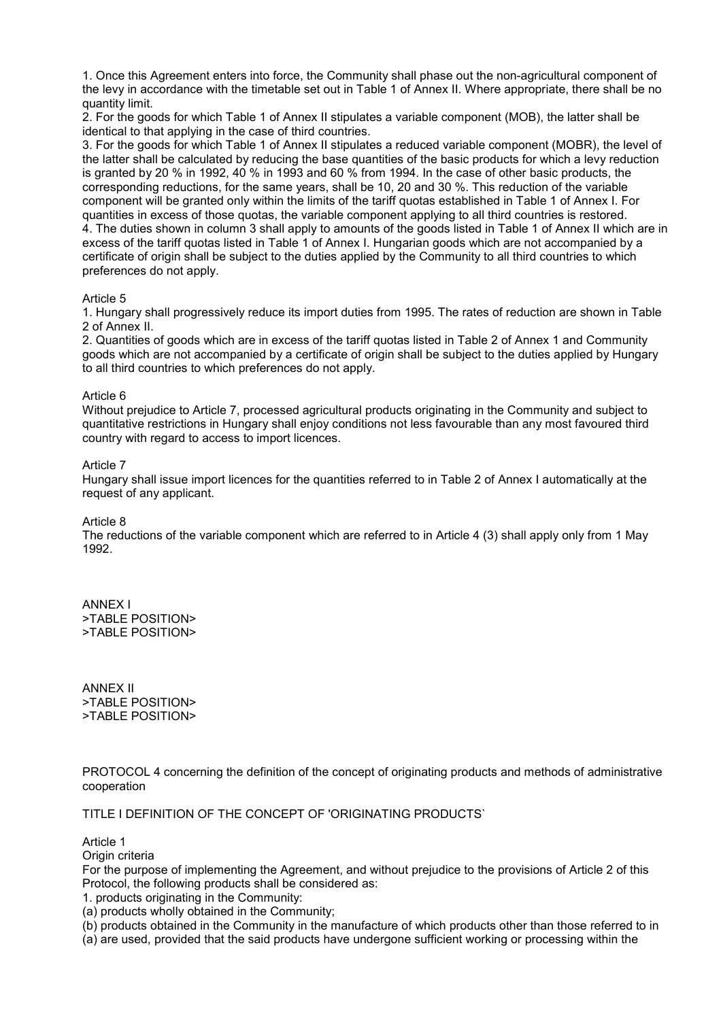1. Once this Agreement enters into force, the Community shall phase out the non-agricultural component of the levy in accordance with the timetable set out in Table 1 of Annex II. Where appropriate, there shall be no quantity limit.

2. For the goods for which Table 1 of Annex II stipulates a variable component (MOB), the latter shall be identical to that applying in the case of third countries.

3. For the goods for which Table 1 of Annex II stipulates a reduced variable component (MOBR), the level of the latter shall be calculated by reducing the base quantities of the basic products for which a levy reduction is granted by 20 % in 1992, 40 % in 1993 and 60 % from 1994. In the case of other basic products, the corresponding reductions, for the same years, shall be 10, 20 and 30 %. This reduction of the variable component will be granted only within the limits of the tariff quotas established in Table 1 of Annex I. For quantities in excess of those quotas, the variable component applying to all third countries is restored. 4. The duties shown in column 3 shall apply to amounts of the goods listed in Table 1 of Annex II which are in excess of the tariff quotas listed in Table 1 of Annex I. Hungarian goods which are not accompanied by a certificate of origin shall be subject to the duties applied by the Community to all third countries to which preferences do not apply.

### Article 5

1. Hungary shall progressively reduce its import duties from 1995. The rates of reduction are shown in Table 2 of Annex II.

2. Quantities of goods which are in excess of the tariff quotas listed in Table 2 of Annex 1 and Community goods which are not accompanied by a certificate of origin shall be subject to the duties applied by Hungary to all third countries to which preferences do not apply.

### Article 6

Without prejudice to Article 7, processed agricultural products originating in the Community and subject to quantitative restrictions in Hungary shall enjoy conditions not less favourable than any most favoured third country with regard to access to import licences.

### Article 7

Hungary shall issue import licences for the quantities referred to in Table 2 of Annex I automatically at the request of any applicant.

#### Article 8

The reductions of the variable component which are referred to in Article 4 (3) shall apply only from 1 May 1992.

ANNEX I >TABLE POSITION> >TABLE POSITION>

ANNEX II >TABLE POSITION> >TABLE POSITION>

PROTOCOL 4 concerning the definition of the concept of originating products and methods of administrative cooperation

TITLE I DEFINITION OF THE CONCEPT OF 'ORIGINATING PRODUCTS`

### Article 1

Origin criteria

For the purpose of implementing the Agreement, and without prejudice to the provisions of Article 2 of this Protocol, the following products shall be considered as:

1. products originating in the Community:

(a) products wholly obtained in the Community;

(b) products obtained in the Community in the manufacture of which products other than those referred to in

(a) are used, provided that the said products have undergone sufficient working or processing within the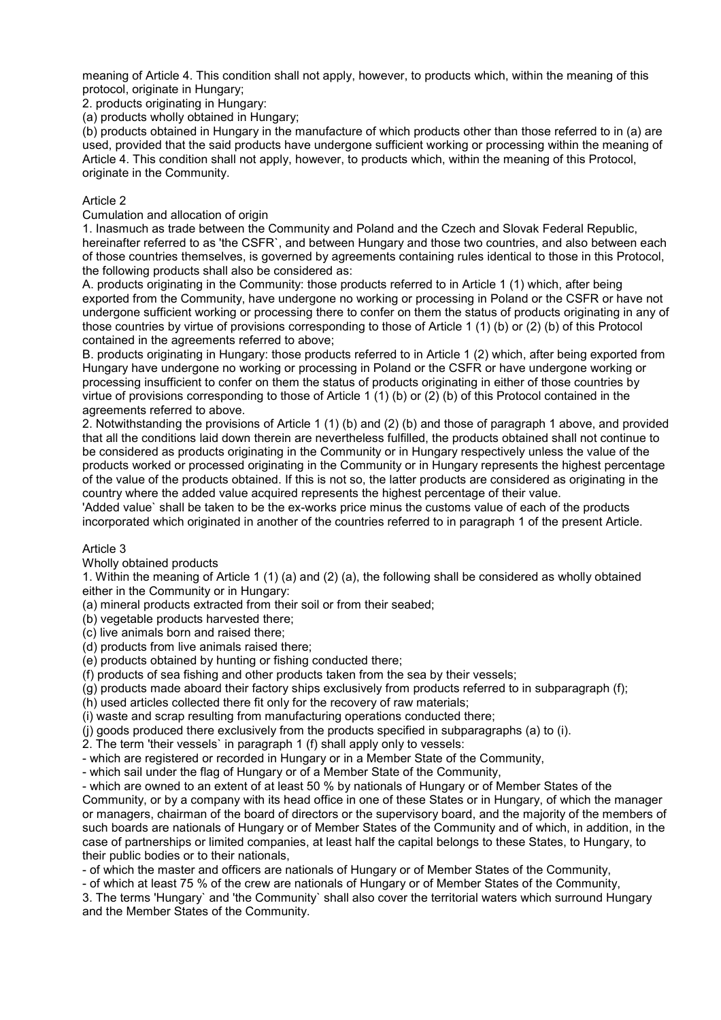meaning of Article 4. This condition shall not apply, however, to products which, within the meaning of this protocol, originate in Hungary;

2. products originating in Hungary:

(a) products wholly obtained in Hungary;

(b) products obtained in Hungary in the manufacture of which products other than those referred to in (a) are used, provided that the said products have undergone sufficient working or processing within the meaning of Article 4. This condition shall not apply, however, to products which, within the meaning of this Protocol, originate in the Community.

### Article 2

### Cumulation and allocation of origin

1. Inasmuch as trade between the Community and Poland and the Czech and Slovak Federal Republic, hereinafter referred to as 'the CSFR`, and between Hungary and those two countries, and also between each of those countries themselves, is governed by agreements containing rules identical to those in this Protocol, the following products shall also be considered as:

A. products originating in the Community: those products referred to in Article 1 (1) which, after being exported from the Community, have undergone no working or processing in Poland or the CSFR or have not undergone sufficient working or processing there to confer on them the status of products originating in any of those countries by virtue of provisions corresponding to those of Article 1 (1) (b) or (2) (b) of this Protocol contained in the agreements referred to above;

B. products originating in Hungary: those products referred to in Article 1 (2) which, after being exported from Hungary have undergone no working or processing in Poland or the CSFR or have undergone working or processing insufficient to confer on them the status of products originating in either of those countries by virtue of provisions corresponding to those of Article 1 (1) (b) or (2) (b) of this Protocol contained in the agreements referred to above.

2. Notwithstanding the provisions of Article 1 (1) (b) and (2) (b) and those of paragraph 1 above, and provided that all the conditions laid down therein are nevertheless fulfilled, the products obtained shall not continue to be considered as products originating in the Community or in Hungary respectively unless the value of the products worked or processed originating in the Community or in Hungary represents the highest percentage of the value of the products obtained. If this is not so, the latter products are considered as originating in the country where the added value acquired represents the highest percentage of their value.

'Added value` shall be taken to be the ex-works price minus the customs value of each of the products incorporated which originated in another of the countries referred to in paragraph 1 of the present Article.

# Article 3

Wholly obtained products

1. Within the meaning of Article 1 (1) (a) and (2) (a), the following shall be considered as wholly obtained either in the Community or in Hungary:

(a) mineral products extracted from their soil or from their seabed;

(b) vegetable products harvested there;

(c) live animals born and raised there;

(d) products from live animals raised there;

(e) products obtained by hunting or fishing conducted there;

(f) products of sea fishing and other products taken from the sea by their vessels;

(g) products made aboard their factory ships exclusively from products referred to in subparagraph (f);

(h) used articles collected there fit only for the recovery of raw materials;

(i) waste and scrap resulting from manufacturing operations conducted there;

(j) goods produced there exclusively from the products specified in subparagraphs (a) to (i).

2. The term 'their vessels` in paragraph 1 (f) shall apply only to vessels:

- which are registered or recorded in Hungary or in a Member State of the Community,

- which sail under the flag of Hungary or of a Member State of the Community,

- which are owned to an extent of at least 50 % by nationals of Hungary or of Member States of the Community, or by a company with its head office in one of these States or in Hungary, of which the manager or managers, chairman of the board of directors or the supervisory board, and the majority of the members of such boards are nationals of Hungary or of Member States of the Community and of which, in addition, in the case of partnerships or limited companies, at least half the capital belongs to these States, to Hungary, to their public bodies or to their nationals,

- of which the master and officers are nationals of Hungary or of Member States of the Community,

- of which at least 75 % of the crew are nationals of Hungary or of Member States of the Community,

3. The terms 'Hungary` and 'the Community` shall also cover the territorial waters which surround Hungary and the Member States of the Community.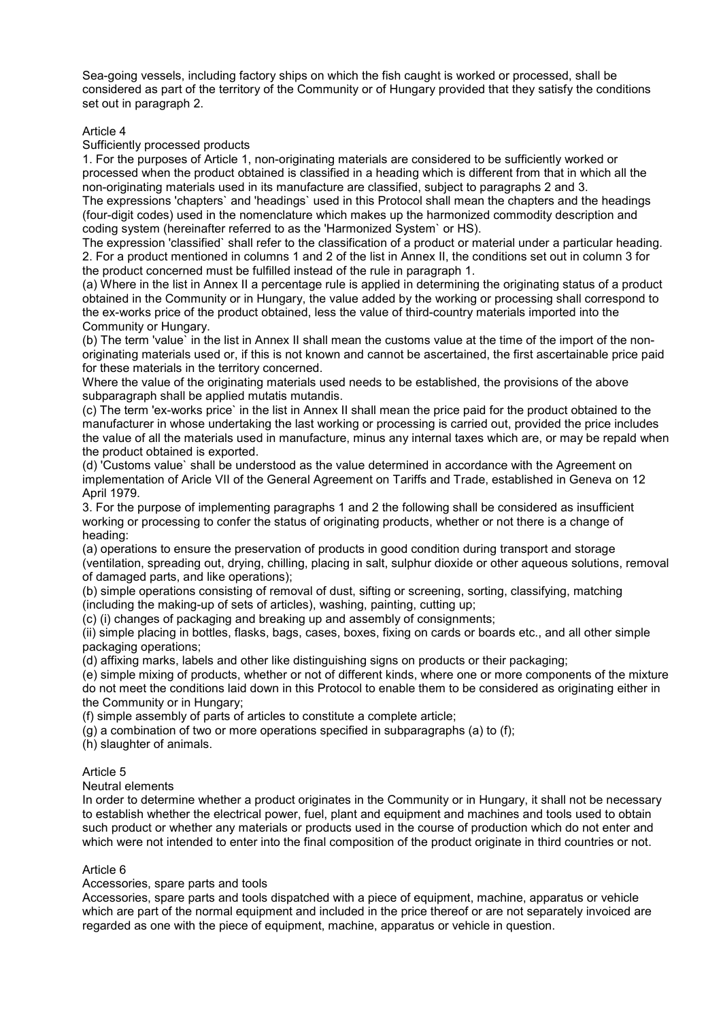Sea-going vessels, including factory ships on which the fish caught is worked or processed, shall be considered as part of the territory of the Community or of Hungary provided that they satisfy the conditions set out in paragraph 2.

# Article 4

Sufficiently processed products

1. For the purposes of Article 1, non-originating materials are considered to be sufficiently worked or processed when the product obtained is classified in a heading which is different from that in which all the non-originating materials used in its manufacture are classified, subject to paragraphs 2 and 3. The expressions 'chapters` and 'headings` used in this Protocol shall mean the chapters and the headings (four-digit codes) used in the nomenclature which makes up the harmonized commodity description and coding system (hereinafter referred to as the 'Harmonized System` or HS).

The expression 'classified` shall refer to the classification of a product or material under a particular heading. 2. For a product mentioned in columns 1 and 2 of the list in Annex II, the conditions set out in column 3 for the product concerned must be fulfilled instead of the rule in paragraph 1.

(a) Where in the list in Annex II a percentage rule is applied in determining the originating status of a product obtained in the Community or in Hungary, the value added by the working or processing shall correspond to the ex-works price of the product obtained, less the value of third-country materials imported into the Community or Hungary.

(b) The term 'value` in the list in Annex II shall mean the customs value at the time of the import of the nonoriginating materials used or, if this is not known and cannot be ascertained, the first ascertainable price paid for these materials in the territory concerned.

Where the value of the originating materials used needs to be established, the provisions of the above subparagraph shall be applied mutatis mutandis.

(c) The term 'ex-works price` in the list in Annex II shall mean the price paid for the product obtained to the manufacturer in whose undertaking the last working or processing is carried out, provided the price includes the value of all the materials used in manufacture, minus any internal taxes which are, or may be repald when the product obtained is exported.

(d) 'Customs value` shall be understood as the value determined in accordance with the Agreement on implementation of Aricle VII of the General Agreement on Tariffs and Trade, established in Geneva on 12 April 1979.

3. For the purpose of implementing paragraphs 1 and 2 the following shall be considered as insufficient working or processing to confer the status of originating products, whether or not there is a change of heading:

(a) operations to ensure the preservation of products in good condition during transport and storage (ventilation, spreading out, drying, chilling, placing in salt, sulphur dioxide or other aqueous solutions, removal of damaged parts, and like operations);

(b) simple operations consisting of removal of dust, sifting or screening, sorting, classifying, matching (including the making-up of sets of articles), washing, painting, cutting up;

(c) (i) changes of packaging and breaking up and assembly of consignments;

(ii) simple placing in bottles, flasks, bags, cases, boxes, fixing on cards or boards etc., and all other simple packaging operations;

(d) affixing marks, labels and other like distinguishing signs on products or their packaging;

(e) simple mixing of products, whether or not of different kinds, where one or more components of the mixture do not meet the conditions laid down in this Protocol to enable them to be considered as originating either in the Community or in Hungary;

(f) simple assembly of parts of articles to constitute a complete article;

(g) a combination of two or more operations specified in subparagraphs (a) to (f);

(h) slaughter of animals.

# Article 5

Neutral elements

In order to determine whether a product originates in the Community or in Hungary, it shall not be necessary to establish whether the electrical power, fuel, plant and equipment and machines and tools used to obtain such product or whether any materials or products used in the course of production which do not enter and which were not intended to enter into the final composition of the product originate in third countries or not.

# Article 6

# Accessories, spare parts and tools

Accessories, spare parts and tools dispatched with a piece of equipment, machine, apparatus or vehicle which are part of the normal equipment and included in the price thereof or are not separately invoiced are regarded as one with the piece of equipment, machine, apparatus or vehicle in question.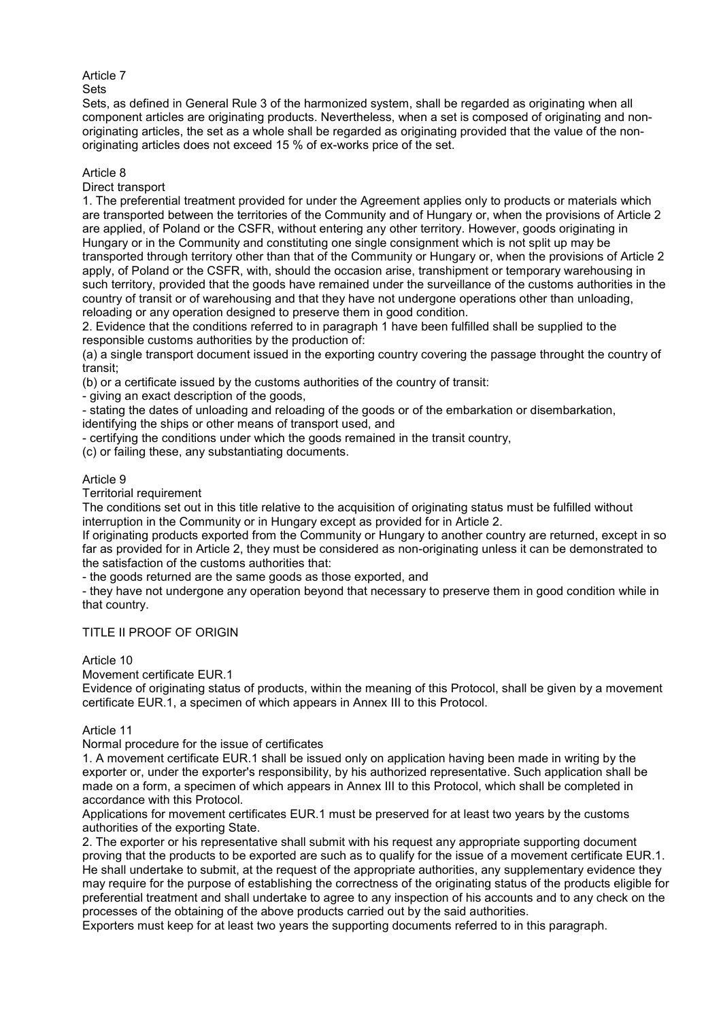### Article 7

Sets

Sets, as defined in General Rule 3 of the harmonized system, shall be regarded as originating when all component articles are originating products. Nevertheless, when a set is composed of originating and nonoriginating articles, the set as a whole shall be regarded as originating provided that the value of the nonoriginating articles does not exceed 15 % of ex-works price of the set.

### Article 8

Direct transport

1. The preferential treatment provided for under the Agreement applies only to products or materials which are transported between the territories of the Community and of Hungary or, when the provisions of Article 2 are applied, of Poland or the CSFR, without entering any other territory. However, goods originating in Hungary or in the Community and constituting one single consignment which is not split up may be transported through territory other than that of the Community or Hungary or, when the provisions of Article 2 apply, of Poland or the CSFR, with, should the occasion arise, transhipment or temporary warehousing in such territory, provided that the goods have remained under the surveillance of the customs authorities in the country of transit or of warehousing and that they have not undergone operations other than unloading, reloading or any operation designed to preserve them in good condition.

2. Evidence that the conditions referred to in paragraph 1 have been fulfilled shall be supplied to the responsible customs authorities by the production of:

(a) a single transport document issued in the exporting country covering the passage throught the country of transit;

(b) or a certificate issued by the customs authorities of the country of transit:

- giving an exact description of the goods,

- stating the dates of unloading and reloading of the goods or of the embarkation or disembarkation, identifying the ships or other means of transport used, and

- certifying the conditions under which the goods remained in the transit country,

(c) or failing these, any substantiating documents.

### Article 9

Territorial requirement

The conditions set out in this title relative to the acquisition of originating status must be fulfilled without interruption in the Community or in Hungary except as provided for in Article 2.

If originating products exported from the Community or Hungary to another country are returned, except in so far as provided for in Article 2, they must be considered as non-originating unless it can be demonstrated to the satisfaction of the customs authorities that:

- the goods returned are the same goods as those exported, and

- they have not undergone any operation beyond that necessary to preserve them in good condition while in that country.

# TITLE II PROOF OF ORIGIN

# Article 10

Movement certificate EUR.1

Evidence of originating status of products, within the meaning of this Protocol, shall be given by a movement certificate EUR.1, a specimen of which appears in Annex III to this Protocol.

# Article 11

Normal procedure for the issue of certificates

1. A movement certificate EUR.1 shall be issued only on application having been made in writing by the exporter or, under the exporter's responsibility, by his authorized representative. Such application shall be made on a form, a specimen of which appears in Annex III to this Protocol, which shall be completed in accordance with this Protocol.

Applications for movement certificates EUR.1 must be preserved for at least two years by the customs authorities of the exporting State.

2. The exporter or his representative shall submit with his request any appropriate supporting document proving that the products to be exported are such as to qualify for the issue of a movement certificate EUR.1. He shall undertake to submit, at the request of the appropriate authorities, any supplementary evidence they may require for the purpose of establishing the correctness of the originating status of the products eligible for preferential treatment and shall undertake to agree to any inspection of his accounts and to any check on the processes of the obtaining of the above products carried out by the said authorities.

Exporters must keep for at least two years the supporting documents referred to in this paragraph.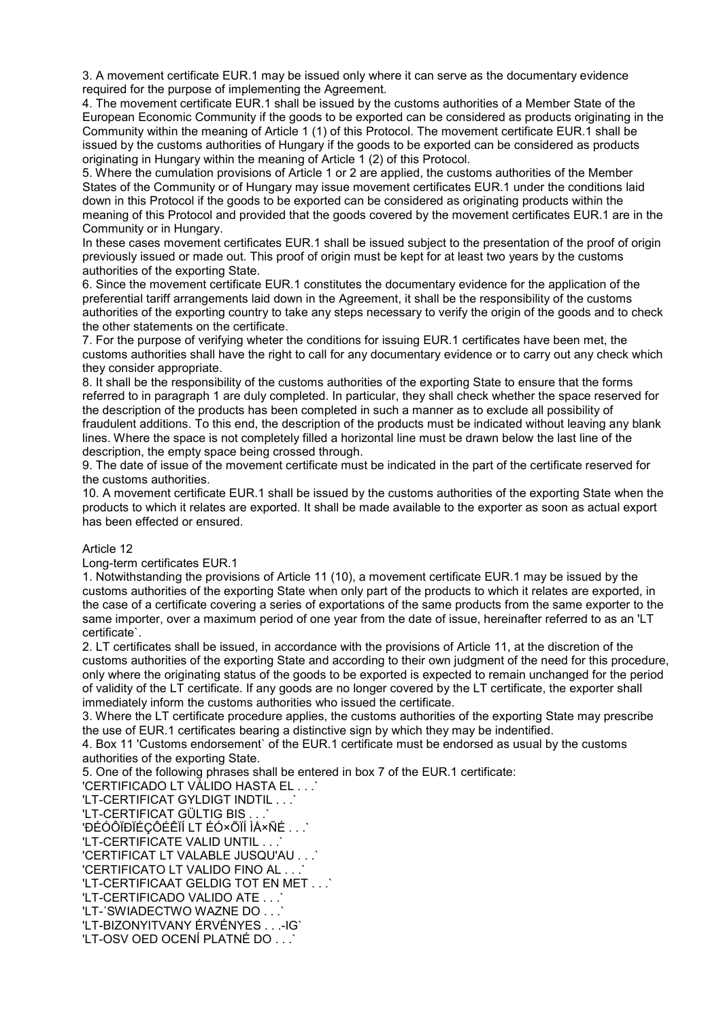3. A movement certificate EUR.1 may be issued only where it can serve as the documentary evidence required for the purpose of implementing the Agreement.

4. The movement certificate EUR.1 shall be issued by the customs authorities of a Member State of the European Economic Community if the goods to be exported can be considered as products originating in the Community within the meaning of Article 1 (1) of this Protocol. The movement certificate EUR.1 shall be issued by the customs authorities of Hungary if the goods to be exported can be considered as products originating in Hungary within the meaning of Article 1 (2) of this Protocol.

5. Where the cumulation provisions of Article 1 or 2 are applied, the customs authorities of the Member States of the Community or of Hungary may issue movement certificates EUR.1 under the conditions laid down in this Protocol if the goods to be exported can be considered as originating products within the meaning of this Protocol and provided that the goods covered by the movement certificates EUR.1 are in the Community or in Hungary.

In these cases movement certificates EUR.1 shall be issued subject to the presentation of the proof of origin previously issued or made out. This proof of origin must be kept for at least two years by the customs authorities of the exporting State.

6. Since the movement certificate EUR.1 constitutes the documentary evidence for the application of the preferential tariff arrangements laid down in the Agreement, it shall be the responsibility of the customs authorities of the exporting country to take any steps necessary to verify the origin of the goods and to check the other statements on the certificate.

7. For the purpose of verifying wheter the conditions for issuing EUR.1 certificates have been met, the customs authorities shall have the right to call for any documentary evidence or to carry out any check which they consider appropriate.

8. It shall be the responsibility of the customs authorities of the exporting State to ensure that the forms referred to in paragraph 1 are duly completed. In particular, they shall check whether the space reserved for the description of the products has been completed in such a manner as to exclude all possibility of fraudulent additions. To this end, the description of the products must be indicated without leaving any blank lines. Where the space is not completely filled a horizontal line must be drawn below the last line of the description, the empty space being crossed through.

9. The date of issue of the movement certificate must be indicated in the part of the certificate reserved for the customs authorities.

10. A movement certificate EUR.1 shall be issued by the customs authorities of the exporting State when the products to which it relates are exported. It shall be made available to the exporter as soon as actual export has been effected or ensured.

#### Article 12

Long-term certificates EUR.1

1. Notwithstanding the provisions of Article 11 (10), a movement certificate EUR.1 may be issued by the customs authorities of the exporting State when only part of the products to which it relates are exported, in the case of a certificate covering a series of exportations of the same products from the same exporter to the same importer, over a maximum period of one year from the date of issue, hereinafter referred to as an 'LT certificate`.

2. LT certificates shall be issued, in accordance with the provisions of Article 11, at the discretion of the customs authorities of the exporting State and according to their own judgment of the need for this procedure, only where the originating status of the goods to be exported is expected to remain unchanged for the period of validity of the LT certificate. If any goods are no longer covered by the LT certificate, the exporter shall immediately inform the customs authorities who issued the certificate.

3. Where the LT certificate procedure applies, the customs authorities of the exporting State may prescribe the use of EUR.1 certificates bearing a distinctive sign by which they may be indentified.

4. Box 11 'Customs endorsement` of the EUR.1 certificate must be endorsed as usual by the customs authorities of the exporting State.

5. One of the following phrases shall be entered in box 7 of the EUR.1 certificate:

'CERTIFICADO LT VÁLIDO HASTA EL . . .` 'LT-CERTIFICAT GYLDIGT INDTIL . . .` 'LT-CERTIFICAT GÜLTIG BIS . . 'ÐÉÓÔÏÐÏÉÇÔÉÊÏÍ LT ÉÓ×ÕÏÍ ÌÅ×ÑÉ . . .` 'LT-CERTIFICATE VALID UNTIL . . .` 'CERTIFICAT LT VALABLE JUSQU'AU . . .` 'CERTIFICATO LT VALIDO FINO AL . . . 'LT-CERTIFICAAT GELDIG TOT EN MET . . .` 'LT-CERTIFICADO VALIDO ATE . . .` 'LT-'SWIADECTWO WAZNE DO . . . 'LT-BIZONYITVANY ÉRVÉNYES . . .-IG` 'LT-OSV OED OCENÍ PLATNÉ DO . . .`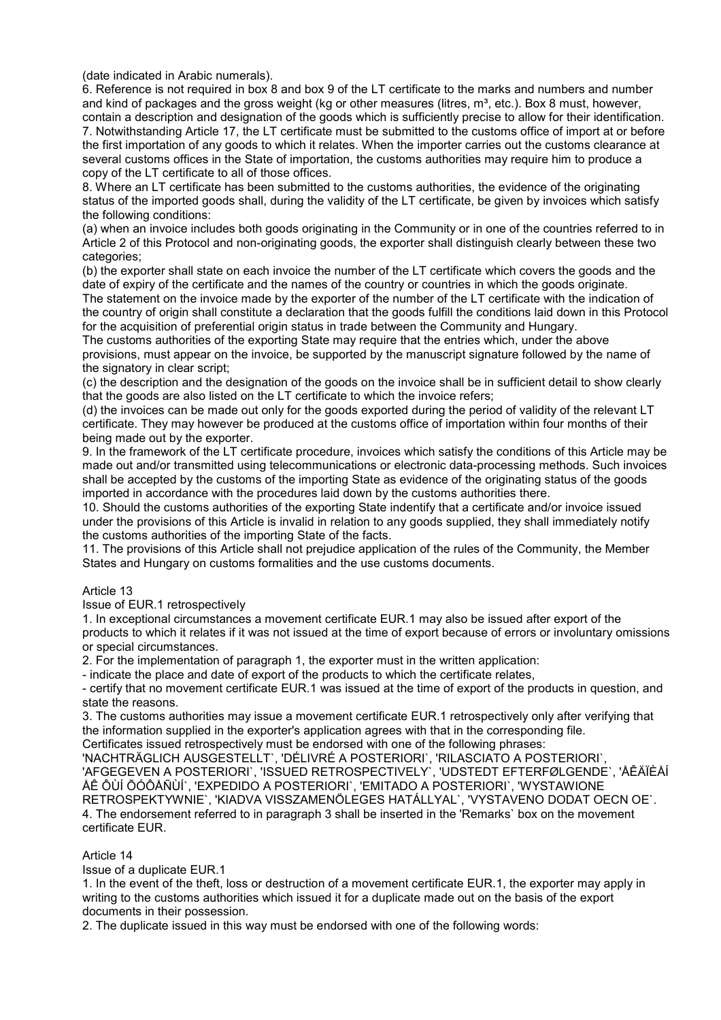(date indicated in Arabic numerals).

6. Reference is not required in box 8 and box 9 of the LT certificate to the marks and numbers and number and kind of packages and the gross weight (kg or other measures (litres,  $m^3$ , etc.). Box 8 must, however, contain a description and designation of the goods which is sufficiently precise to allow for their identification. 7. Notwithstanding Article 17, the LT certificate must be submitted to the customs office of import at or before the first importation of any goods to which it relates. When the importer carries out the customs clearance at several customs offices in the State of importation, the customs authorities may require him to produce a copy of the LT certificate to all of those offices.

8. Where an LT certificate has been submitted to the customs authorities, the evidence of the originating status of the imported goods shall, during the validity of the LT certificate, be given by invoices which satisfy the following conditions:

(a) when an invoice includes both goods originating in the Community or in one of the countries referred to in Article 2 of this Protocol and non-originating goods, the exporter shall distinguish clearly between these two categories;

(b) the exporter shall state on each invoice the number of the LT certificate which covers the goods and the date of expiry of the certificate and the names of the country or countries in which the goods originate. The statement on the invoice made by the exporter of the number of the LT certificate with the indication of

the country of origin shall constitute a declaration that the goods fulfill the conditions laid down in this Protocol for the acquisition of preferential origin status in trade between the Community and Hungary.

The customs authorities of the exporting State may require that the entries which, under the above provisions, must appear on the invoice, be supported by the manuscript signature followed by the name of the signatory in clear script:

(c) the description and the designation of the goods on the invoice shall be in sufficient detail to show clearly that the goods are also listed on the LT certificate to which the invoice refers;

(d) the invoices can be made out only for the goods exported during the period of validity of the relevant LT certificate. They may however be produced at the customs office of importation within four months of their being made out by the exporter.

9. In the framework of the LT certificate procedure, invoices which satisfy the conditions of this Article may be made out and/or transmitted using telecommunications or electronic data-processing methods. Such invoices shall be accepted by the customs of the importing State as evidence of the originating status of the goods imported in accordance with the procedures laid down by the customs authorities there.

10. Should the customs authorities of the exporting State indentify that a certificate and/or invoice issued under the provisions of this Article is invalid in relation to any goods supplied, they shall immediately notify the customs authorities of the importing State of the facts.

11. The provisions of this Article shall not prejudice application of the rules of the Community, the Member States and Hungary on customs formalities and the use customs documents.

# Article 13

Issue of EUR.1 retrospectively

1. In exceptional circumstances a movement certificate EUR.1 may also be issued after export of the products to which it relates if it was not issued at the time of export because of errors or involuntary omissions or special circumstances.

2. For the implementation of paragraph 1, the exporter must in the written application:

- indicate the place and date of export of the products to which the certificate relates,

- certify that no movement certificate EUR.1 was issued at the time of export of the products in question, and state the reasons.

3. The customs authorities may issue a movement certificate EUR.1 retrospectively only after verifying that the information supplied in the exporter's application agrees with that in the corresponding file.

Certificates issued retrospectively must be endorsed with one of the following phrases:

'NACHTRÄGLICH AUSGESTELLT`, 'DÉLIVRÉ A POSTERIORI`, 'RILASCIATO A POSTERIORI`, 'AFGEGEVEN A POSTERIORI`, 'ISSUED RETROSPECTIVELY`, 'UDSTEDT EFTERFØLGENDE`, 'ÅÊÄÏÈÅÍ ÅÊ ÔÙÍ ÕÓÔÅÑÙÍ`, 'EXPEDIDO A POSTERIORI`, 'EMITADO A POSTERIORI`, 'WYSTAWIONE RETROSPEKTYWNIE`, 'KIADVA VISSZAMENÖLEGES HATÁLLYAL`, 'VYSTAVENO DODAT OECN OE`. 4. The endorsement referred to in paragraph 3 shall be inserted in the 'Remarks` box on the movement certificate EUR.

#### Article 14

Issue of a duplicate EUR.1

1. In the event of the theft, loss or destruction of a movement certificate EUR.1, the exporter may apply in writing to the customs authorities which issued it for a duplicate made out on the basis of the export documents in their possession.

2. The duplicate issued in this way must be endorsed with one of the following words: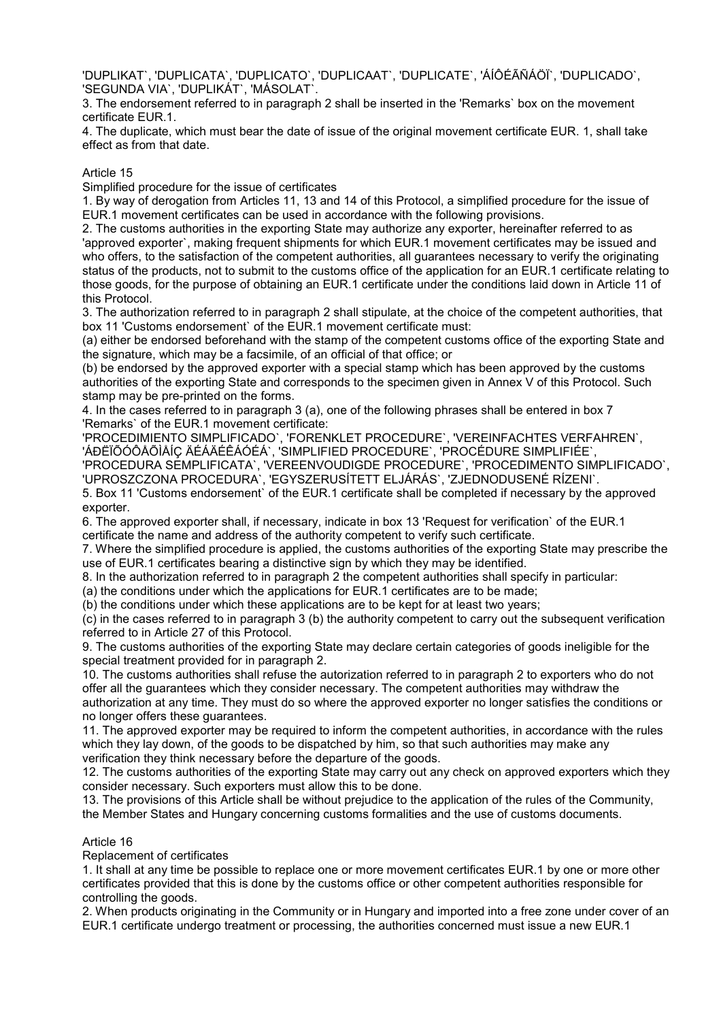'DUPLIKAT`, 'DUPLICATA`, 'DUPLICATO`, 'DUPLICAAT`, 'DUPLICATE`, 'ÁÍÔÉÃÑÁÖÏ`, 'DUPLICADO`, 'SEGUNDA VIA`, 'DUPLIKÁT`, 'MÁSOLAT`.

3. The endorsement referred to in paragraph 2 shall be inserted in the 'Remarks` box on the movement certificate EUR.1.

4. The duplicate, which must bear the date of issue of the original movement certificate EUR. 1, shall take effect as from that date.

### Article 15

Simplified procedure for the issue of certificates

1. By way of derogation from Articles 11, 13 and 14 of this Protocol, a simplified procedure for the issue of EUR.1 movement certificates can be used in accordance with the following provisions.

2. The customs authorities in the exporting State may authorize any exporter, hereinafter referred to as 'approved exporter`, making frequent shipments for which EUR.1 movement certificates may be issued and who offers, to the satisfaction of the competent authorities, all guarantees necessary to verify the originating status of the products, not to submit to the customs office of the application for an EUR.1 certificate relating to those goods, for the purpose of obtaining an EUR.1 certificate under the conditions laid down in Article 11 of this Protocol.

3. The authorization referred to in paragraph 2 shall stipulate, at the choice of the competent authorities, that box 11 'Customs endorsement` of the EUR.1 movement certificate must:

(a) either be endorsed beforehand with the stamp of the competent customs office of the exporting State and the signature, which may be a facsimile, of an official of that office; or

(b) be endorsed by the approved exporter with a special stamp which has been approved by the customs authorities of the exporting State and corresponds to the specimen given in Annex V of this Protocol. Such stamp may be pre-printed on the forms.

4. In the cases referred to in paragraph 3 (a), one of the following phrases shall be entered in box 7 'Remarks` of the EUR.1 movement certificate:

'PROCEDIMIENTO SIMPLIFICADO`, 'FORENKLET PROCEDURE`, 'VEREINFACHTES VERFAHREN`, 'ÁÐËÏÕÓÔÅÕÌÅÍÇ ÄÉÁÄÉÊÁÓÉÁ`, 'SIMPLIFIED PROCEDURE`, 'PROCÉDURE SIMPLIFIÉE`,

'PROCEDURA SEMPLIFICATA`, 'VEREENVOUDIGDE PROCEDURE`, 'PROCEDIMENTO SIMPLIFICADO`, 'UPROSZCZONA PROCEDURA`, 'EGYSZERUSÍTETT ELJÁRÁS`, 'ZJEDNODUSENÉ RÍZENI`.

5. Box 11 'Customs endorsement` of the EUR.1 certificate shall be completed if necessary by the approved exporter.

6. The approved exporter shall, if necessary, indicate in box 13 'Request for verification` of the EUR.1 certificate the name and address of the authority competent to verify such certificate.

7. Where the simplified procedure is applied, the customs authorities of the exporting State may prescribe the use of EUR.1 certificates bearing a distinctive sign by which they may be identified.

8. In the authorization referred to in paragraph 2 the competent authorities shall specify in particular:

(a) the conditions under which the applications for EUR.1 certificates are to be made;

(b) the conditions under which these applications are to be kept for at least two years;

(c) in the cases referred to in paragraph 3 (b) the authority competent to carry out the subsequent verification referred to in Article 27 of this Protocol.

9. The customs authorities of the exporting State may declare certain categories of goods ineligible for the special treatment provided for in paragraph 2.

10. The customs authorities shall refuse the autorization referred to in paragraph 2 to exporters who do not offer all the guarantees which they consider necessary. The competent authorities may withdraw the authorization at any time. They must do so where the approved exporter no longer satisfies the conditions or no longer offers these guarantees.

11. The approved exporter may be required to inform the competent authorities, in accordance with the rules which they lay down, of the goods to be dispatched by him, so that such authorities may make any verification they think necessary before the departure of the goods.

12. The customs authorities of the exporting State may carry out any check on approved exporters which they consider necessary. Such exporters must allow this to be done.

13. The provisions of this Article shall be without prejudice to the application of the rules of the Community, the Member States and Hungary concerning customs formalities and the use of customs documents.

# Article 16

Replacement of certificates

1. It shall at any time be possible to replace one or more movement certificates EUR.1 by one or more other certificates provided that this is done by the customs office or other competent authorities responsible for controlling the goods.

2. When products originating in the Community or in Hungary and imported into a free zone under cover of an EUR.1 certificate undergo treatment or processing, the authorities concerned must issue a new EUR.1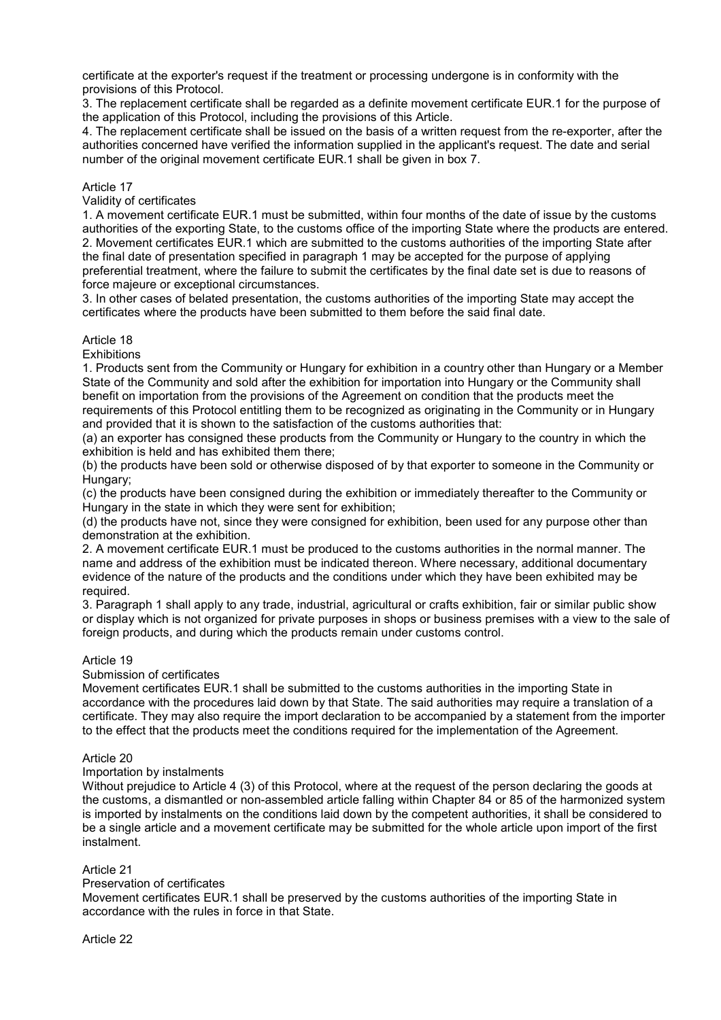certificate at the exporter's request if the treatment or processing undergone is in conformity with the provisions of this Protocol.

3. The replacement certificate shall be regarded as a definite movement certificate EUR.1 for the purpose of the application of this Protocol, including the provisions of this Article.

4. The replacement certificate shall be issued on the basis of a written request from the re-exporter, after the authorities concerned have verified the information supplied in the applicant's request. The date and serial number of the original movement certificate EUR.1 shall be given in box 7.

### Article 17

Validity of certificates

1. A movement certificate EUR.1 must be submitted, within four months of the date of issue by the customs authorities of the exporting State, to the customs office of the importing State where the products are entered. 2. Movement certificates EUR.1 which are submitted to the customs authorities of the importing State after the final date of presentation specified in paragraph 1 may be accepted for the purpose of applying preferential treatment, where the failure to submit the certificates by the final date set is due to reasons of force majeure or exceptional circumstances.

3. In other cases of belated presentation, the customs authorities of the importing State may accept the certificates where the products have been submitted to them before the said final date.

Article 18

**Exhibitions** 

1. Products sent from the Community or Hungary for exhibition in a country other than Hungary or a Member State of the Community and sold after the exhibition for importation into Hungary or the Community shall benefit on importation from the provisions of the Agreement on condition that the products meet the requirements of this Protocol entitling them to be recognized as originating in the Community or in Hungary and provided that it is shown to the satisfaction of the customs authorities that:

(a) an exporter has consigned these products from the Community or Hungary to the country in which the exhibition is held and has exhibited them there;

(b) the products have been sold or otherwise disposed of by that exporter to someone in the Community or Hungary;

(c) the products have been consigned during the exhibition or immediately thereafter to the Community or Hungary in the state in which they were sent for exhibition;

(d) the products have not, since they were consigned for exhibition, been used for any purpose other than demonstration at the exhibition.

2. A movement certificate EUR.1 must be produced to the customs authorities in the normal manner. The name and address of the exhibition must be indicated thereon. Where necessary, additional documentary evidence of the nature of the products and the conditions under which they have been exhibited may be required.

3. Paragraph 1 shall apply to any trade, industrial, agricultural or crafts exhibition, fair or similar public show or display which is not organized for private purposes in shops or business premises with a view to the sale of foreign products, and during which the products remain under customs control.

# Article 19

Submission of certificates

Movement certificates EUR.1 shall be submitted to the customs authorities in the importing State in accordance with the procedures laid down by that State. The said authorities may require a translation of a certificate. They may also require the import declaration to be accompanied by a statement from the importer to the effect that the products meet the conditions required for the implementation of the Agreement.

#### Article 20

#### Importation by instalments

Without prejudice to Article 4 (3) of this Protocol, where at the request of the person declaring the goods at the customs, a dismantled or non-assembled article falling within Chapter 84 or 85 of the harmonized system is imported by instalments on the conditions laid down by the competent authorities, it shall be considered to be a single article and a movement certificate may be submitted for the whole article upon import of the first instalment.

# Article 21

#### Preservation of certificates

Movement certificates EUR.1 shall be preserved by the customs authorities of the importing State in accordance with the rules in force in that State.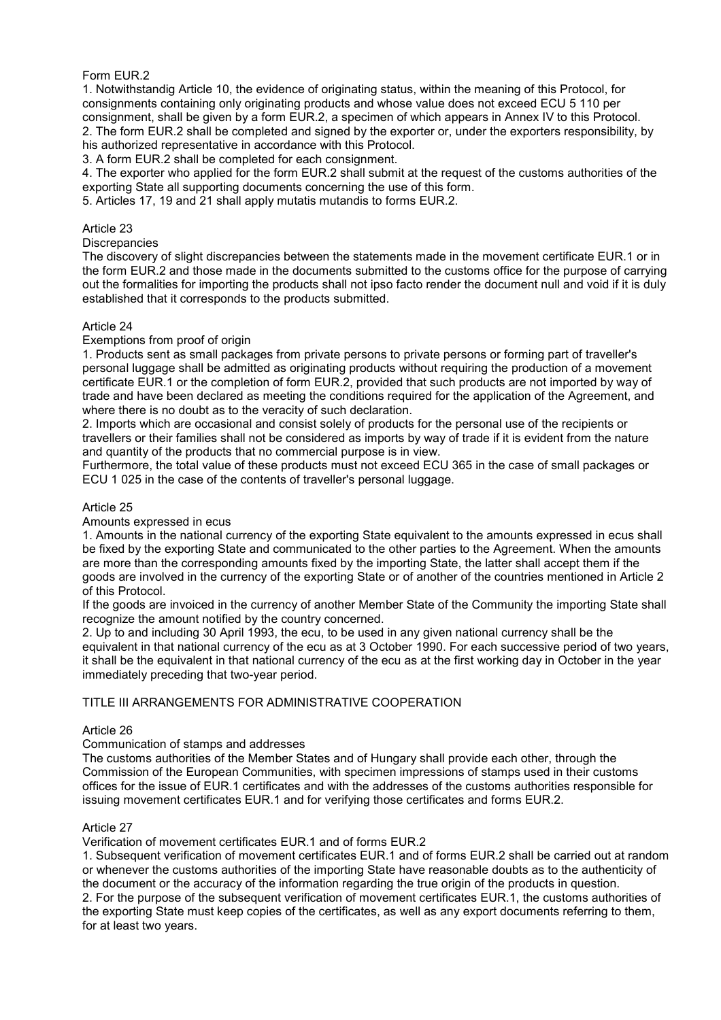### Form EUR.2

1. Notwithstandig Article 10, the evidence of originating status, within the meaning of this Protocol, for consignments containing only originating products and whose value does not exceed ECU 5 110 per consignment, shall be given by a form EUR.2, a specimen of which appears in Annex IV to this Protocol. 2. The form EUR.2 shall be completed and signed by the exporter or, under the exporters responsibility, by his authorized representative in accordance with this Protocol.

3. A form EUR.2 shall be completed for each consignment.

4. The exporter who applied for the form EUR.2 shall submit at the request of the customs authorities of the exporting State all supporting documents concerning the use of this form.

5. Articles 17, 19 and 21 shall apply mutatis mutandis to forms EUR.2.

#### Article 23

### **Discrepancies**

The discovery of slight discrepancies between the statements made in the movement certificate EUR.1 or in the form EUR.2 and those made in the documents submitted to the customs office for the purpose of carrying out the formalities for importing the products shall not ipso facto render the document null and void if it is duly established that it corresponds to the products submitted.

### Article 24

### Exemptions from proof of origin

1. Products sent as small packages from private persons to private persons or forming part of traveller's personal luggage shall be admitted as originating products without requiring the production of a movement certificate EUR.1 or the completion of form EUR.2, provided that such products are not imported by way of trade and have been declared as meeting the conditions required for the application of the Agreement, and where there is no doubt as to the veracity of such declaration.

2. Imports which are occasional and consist solely of products for the personal use of the recipients or travellers or their families shall not be considered as imports by way of trade if it is evident from the nature and quantity of the products that no commercial purpose is in view.

Furthermore, the total value of these products must not exceed ECU 365 in the case of small packages or ECU 1 025 in the case of the contents of traveller's personal luggage.

#### Article 25

#### Amounts expressed in ecus

1. Amounts in the national currency of the exporting State equivalent to the amounts expressed in ecus shall be fixed by the exporting State and communicated to the other parties to the Agreement. When the amounts are more than the corresponding amounts fixed by the importing State, the latter shall accept them if the goods are involved in the currency of the exporting State or of another of the countries mentioned in Article 2 of this Protocol.

If the goods are invoiced in the currency of another Member State of the Community the importing State shall recognize the amount notified by the country concerned.

2. Up to and including 30 April 1993, the ecu, to be used in any given national currency shall be the equivalent in that national currency of the ecu as at 3 October 1990. For each successive period of two years, it shall be the equivalent in that national currency of the ecu as at the first working day in October in the year immediately preceding that two-year period.

### TITLE III ARRANGEMENTS FOR ADMINISTRATIVE COOPERATION

#### Article 26

#### Communication of stamps and addresses

The customs authorities of the Member States and of Hungary shall provide each other, through the Commission of the European Communities, with specimen impressions of stamps used in their customs offices for the issue of EUR.1 certificates and with the addresses of the customs authorities responsible for issuing movement certificates EUR.1 and for verifying those certificates and forms EUR.2.

#### Article 27

Verification of movement certificates EUR.1 and of forms EUR.2

1. Subsequent verification of movement certificates EUR.1 and of forms EUR.2 shall be carried out at random or whenever the customs authorities of the importing State have reasonable doubts as to the authenticity of the document or the accuracy of the information regarding the true origin of the products in question. 2. For the purpose of the subsequent verification of movement certificates EUR.1, the customs authorities of the exporting State must keep copies of the certificates, as well as any export documents referring to them, for at least two years.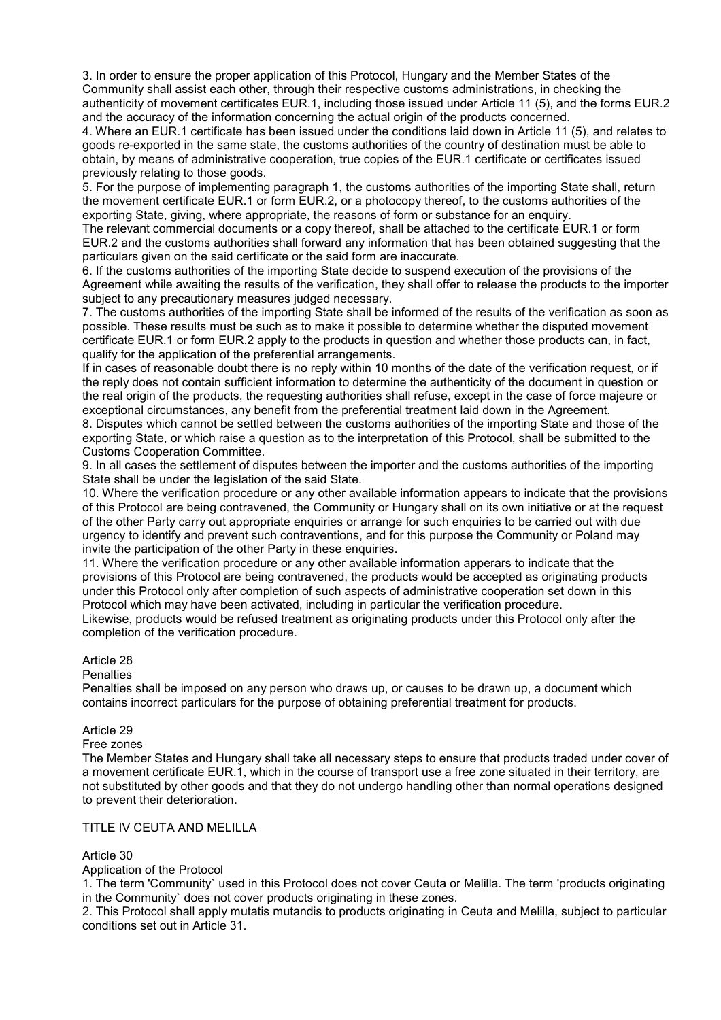3. In order to ensure the proper application of this Protocol, Hungary and the Member States of the Community shall assist each other, through their respective customs administrations, in checking the authenticity of movement certificates EUR.1, including those issued under Article 11 (5), and the forms EUR.2 and the accuracy of the information concerning the actual origin of the products concerned.

4. Where an EUR.1 certificate has been issued under the conditions laid down in Article 11 (5), and relates to goods re-exported in the same state, the customs authorities of the country of destination must be able to obtain, by means of administrative cooperation, true copies of the EUR.1 certificate or certificates issued previously relating to those goods.

5. For the purpose of implementing paragraph 1, the customs authorities of the importing State shall, return the movement certificate EUR.1 or form EUR.2, or a photocopy thereof, to the customs authorities of the exporting State, giving, where appropriate, the reasons of form or substance for an enquiry.

The relevant commercial documents or a copy thereof, shall be attached to the certificate EUR.1 or form EUR.2 and the customs authorities shall forward any information that has been obtained suggesting that the particulars given on the said certificate or the said form are inaccurate.

6. If the customs authorities of the importing State decide to suspend execution of the provisions of the Agreement while awaiting the results of the verification, they shall offer to release the products to the importer subject to any precautionary measures judged necessary.

7. The customs authorities of the importing State shall be informed of the results of the verification as soon as possible. These results must be such as to make it possible to determine whether the disputed movement certificate EUR.1 or form EUR.2 apply to the products in question and whether those products can, in fact, qualify for the application of the preferential arrangements.

If in cases of reasonable doubt there is no reply within 10 months of the date of the verification request, or if the reply does not contain sufficient information to determine the authenticity of the document in question or the real origin of the products, the requesting authorities shall refuse, except in the case of force majeure or exceptional circumstances, any benefit from the preferential treatment laid down in the Agreement.

8. Disputes which cannot be settled between the customs authorities of the importing State and those of the exporting State, or which raise a question as to the interpretation of this Protocol, shall be submitted to the Customs Cooperation Committee.

9. In all cases the settlement of disputes between the importer and the customs authorities of the importing State shall be under the legislation of the said State.

10. Where the verification procedure or any other available information appears to indicate that the provisions of this Protocol are being contravened, the Community or Hungary shall on its own initiative or at the request of the other Party carry out appropriate enquiries or arrange for such enquiries to be carried out with due urgency to identify and prevent such contraventions, and for this purpose the Community or Poland may invite the participation of the other Party in these enquiries.

11. Where the verification procedure or any other available information apperars to indicate that the provisions of this Protocol are being contravened, the products would be accepted as originating products under this Protocol only after completion of such aspects of administrative cooperation set down in this Protocol which may have been activated, including in particular the verification procedure. Likewise, products would be refused treatment as originating products under this Protocol only after the

Article 28

# Penalties

Penalties shall be imposed on any person who draws up, or causes to be drawn up, a document which contains incorrect particulars for the purpose of obtaining preferential treatment for products.

#### Article 29

#### Free zones

The Member States and Hungary shall take all necessary steps to ensure that products traded under cover of a movement certificate EUR.1, which in the course of transport use a free zone situated in their territory, are not substituted by other goods and that they do not undergo handling other than normal operations designed to prevent their deterioration.

# TITLE IV CEUTA AND MELILLA

completion of the verification procedure.

#### Article 30

Application of the Protocol

1. The term 'Community` used in this Protocol does not cover Ceuta or Melilla. The term 'products originating in the Community` does not cover products originating in these zones.

2. This Protocol shall apply mutatis mutandis to products originating in Ceuta and Melilla, subject to particular conditions set out in Article 31.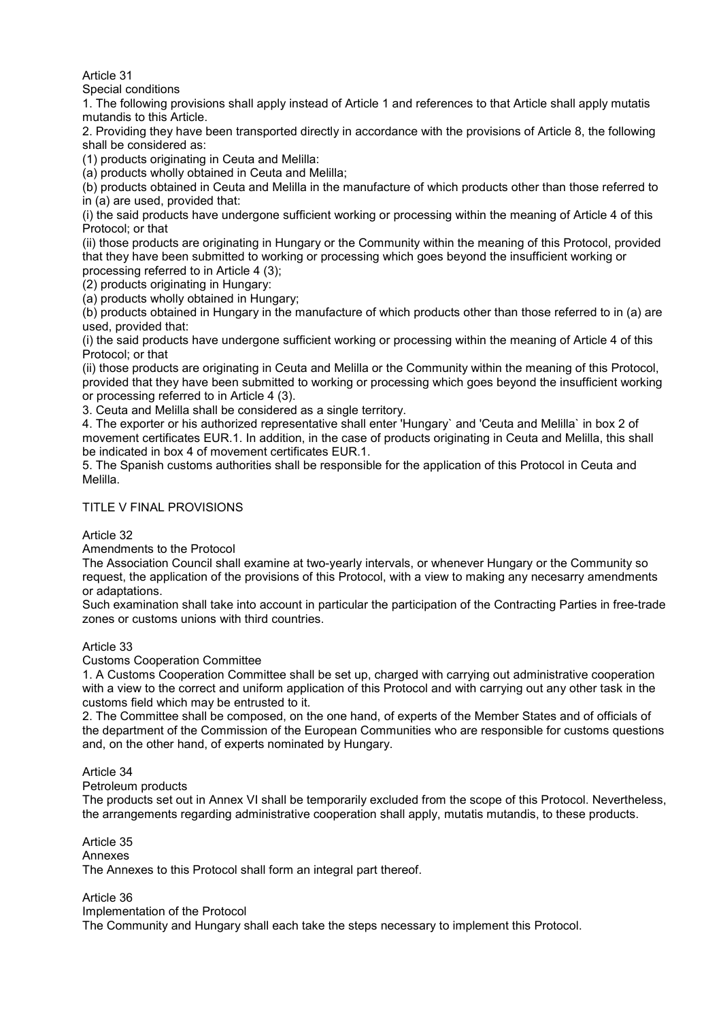Article 31

Special conditions

1. The following provisions shall apply instead of Article 1 and references to that Article shall apply mutatis mutandis to this Article.

2. Providing they have been transported directly in accordance with the provisions of Article 8, the following shall be considered as:

(1) products originating in Ceuta and Melilla:

(a) products wholly obtained in Ceuta and Melilla;

(b) products obtained in Ceuta and Melilla in the manufacture of which products other than those referred to in (a) are used, provided that:

(i) the said products have undergone sufficient working or processing within the meaning of Article 4 of this Protocol; or that

(ii) those products are originating in Hungary or the Community within the meaning of this Protocol, provided that they have been submitted to working or processing which goes beyond the insufficient working or processing referred to in Article 4 (3);

(2) products originating in Hungary:

(a) products wholly obtained in Hungary;

(b) products obtained in Hungary in the manufacture of which products other than those referred to in (a) are used, provided that:

(i) the said products have undergone sufficient working or processing within the meaning of Article 4 of this Protocol; or that

(ii) those products are originating in Ceuta and Melilla or the Community within the meaning of this Protocol, provided that they have been submitted to working or processing which goes beyond the insufficient working or processing referred to in Article 4 (3).

3. Ceuta and Melilla shall be considered as a single territory.

4. The exporter or his authorized representative shall enter 'Hungary` and 'Ceuta and Melilla` in box 2 of movement certificates EUR.1. In addition, in the case of products originating in Ceuta and Melilla, this shall be indicated in box 4 of movement certificates EUR.1.

5. The Spanish customs authorities shall be responsible for the application of this Protocol in Ceuta and Melilla.

### TITLE V FINAL PROVISIONS

#### Article 32

Amendments to the Protocol

The Association Council shall examine at two-yearly intervals, or whenever Hungary or the Community so request, the application of the provisions of this Protocol, with a view to making any necesarry amendments or adaptations.

Such examination shall take into account in particular the participation of the Contracting Parties in free-trade zones or customs unions with third countries.

#### Article 33

Customs Cooperation Committee

1. A Customs Cooperation Committee shall be set up, charged with carrying out administrative cooperation with a view to the correct and uniform application of this Protocol and with carrying out any other task in the customs field which may be entrusted to it.

2. The Committee shall be composed, on the one hand, of experts of the Member States and of officials of the department of the Commission of the European Communities who are responsible for customs questions and, on the other hand, of experts nominated by Hungary.

#### Article 34

#### Petroleum products

The products set out in Annex VI shall be temporarily excluded from the scope of this Protocol. Nevertheless, the arrangements regarding administrative cooperation shall apply, mutatis mutandis, to these products.

# Article 35

Annexes

The Annexes to this Protocol shall form an integral part thereof.

#### Article 36

Implementation of the Protocol

The Community and Hungary shall each take the steps necessary to implement this Protocol.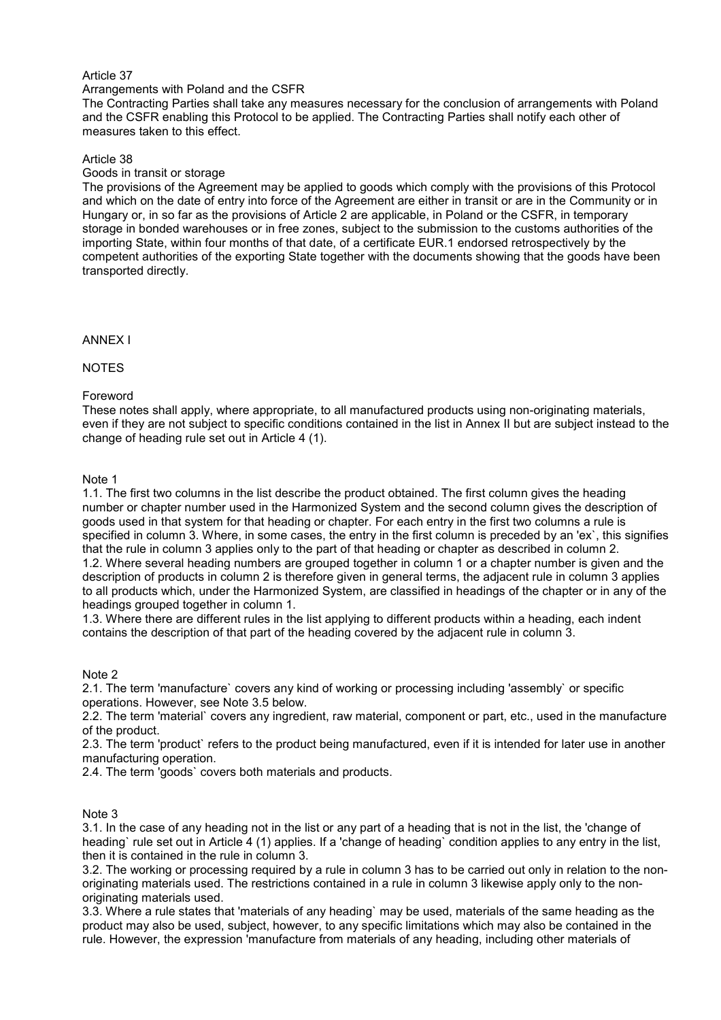### Article 37

#### Arrangements with Poland and the CSFR

The Contracting Parties shall take any measures necessary for the conclusion of arrangements with Poland and the CSFR enabling this Protocol to be applied. The Contracting Parties shall notify each other of measures taken to this effect.

#### Article 38

#### Goods in transit or storage

The provisions of the Agreement may be applied to goods which comply with the provisions of this Protocol and which on the date of entry into force of the Agreement are either in transit or are in the Community or in Hungary or, in so far as the provisions of Article 2 are applicable, in Poland or the CSFR, in temporary storage in bonded warehouses or in free zones, subject to the submission to the customs authorities of the importing State, within four months of that date, of a certificate EUR.1 endorsed retrospectively by the competent authorities of the exporting State together with the documents showing that the goods have been transported directly.

ANNEX I

**NOTES** 

### Foreword

These notes shall apply, where appropriate, to all manufactured products using non-originating materials, even if they are not subject to specific conditions contained in the list in Annex II but are subject instead to the change of heading rule set out in Article 4 (1).

Note 1

1.1. The first two columns in the list describe the product obtained. The first column gives the heading number or chapter number used in the Harmonized System and the second column gives the description of goods used in that system for that heading or chapter. For each entry in the first two columns a rule is specified in column 3. Where, in some cases, the entry in the first column is preceded by an 'ex`, this signifies that the rule in column 3 applies only to the part of that heading or chapter as described in column 2. 1.2. Where several heading numbers are grouped together in column 1 or a chapter number is given and the description of products in column 2 is therefore given in general terms, the adjacent rule in column 3 applies to all products which, under the Harmonized System, are classified in headings of the chapter or in any of the headings grouped together in column 1.

1.3. Where there are different rules in the list applying to different products within a heading, each indent contains the description of that part of the heading covered by the adjacent rule in column 3.

# Note 2

2.1. The term 'manufacture` covers any kind of working or processing including 'assembly` or specific operations. However, see Note 3.5 below.

2.2. The term 'material` covers any ingredient, raw material, component or part, etc., used in the manufacture of the product.

2.3. The term 'product` refers to the product being manufactured, even if it is intended for later use in another manufacturing operation.

2.4. The term 'goods` covers both materials and products.

#### Note 3

3.1. In the case of any heading not in the list or any part of a heading that is not in the list, the 'change of heading` rule set out in Article 4 (1) applies. If a 'change of heading` condition applies to any entry in the list, then it is contained in the rule in column 3.

3.2. The working or processing required by a rule in column 3 has to be carried out only in relation to the nonoriginating materials used. The restrictions contained in a rule in column 3 likewise apply only to the nonoriginating materials used.

3.3. Where a rule states that 'materials of any heading` may be used, materials of the same heading as the product may also be used, subject, however, to any specific limitations which may also be contained in the rule. However, the expression 'manufacture from materials of any heading, including other materials of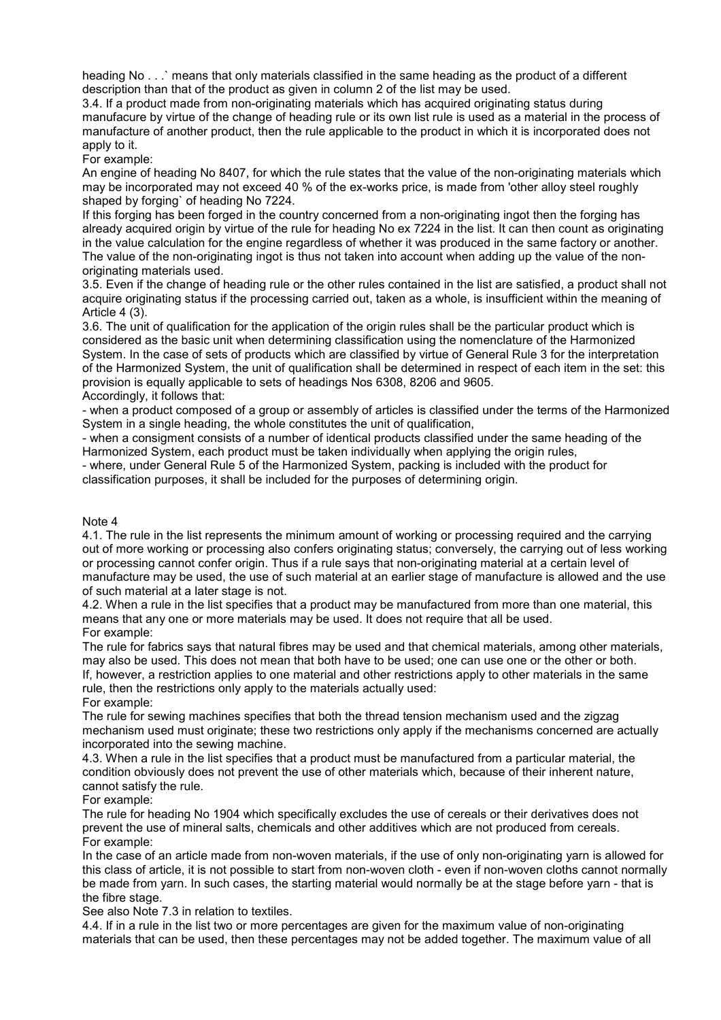heading No . . . ` means that only materials classified in the same heading as the product of a different description than that of the product as given in column 2 of the list may be used.

3.4. If a product made from non-originating materials which has acquired originating status during manufacure by virtue of the change of heading rule or its own list rule is used as a material in the process of manufacture of another product, then the rule applicable to the product in which it is incorporated does not apply to it.

For example:

An engine of heading No 8407, for which the rule states that the value of the non-originating materials which may be incorporated may not exceed 40 % of the ex-works price, is made from 'other alloy steel roughly shaped by forging` of heading No 7224.

If this forging has been forged in the country concerned from a non-originating ingot then the forging has already acquired origin by virtue of the rule for heading No ex 7224 in the list. It can then count as originating in the value calculation for the engine regardless of whether it was produced in the same factory or another. The value of the non-originating ingot is thus not taken into account when adding up the value of the nonoriginating materials used.

3.5. Even if the change of heading rule or the other rules contained in the list are satisfied, a product shall not acquire originating status if the processing carried out, taken as a whole, is insufficient within the meaning of Article 4 (3).

3.6. The unit of qualification for the application of the origin rules shall be the particular product which is considered as the basic unit when determining classification using the nomenclature of the Harmonized System. In the case of sets of products which are classified by virtue of General Rule 3 for the interpretation of the Harmonized System, the unit of qualification shall be determined in respect of each item in the set: this provision is equally applicable to sets of headings Nos 6308, 8206 and 9605. Accordingly, it follows that:

- when a product composed of a group or assembly of articles is classified under the terms of the Harmonized System in a single heading, the whole constitutes the unit of qualification,

- when a consigment consists of a number of identical products classified under the same heading of the Harmonized System, each product must be taken individually when applying the origin rules,

- where, under General Rule 5 of the Harmonized System, packing is included with the product for classification purposes, it shall be included for the purposes of determining origin.

# Note 4

4.1. The rule in the list represents the minimum amount of working or processing required and the carrying out of more working or processing also confers originating status; conversely, the carrying out of less working or processing cannot confer origin. Thus if a rule says that non-originating material at a certain level of manufacture may be used, the use of such material at an earlier stage of manufacture is allowed and the use of such material at a later stage is not.

4.2. When a rule in the list specifies that a product may be manufactured from more than one material, this means that any one or more materials may be used. It does not require that all be used. For example:

The rule for fabrics says that natural fibres may be used and that chemical materials, among other materials, may also be used. This does not mean that both have to be used; one can use one or the other or both. If, however, a restriction applies to one material and other restrictions apply to other materials in the same rule, then the restrictions only apply to the materials actually used: For example:

The rule for sewing machines specifies that both the thread tension mechanism used and the zigzag mechanism used must originate; these two restrictions only apply if the mechanisms concerned are actually incorporated into the sewing machine.

4.3. When a rule in the list specifies that a product must be manufactured from a particular material, the condition obviously does not prevent the use of other materials which, because of their inherent nature, cannot satisfy the rule.

# For example:

The rule for heading No 1904 which specifically excludes the use of cereals or their derivatives does not prevent the use of mineral salts, chemicals and other additives which are not produced from cereals. For example:

In the case of an article made from non-woven materials, if the use of only non-originating yarn is allowed for this class of article, it is not possible to start from non-woven cloth - even if non-woven cloths cannot normally be made from yarn. In such cases, the starting material would normally be at the stage before yarn - that is the fibre stage.

See also Note 7.3 in relation to textiles.

4.4. If in a rule in the list two or more percentages are given for the maximum value of non-originating materials that can be used, then these percentages may not be added together. The maximum value of all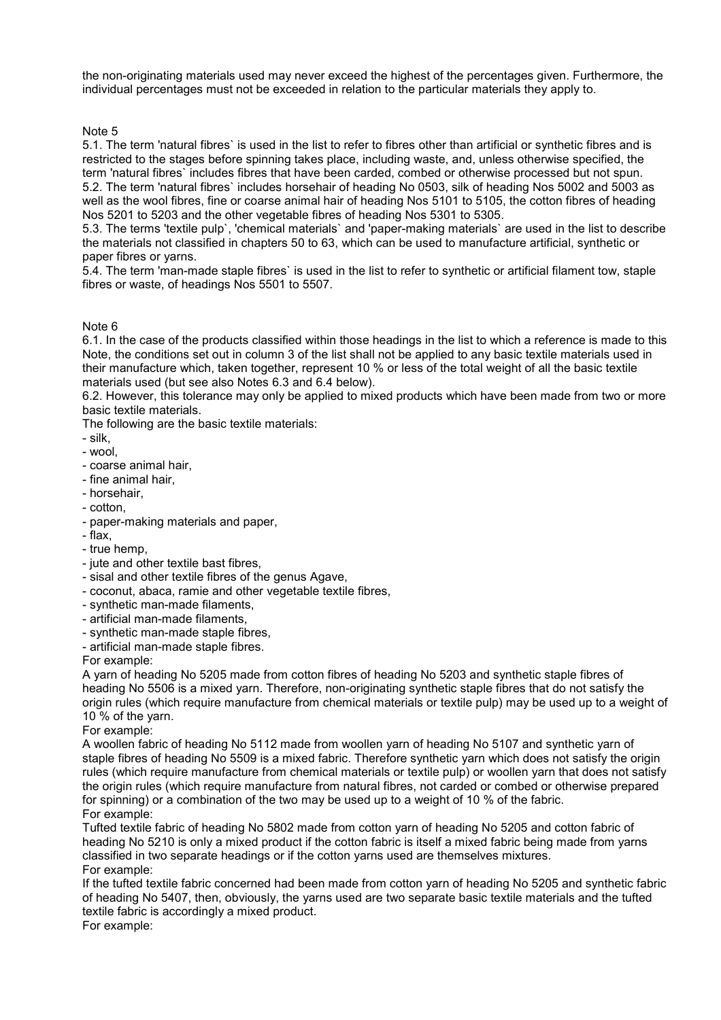the non-originating materials used may never exceed the highest of the percentages given. Furthermore, the individual percentages must not be exceeded in relation to the particular materials they apply to.

# Note 5

5.1. The term 'natural fibres` is used in the list to refer to fibres other than artificial or synthetic fibres and is restricted to the stages before spinning takes place, including waste, and, unless otherwise specified, the term 'natural fibres` includes fibres that have been carded, combed or otherwise processed but not spun. 5.2. The term 'natural fibres` includes horsehair of heading No 0503, silk of heading Nos 5002 and 5003 as well as the wool fibres, fine or coarse animal hair of heading Nos 5101 to 5105, the cotton fibres of heading Nos 5201 to 5203 and the other vegetable fibres of heading Nos 5301 to 5305.

5.3. The terms 'textile pulp`, 'chemical materials` and 'paper-making materials` are used in the list to describe the materials not classified in chapters 50 to 63, which can be used to manufacture artificial, synthetic or paper fibres or yarns.

5.4. The term 'man-made staple fibres` is used in the list to refer to synthetic or artificial filament tow, staple fibres or waste, of headings Nos 5501 to 5507.

# Note 6

6.1. In the case of the products classified within those headings in the list to which a reference is made to this Note, the conditions set out in column 3 of the list shall not be applied to any basic textile materials used in their manufacture which, taken together, represent 10 % or less of the total weight of all the basic textile materials used (but see also Notes 6.3 and 6.4 below).

6.2. However, this tolerance may only be applied to mixed products which have been made from two or more basic textile materials.

The following are the basic textile materials:

- silk,
- wool,
- coarse animal hair,
- fine animal hair,
- horsehair,
- cotton,
- paper-making materials and paper,
- flax,
- true hemp,
- jute and other textile bast fibres,
- sisal and other textile fibres of the genus Agave,
- coconut, abaca, ramie and other vegetable textile fibres,
- synthetic man-made filaments,
- artificial man-made filaments,
- synthetic man-made staple fibres,
- artificial man-made staple fibres.

#### For example:

A yarn of heading No 5205 made from cotton fibres of heading No 5203 and synthetic staple fibres of heading No 5506 is a mixed yarn. Therefore, non-originating synthetic staple fibres that do not satisfy the origin rules (which require manufacture from chemical materials or textile pulp) may be used up to a weight of 10 % of the yarn.

#### For example:

A woollen fabric of heading No 5112 made from woollen yarn of heading No 5107 and synthetic yarn of staple fibres of heading No 5509 is a mixed fabric. Therefore synthetic yarn which does not satisfy the origin rules (which require manufacture from chemical materials or textile pulp) or woollen yarn that does not satisfy the origin rules (which require manufacture from natural fibres, not carded or combed or otherwise prepared for spinning) or a combination of the two may be used up to a weight of 10 % of the fabric. For example:

Tufted textile fabric of heading No 5802 made from cotton yarn of heading No 5205 and cotton fabric of heading No 5210 is only a mixed product if the cotton fabric is itself a mixed fabric being made from yarns classified in two separate headings or if the cotton yarns used are themselves mixtures. For example:

If the tufted textile fabric concerned had been made from cotton yarn of heading No 5205 and synthetic fabric of heading No 5407, then, obviously, the yarns used are two separate basic textile materials and the tufted textile fabric is accordingly a mixed product.

For example: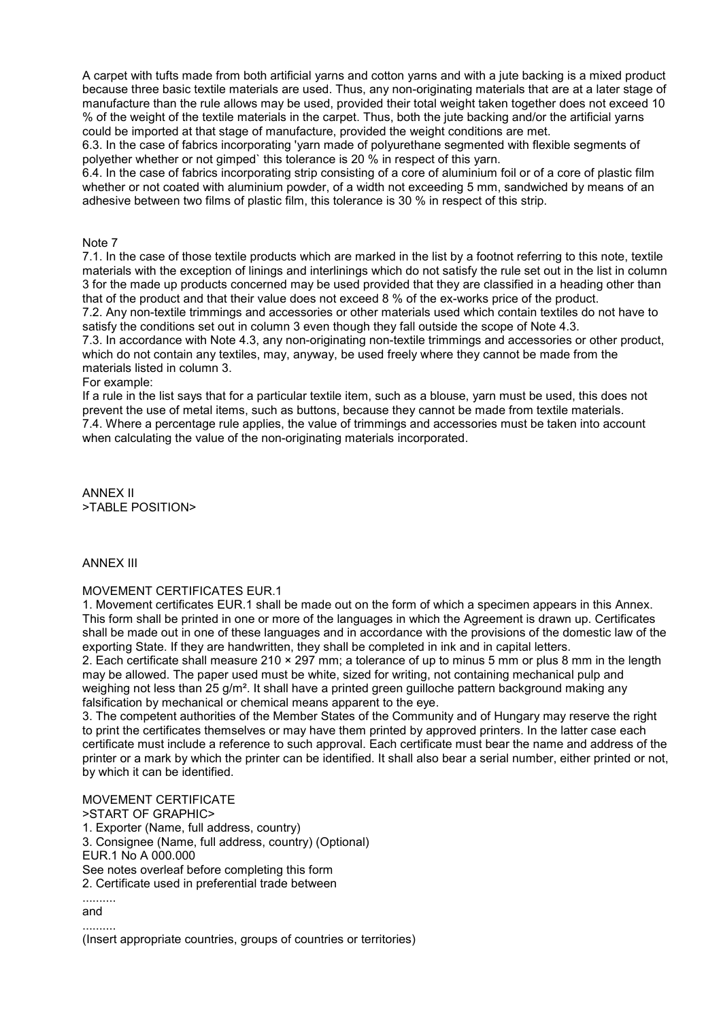A carpet with tufts made from both artificial yarns and cotton yarns and with a jute backing is a mixed product because three basic textile materials are used. Thus, any non-originating materials that are at a later stage of manufacture than the rule allows may be used, provided their total weight taken together does not exceed 10 % of the weight of the textile materials in the carpet. Thus, both the jute backing and/or the artificial yarns could be imported at that stage of manufacture, provided the weight conditions are met.

6.3. In the case of fabrics incorporating 'yarn made of polyurethane segmented with flexible segments of polyether whether or not gimped` this tolerance is 20 % in respect of this yarn.

6.4. In the case of fabrics incorporating strip consisting of a core of aluminium foil or of a core of plastic film whether or not coated with aluminium powder, of a width not exceeding 5 mm, sandwiched by means of an adhesive between two films of plastic film, this tolerance is 30 % in respect of this strip.

#### Note 7

7.1. In the case of those textile products which are marked in the list by a footnot referring to this note, textile materials with the exception of linings and interlinings which do not satisfy the rule set out in the list in column 3 for the made up products concerned may be used provided that they are classified in a heading other than that of the product and that their value does not exceed 8 % of the ex-works price of the product.

7.2. Any non-textile trimmings and accessories or other materials used which contain textiles do not have to satisfy the conditions set out in column 3 even though they fall outside the scope of Note 4.3.

7.3. In accordance with Note 4.3, any non-originating non-textile trimmings and accessories or other product, which do not contain any textiles, may, anyway, be used freely where they cannot be made from the materials listed in column 3.

#### For example:

If a rule in the list says that for a particular textile item, such as a blouse, yarn must be used, this does not prevent the use of metal items, such as buttons, because they cannot be made from textile materials. 7.4. Where a percentage rule applies, the value of trimmings and accessories must be taken into account when calculating the value of the non-originating materials incorporated.

ANNEX II >TABLE POSITION>

### ANNEX III

# MOVEMENT CERTIFICATES EUR.1

1. Movement certificates EUR.1 shall be made out on the form of which a specimen appears in this Annex. This form shall be printed in one or more of the languages in which the Agreement is drawn up. Certificates shall be made out in one of these languages and in accordance with the provisions of the domestic law of the exporting State. If they are handwritten, they shall be completed in ink and in capital letters.

2. Each certificate shall measure 210 × 297 mm; a tolerance of up to minus 5 mm or plus 8 mm in the length may be allowed. The paper used must be white, sized for writing, not containing mechanical pulp and weighing not less than 25 g/m². It shall have a printed green guilloche pattern background making any falsification by mechanical or chemical means apparent to the eye.

3. The competent authorities of the Member States of the Community and of Hungary may reserve the right to print the certificates themselves or may have them printed by approved printers. In the latter case each certificate must include a reference to such approval. Each certificate must bear the name and address of the printer or a mark by which the printer can be identified. It shall also bear a serial number, either printed or not, by which it can be identified.

#### MOVEMENT CERTIFICATE

>START OF GRAPHIC> 1. Exporter (Name, full address, country) 3. Consignee (Name, full address, country) (Optional) EUR.1 No A 000.000 See notes overleaf before completing this form 2. Certificate used in preferential trade between ..........

and

..........

(Insert appropriate countries, groups of countries or territories)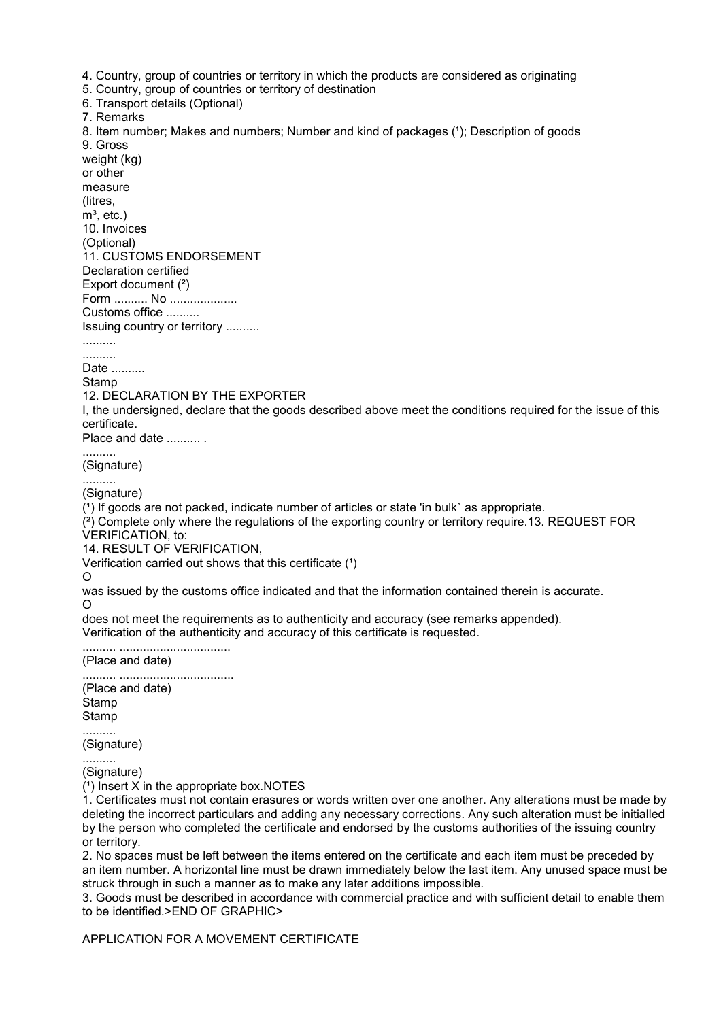4. Country, group of countries or territory in which the products are considered as originating 5. Country, group of countries or territory of destination 6. Transport details (Optional) 7. Remarks 8. Item number: Makes and numbers; Number and kind of packages (1); Description of goods 9. Gross weight (kg) or other measure (litres,  $m^3$ , etc.) 10. Invoices (Optional) 11. CUSTOMS ENDORSEMENT Declaration certified Export document (²) Form .......... No .................... Customs office .......... Issuing country or territory .......... .......... .......... Date .......... Stamp 12. DECLARATION BY THE EXPORTER I, the undersigned, declare that the goods described above meet the conditions required for the issue of this certificate. Place and date ........... .......... (Signature) .......... (Signature) (1) If goods are not packed, indicate number of articles or state 'in bulk' as appropriate. (²) Complete only where the regulations of the exporting country or territory require.13. REQUEST FOR VERIFICATION, to: 14. RESULT OF VERIFICATION, Verification carried out shows that this certificate  $(1)$ O was issued by the customs office indicated and that the information contained therein is accurate.  $\Omega$ does not meet the requirements as to authenticity and accuracy (see remarks appended). Verification of the authenticity and accuracy of this certificate is requested. .......... ................................. (Place and date) .......... .................................. (Place and date) Stamp Stamp .......... (Signature) .......... (Signature)  $(1)$  Insert X in the appropriate box.NOTES 1. Certificates must not contain erasures or words written over one another. Any alterations must be made by deleting the incorrect particulars and adding any necessary corrections. Any such alteration must be initialled by the person who completed the certificate and endorsed by the customs authorities of the issuing country or territory. 2. No spaces must be left between the items entered on the certificate and each item must be preceded by an item number. A horizontal line must be drawn immediately below the last item. Any unused space must be struck through in such a manner as to make any later additions impossible.

3. Goods must be described in accordance with commercial practice and with sufficient detail to enable them to be identified.>END OF GRAPHIC>

APPLICATION FOR A MOVEMENT CERTIFICATE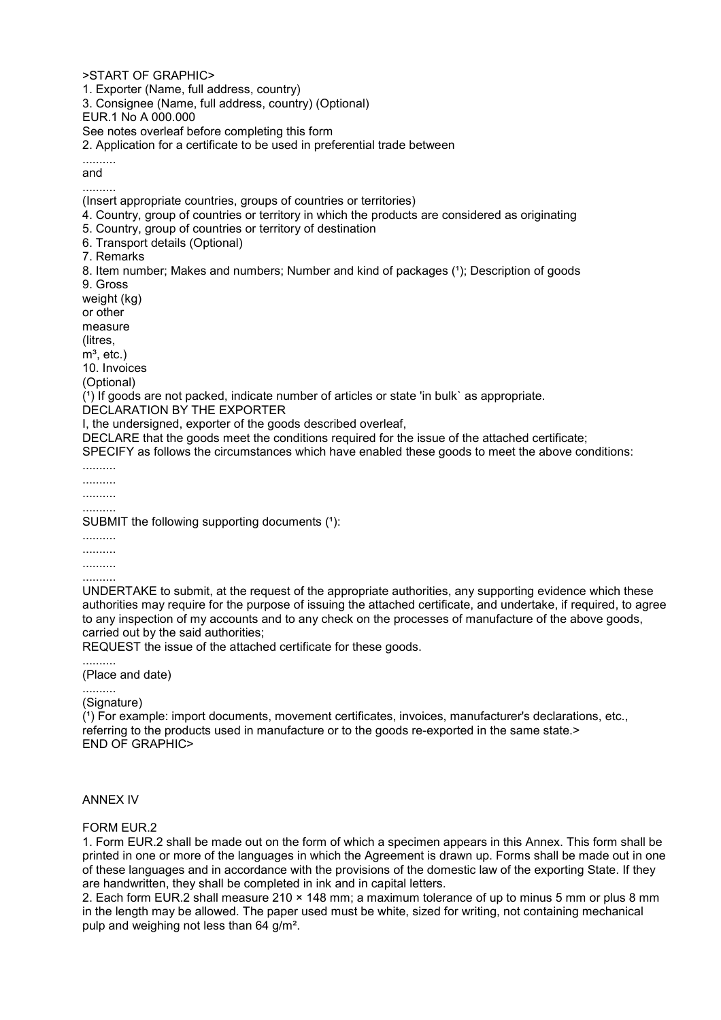>START OF GRAPHIC>

1. Exporter (Name, full address, country)

3. Consignee (Name, full address, country) (Optional)

EUR.1 No A 000.000

See notes overleaf before completing this form

2. Application for a certificate to be used in preferential trade between

..........

and ..........

(Insert appropriate countries, groups of countries or territories)

- 4. Country, group of countries or territory in which the products are considered as originating
- 5. Country, group of countries or territory of destination
- 6. Transport details (Optional)

7. Remarks

8. Item number; Makes and numbers; Number and kind of packages (1); Description of goods 9. Gross

weight (kg) or other

measure

(litres,

 $m^3$ , etc.)

10. Invoices

(Optional)

 $(1)$  If goods are not packed, indicate number of articles or state 'in bulk` as appropriate.

DECLARATION BY THE EXPORTER

I, the undersigned, exporter of the goods described overleaf,

DECLARE that the goods meet the conditions required for the issue of the attached certificate;

SPECIFY as follows the circumstances which have enabled these goods to meet the above conditions:

..........

..........

.......... ..........

SUBMIT the following supporting documents (1):

..........

.......... ..........

..........

UNDERTAKE to submit, at the request of the appropriate authorities, any supporting evidence which these authorities may require for the purpose of issuing the attached certificate, and undertake, if required, to agree to any inspection of my accounts and to any check on the processes of manufacture of the above goods, carried out by the said authorities;

REQUEST the issue of the attached certificate for these goods.

.......... (Place and date)

..........

(Signature)

 $(1)$  For example: import documents, movement certificates, invoices, manufacturer's declarations, etc., referring to the products used in manufacture or to the goods re-exported in the same state. END OF GRAPHIC>

#### ANNEX IV

FORM EUR.2

1. Form EUR.2 shall be made out on the form of which a specimen appears in this Annex. This form shall be printed in one or more of the languages in which the Agreement is drawn up. Forms shall be made out in one of these languages and in accordance with the provisions of the domestic law of the exporting State. If they are handwritten, they shall be completed in ink and in capital letters.

2. Each form EUR.2 shall measure 210 × 148 mm; a maximum tolerance of up to minus 5 mm or plus 8 mm in the length may be allowed. The paper used must be white, sized for writing, not containing mechanical pulp and weighing not less than 64 g/m².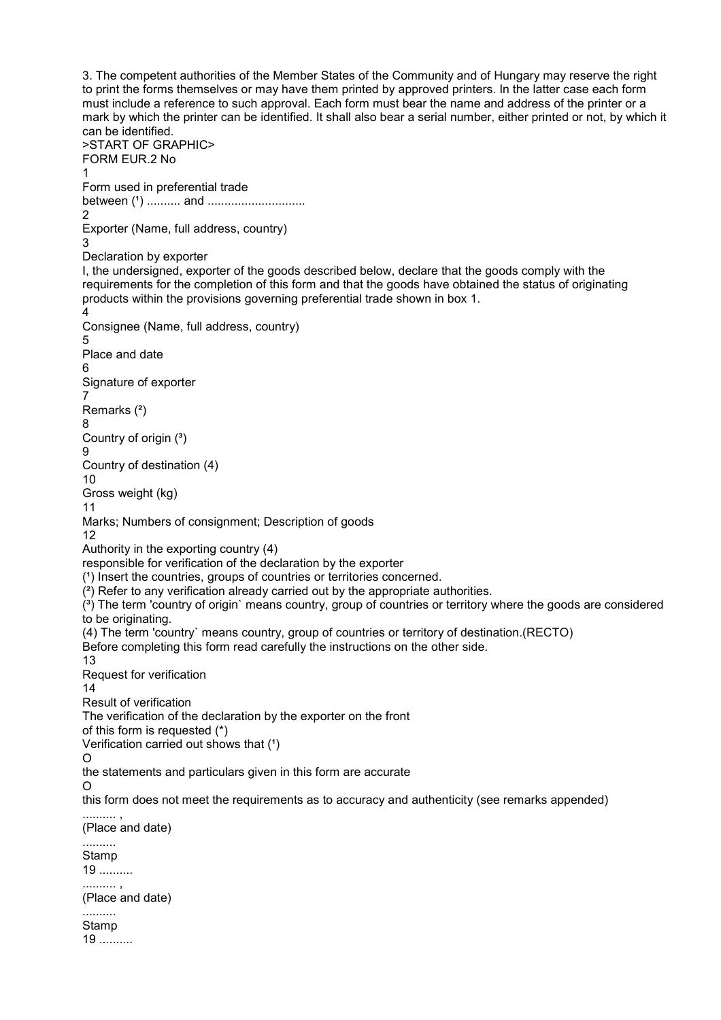3. The competent authorities of the Member States of the Community and of Hungary may reserve the right to print the forms themselves or may have them printed by approved printers. In the latter case each form must include a reference to such approval. Each form must bear the name and address of the printer or a mark by which the printer can be identified. It shall also bear a serial number, either printed or not, by which it can be identified. >START OF GRAPHIC> FORM EUR.2 No 1 Form used in preferential trade between (¹) .......... and ............................. 2 Exporter (Name, full address, country) 3 Declaration by exporter I, the undersigned, exporter of the goods described below, declare that the goods comply with the requirements for the completion of this form and that the goods have obtained the status of originating products within the provisions governing preferential trade shown in box 1. 4 Consignee (Name, full address, country) 5 Place and date 6 Signature of exporter 7 Remarks (²) 8 Country of origin (³) 9 Country of destination (4) 10 Gross weight (kg) 11 Marks; Numbers of consignment; Description of goods 12 Authority in the exporting country (4) responsible for verification of the declaration by the exporter (1) Insert the countries, groups of countries or territories concerned.  $(2)$  Refer to any verification already carried out by the appropriate authorities. (³) The term 'country of origin` means country, group of countries or territory where the goods are considered to be originating. (4) The term 'country` means country, group of countries or territory of destination.(RECTO) Before completing this form read carefully the instructions on the other side. 13 Request for verification 14 Result of verification The verification of the declaration by the exporter on the front of this form is requested (\*) Verification carried out shows that (1)  $\Omega$ the statements and particulars given in this form are accurate  $\Omega$ this form does not meet the requirements as to accuracy and authenticity (see remarks appended) .......... , (Place and date) .......... Stamp 19 .......... .......... , (Place and date) .......... Stamp 19 ..........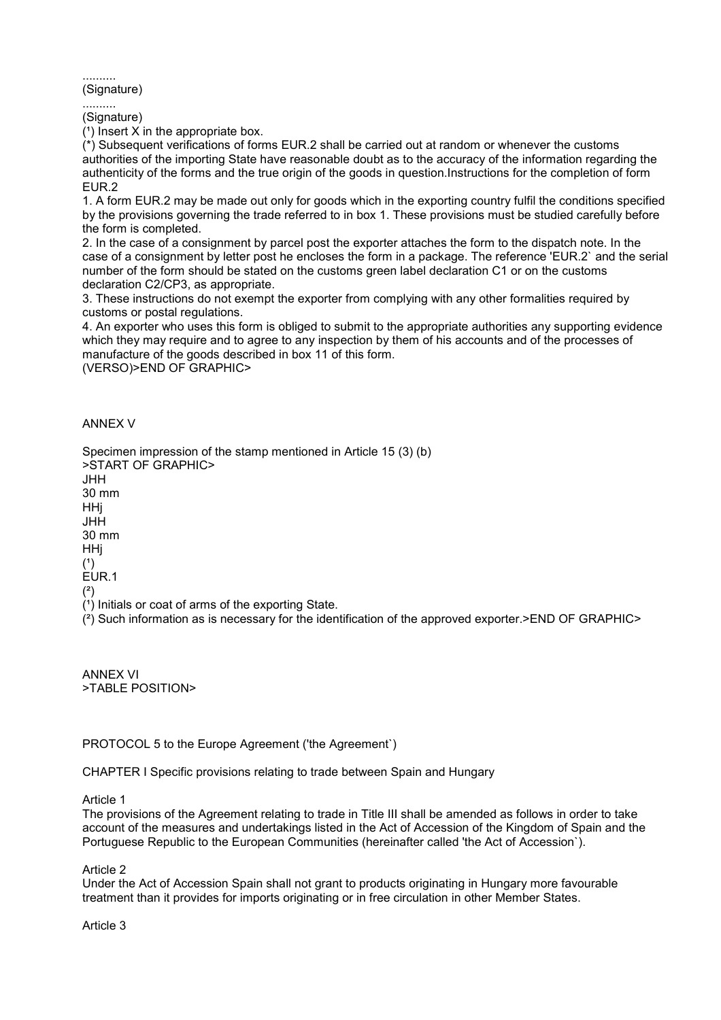.......... (Signature)

.......... (Signature)

 $(1)$  Insert X in the appropriate box.

(\*) Subsequent verifications of forms EUR.2 shall be carried out at random or whenever the customs authorities of the importing State have reasonable doubt as to the accuracy of the information regarding the authenticity of the forms and the true origin of the goods in question.Instructions for the completion of form EUR.2

1. A form EUR.2 may be made out only for goods which in the exporting country fulfil the conditions specified by the provisions governing the trade referred to in box 1. These provisions must be studied carefully before the form is completed.

2. In the case of a consignment by parcel post the exporter attaches the form to the dispatch note. In the case of a consignment by letter post he encloses the form in a package. The reference 'EUR.2` and the serial number of the form should be stated on the customs green label declaration C1 or on the customs declaration C2/CP3, as appropriate.

3. These instructions do not exempt the exporter from complying with any other formalities required by customs or postal regulations.

4. An exporter who uses this form is obliged to submit to the appropriate authorities any supporting evidence which they may require and to agree to any inspection by them of his accounts and of the processes of manufacture of the goods described in box 11 of this form.

(VERSO)>END OF GRAPHIC>

ANNEX V

Specimen impression of the stamp mentioned in Article 15 (3) (b) >START OF GRAPHIC> **JHH** 30 mm HHj **JHH** 30 mm

HHj

 $(1)$ 

EUR.1

 $(2)$ 

 $(1)$  Initials or coat of arms of the exporting State.

 $(2)$  Such information as is necessary for the identification of the approved exporter.>END OF GRAPHIC>

ANNEX VI >TABLE POSITION>

PROTOCOL 5 to the Europe Agreement ('the Agreement`)

CHAPTER I Specific provisions relating to trade between Spain and Hungary

Article 1

The provisions of the Agreement relating to trade in Title III shall be amended as follows in order to take account of the measures and undertakings listed in the Act of Accession of the Kingdom of Spain and the Portuguese Republic to the European Communities (hereinafter called 'the Act of Accession').

Article 2

Under the Act of Accession Spain shall not grant to products originating in Hungary more favourable treatment than it provides for imports originating or in free circulation in other Member States.

Article 3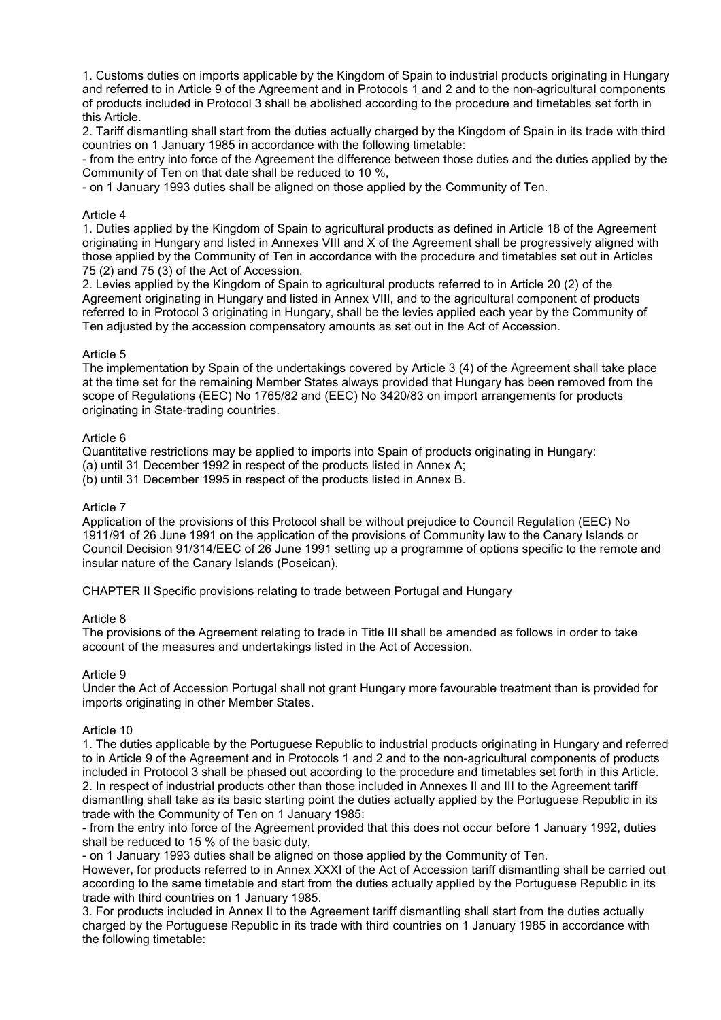1. Customs duties on imports applicable by the Kingdom of Spain to industrial products originating in Hungary and referred to in Article 9 of the Agreement and in Protocols 1 and 2 and to the non-agricultural components of products included in Protocol 3 shall be abolished according to the procedure and timetables set forth in this Article.

2. Tariff dismantling shall start from the duties actually charged by the Kingdom of Spain in its trade with third countries on 1 January 1985 in accordance with the following timetable:

- from the entry into force of the Agreement the difference between those duties and the duties applied by the Community of Ten on that date shall be reduced to 10 %,

- on 1 January 1993 duties shall be aligned on those applied by the Community of Ten.

#### Article 4

1. Duties applied by the Kingdom of Spain to agricultural products as defined in Article 18 of the Agreement originating in Hungary and listed in Annexes VIII and X of the Agreement shall be progressively aligned with those applied by the Community of Ten in accordance with the procedure and timetables set out in Articles 75 (2) and 75 (3) of the Act of Accession.

2. Levies applied by the Kingdom of Spain to agricultural products referred to in Article 20 (2) of the Agreement originating in Hungary and listed in Annex VIII, and to the agricultural component of products referred to in Protocol 3 originating in Hungary, shall be the levies applied each year by the Community of Ten adjusted by the accession compensatory amounts as set out in the Act of Accession.

### Article 5

The implementation by Spain of the undertakings covered by Article 3 (4) of the Agreement shall take place at the time set for the remaining Member States always provided that Hungary has been removed from the scope of Regulations (EEC) No 1765/82 and (EEC) No 3420/83 on import arrangements for products originating in State-trading countries.

### Article 6

Quantitative restrictions may be applied to imports into Spain of products originating in Hungary: (a) until 31 December 1992 in respect of the products listed in Annex A;

(b) until 31 December 1995 in respect of the products listed in Annex B.

#### Article 7

Application of the provisions of this Protocol shall be without prejudice to Council Regulation (EEC) No 1911/91 of 26 June 1991 on the application of the provisions of Community law to the Canary Islands or Council Decision 91/314/EEC of 26 June 1991 setting up a programme of options specific to the remote and insular nature of the Canary Islands (Poseican).

CHAPTER II Specific provisions relating to trade between Portugal and Hungary

# Article 8

The provisions of the Agreement relating to trade in Title III shall be amended as follows in order to take account of the measures and undertakings listed in the Act of Accession.

# Article 9

Under the Act of Accession Portugal shall not grant Hungary more favourable treatment than is provided for imports originating in other Member States.

#### Article 10

1. The duties applicable by the Portuguese Republic to industrial products originating in Hungary and referred to in Article 9 of the Agreement and in Protocols 1 and 2 and to the non-agricultural components of products included in Protocol 3 shall be phased out according to the procedure and timetables set forth in this Article. 2. In respect of industrial products other than those included in Annexes II and III to the Agreement tariff dismantling shall take as its basic starting point the duties actually applied by the Portuguese Republic in its trade with the Community of Ten on 1 January 1985:

- from the entry into force of the Agreement provided that this does not occur before 1 January 1992, duties shall be reduced to 15 % of the basic duty,

- on 1 January 1993 duties shall be aligned on those applied by the Community of Ten.

However, for products referred to in Annex XXXI of the Act of Accession tariff dismantling shall be carried out according to the same timetable and start from the duties actually applied by the Portuguese Republic in its trade with third countries on 1 January 1985.

3. For products included in Annex II to the Agreement tariff dismantling shall start from the duties actually charged by the Portuguese Republic in its trade with third countries on 1 January 1985 in accordance with the following timetable: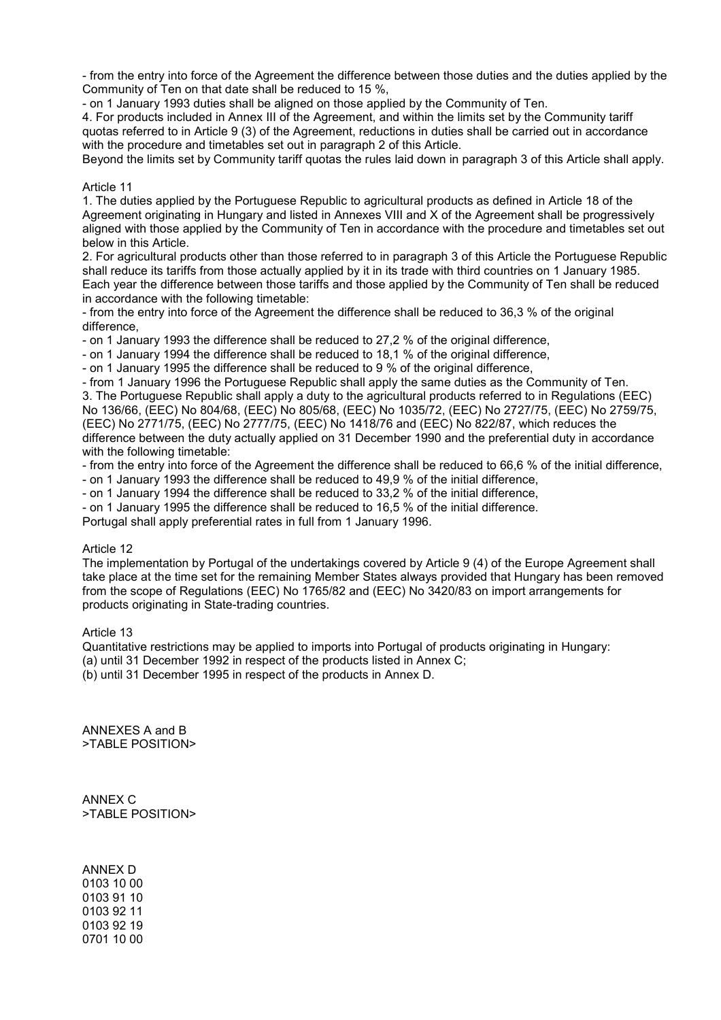- from the entry into force of the Agreement the difference between those duties and the duties applied by the Community of Ten on that date shall be reduced to 15 %,

- on 1 January 1993 duties shall be aligned on those applied by the Community of Ten.

4. For products included in Annex III of the Agreement, and within the limits set by the Community tariff quotas referred to in Article 9 (3) of the Agreement, reductions in duties shall be carried out in accordance with the procedure and timetables set out in paragraph 2 of this Article.

Beyond the limits set by Community tariff quotas the rules laid down in paragraph 3 of this Article shall apply.

#### Article 11

1. The duties applied by the Portuguese Republic to agricultural products as defined in Article 18 of the Agreement originating in Hungary and listed in Annexes VIII and X of the Agreement shall be progressively aligned with those applied by the Community of Ten in accordance with the procedure and timetables set out below in this Article.

2. For agricultural products other than those referred to in paragraph 3 of this Article the Portuguese Republic shall reduce its tariffs from those actually applied by it in its trade with third countries on 1 January 1985. Each year the difference between those tariffs and those applied by the Community of Ten shall be reduced in accordance with the following timetable:

- from the entry into force of the Agreement the difference shall be reduced to 36,3 % of the original difference,

- on 1 January 1993 the difference shall be reduced to 27,2 % of the original difference,

- on 1 January 1994 the difference shall be reduced to 18,1 % of the original difference,

- on 1 January 1995 the difference shall be reduced to 9 % of the original difference,

- from 1 January 1996 the Portuguese Republic shall apply the same duties as the Community of Ten. 3. The Portuguese Republic shall apply a duty to the agricultural products referred to in Regulations (EEC) No 136/66, (EEC) No 804/68, (EEC) No 805/68, (EEC) No 1035/72, (EEC) No 2727/75, (EEC) No 2759/75, (EEC) No 2771/75, (EEC) No 2777/75, (EEC) No 1418/76 and (EEC) No 822/87, which reduces the difference between the duty actually applied on 31 December 1990 and the preferential duty in accordance with the following timetable:

- from the entry into force of the Agreement the difference shall be reduced to 66,6 % of the initial difference,

- on 1 January 1993 the difference shall be reduced to 49,9 % of the initial difference,

- on 1 January 1994 the difference shall be reduced to 33,2 % of the initial difference,

- on 1 January 1995 the difference shall be reduced to 16,5 % of the initial difference.

Portugal shall apply preferential rates in full from 1 January 1996.

# Article 12

The implementation by Portugal of the undertakings covered by Article 9 (4) of the Europe Agreement shall take place at the time set for the remaining Member States always provided that Hungary has been removed from the scope of Regulations (EEC) No 1765/82 and (EEC) No 3420/83 on import arrangements for products originating in State-trading countries.

#### Article 13

Quantitative restrictions may be applied to imports into Portugal of products originating in Hungary:

(a) until 31 December 1992 in respect of the products listed in Annex C;

(b) until 31 December 1995 in respect of the products in Annex D.

ANNEXES A and B >TABLE POSITION>

ANNEX C >TABLE POSITION>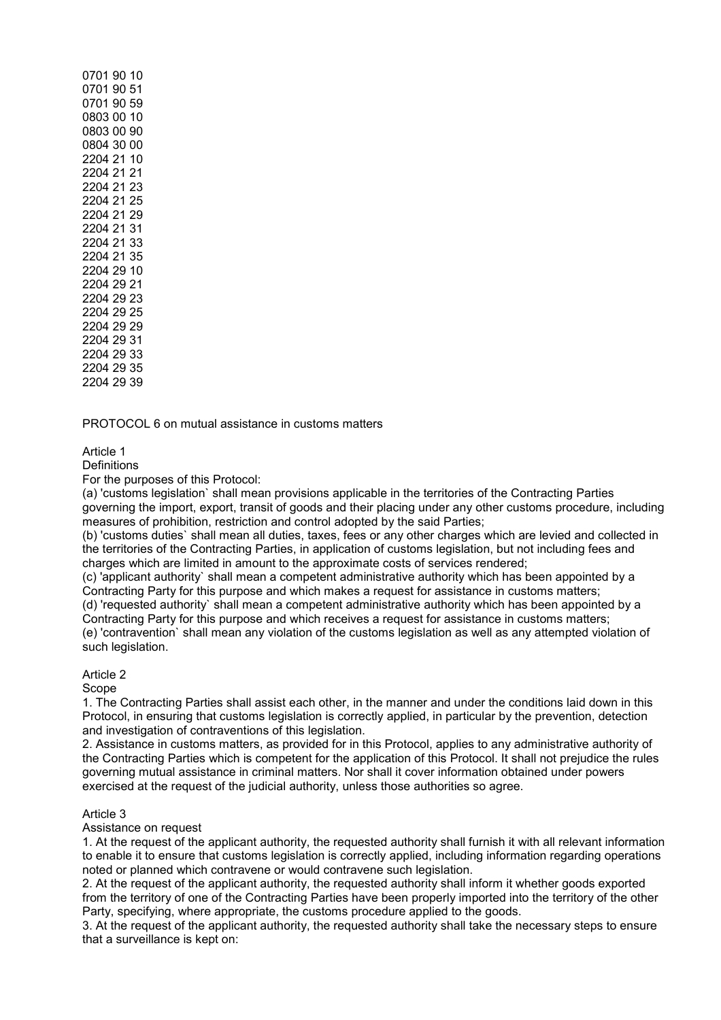PROTOCOL 6 on mutual assistance in customs matters

#### Article 1

**Definitions** 

For the purposes of this Protocol:

(a) 'customs legislation` shall mean provisions applicable in the territories of the Contracting Parties governing the import, export, transit of goods and their placing under any other customs procedure, including measures of prohibition, restriction and control adopted by the said Parties;

(b) 'customs duties` shall mean all duties, taxes, fees or any other charges which are levied and collected in the territories of the Contracting Parties, in application of customs legislation, but not including fees and charges which are limited in amount to the approximate costs of services rendered;

(c) 'applicant authority` shall mean a competent administrative authority which has been appointed by a Contracting Party for this purpose and which makes a request for assistance in customs matters;

(d) 'requested authority` shall mean a competent administrative authority which has been appointed by a Contracting Party for this purpose and which receives a request for assistance in customs matters; (e) 'contravention` shall mean any violation of the customs legislation as well as any attempted violation of such legislation.

#### Article 2

Scope

1. The Contracting Parties shall assist each other, in the manner and under the conditions laid down in this Protocol, in ensuring that customs legislation is correctly applied, in particular by the prevention, detection and investigation of contraventions of this legislation.

2. Assistance in customs matters, as provided for in this Protocol, applies to any administrative authority of the Contracting Parties which is competent for the application of this Protocol. It shall not prejudice the rules governing mutual assistance in criminal matters. Nor shall it cover information obtained under powers exercised at the request of the judicial authority, unless those authorities so agree.

# Article 3

Assistance on request

1. At the request of the applicant authority, the requested authority shall furnish it with all relevant information to enable it to ensure that customs legislation is correctly applied, including information regarding operations noted or planned which contravene or would contravene such legislation.

2. At the request of the applicant authority, the requested authority shall inform it whether goods exported from the territory of one of the Contracting Parties have been properly imported into the territory of the other Party, specifying, where appropriate, the customs procedure applied to the goods.

3. At the request of the applicant authority, the requested authority shall take the necessary steps to ensure that a surveillance is kept on: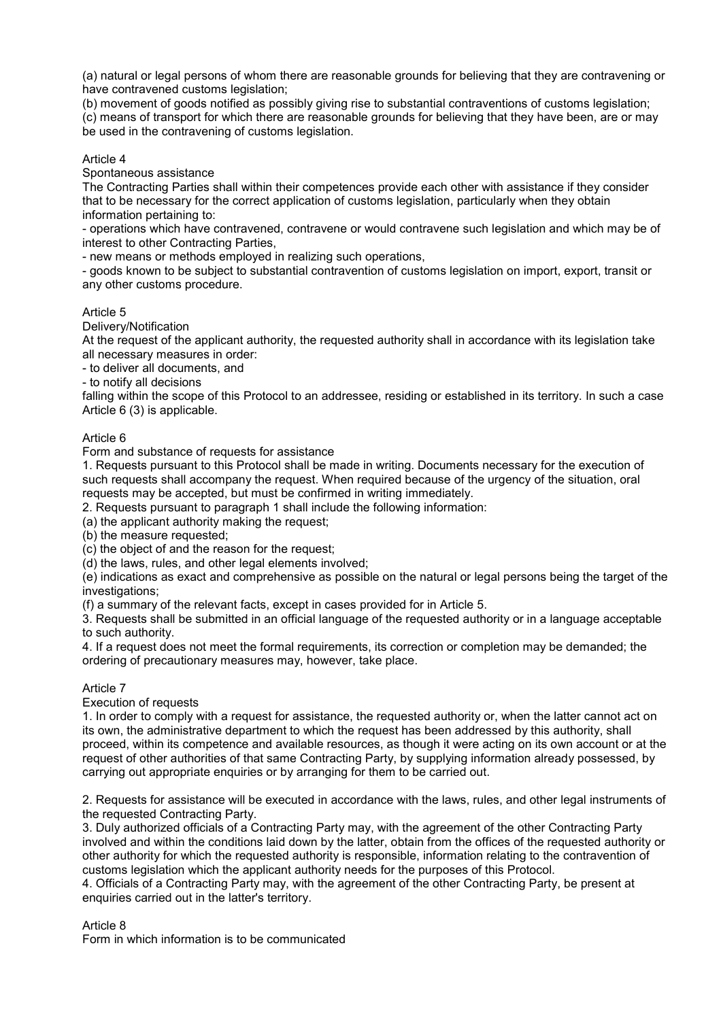(a) natural or legal persons of whom there are reasonable grounds for believing that they are contravening or have contravened customs legislation;

(b) movement of goods notified as possibly giving rise to substantial contraventions of customs legislation; (c) means of transport for which there are reasonable grounds for believing that they have been, are or may be used in the contravening of customs legislation.

# Article 4

Spontaneous assistance

The Contracting Parties shall within their competences provide each other with assistance if they consider that to be necessary for the correct application of customs legislation, particularly when they obtain information pertaining to:

- operations which have contravened, contravene or would contravene such legislation and which may be of interest to other Contracting Parties,

- new means or methods employed in realizing such operations,

- goods known to be subject to substantial contravention of customs legislation on import, export, transit or any other customs procedure.

### Article 5

Delivery/Notification

At the request of the applicant authority, the requested authority shall in accordance with its legislation take all necessary measures in order:

- to deliver all documents, and

- to notify all decisions

falling within the scope of this Protocol to an addressee, residing or established in its territory. In such a case Article 6 (3) is applicable.

### Article 6

Form and substance of requests for assistance

1. Requests pursuant to this Protocol shall be made in writing. Documents necessary for the execution of such requests shall accompany the request. When required because of the urgency of the situation, oral requests may be accepted, but must be confirmed in writing immediately.

2. Requests pursuant to paragraph 1 shall include the following information:

(a) the applicant authority making the request;

(b) the measure requested;

(c) the object of and the reason for the request;

(d) the laws, rules, and other legal elements involved;

(e) indications as exact and comprehensive as possible on the natural or legal persons being the target of the investigations:

(f) a summary of the relevant facts, except in cases provided for in Article 5.

3. Requests shall be submitted in an official language of the requested authority or in a language acceptable to such authority.

4. If a request does not meet the formal requirements, its correction or completion may be demanded; the ordering of precautionary measures may, however, take place.

# Article 7

Execution of requests

1. In order to comply with a request for assistance, the requested authority or, when the latter cannot act on its own, the administrative department to which the request has been addressed by this authority, shall proceed, within its competence and available resources, as though it were acting on its own account or at the request of other authorities of that same Contracting Party, by supplying information already possessed, by carrying out appropriate enquiries or by arranging for them to be carried out.

2. Requests for assistance will be executed in accordance with the laws, rules, and other legal instruments of the requested Contracting Party.

3. Duly authorized officials of a Contracting Party may, with the agreement of the other Contracting Party involved and within the conditions laid down by the latter, obtain from the offices of the requested authority or other authority for which the requested authority is responsible, information relating to the contravention of customs legislation which the applicant authority needs for the purposes of this Protocol.

4. Officials of a Contracting Party may, with the agreement of the other Contracting Party, be present at enquiries carried out in the latter's territory.

Article 8

Form in which information is to be communicated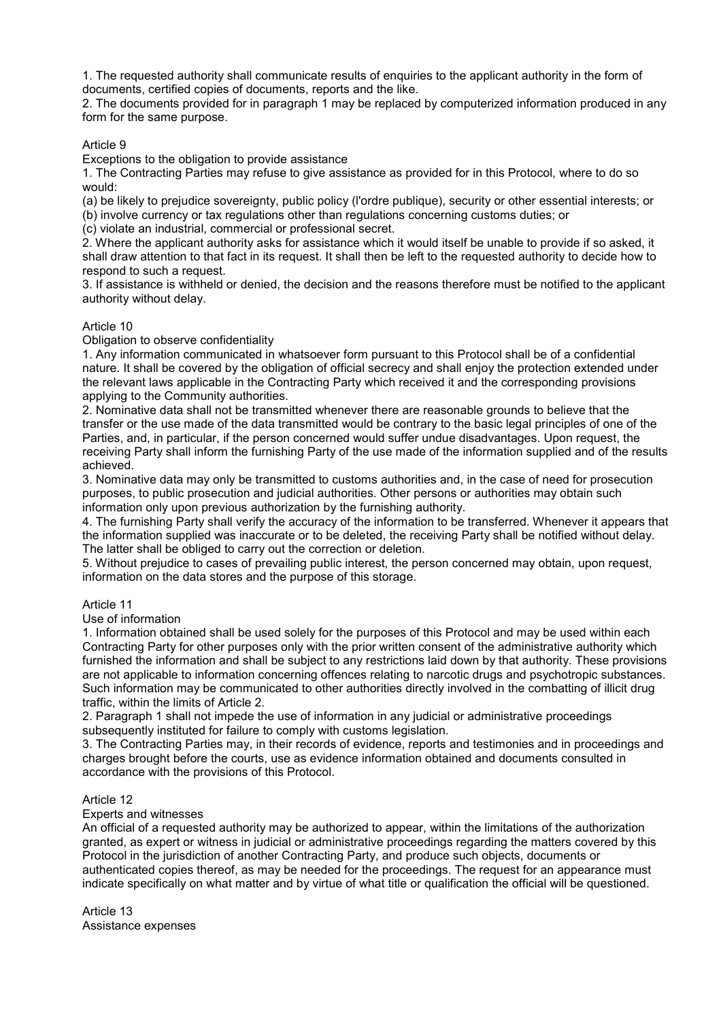1. The requested authority shall communicate results of enquiries to the applicant authority in the form of documents, certified copies of documents, reports and the like.

2. The documents provided for in paragraph 1 may be replaced by computerized information produced in any form for the same purpose.

### Article 9

Exceptions to the obligation to provide assistance

1. The Contracting Parties may refuse to give assistance as provided for in this Protocol, where to do so would:

(a) be likely to prejudice sovereignty, public policy (l'ordre publique), security or other essential interests; or (b) involve currency or tax regulations other than regulations concerning customs duties; or

(c) violate an industrial, commercial or professional secret.

2. Where the applicant authority asks for assistance which it would itself be unable to provide if so asked, it shall draw attention to that fact in its request. It shall then be left to the requested authority to decide how to respond to such a request.

3. If assistance is withheld or denied, the decision and the reasons therefore must be notified to the applicant authority without delay.

# Article 10

Obligation to observe confidentiality

1. Any information communicated in whatsoever form pursuant to this Protocol shall be of a confidential nature. It shall be covered by the obligation of official secrecy and shall enjoy the protection extended under the relevant laws applicable in the Contracting Party which received it and the corresponding provisions applying to the Community authorities.

2. Nominative data shall not be transmitted whenever there are reasonable grounds to believe that the transfer or the use made of the data transmitted would be contrary to the basic legal principles of one of the Parties, and, in particular, if the person concerned would suffer undue disadvantages. Upon request, the receiving Party shall inform the furnishing Party of the use made of the information supplied and of the results achieved.

3. Nominative data may only be transmitted to customs authorities and, in the case of need for prosecution purposes, to public prosecution and judicial authorities. Other persons or authorities may obtain such information only upon previous authorization by the furnishing authority.

4. The furnishing Party shall verify the accuracy of the information to be transferred. Whenever it appears that the information supplied was inaccurate or to be deleted, the receiving Party shall be notified without delay. The latter shall be obliged to carry out the correction or deletion.

5. Without prejudice to cases of prevailing public interest, the person concerned may obtain, upon request, information on the data stores and the purpose of this storage.

# Article 11

Use of information

1. Information obtained shall be used solely for the purposes of this Protocol and may be used within each Contracting Party for other purposes only with the prior written consent of the administrative authority which furnished the information and shall be subject to any restrictions laid down by that authority. These provisions are not applicable to information concerning offences relating to narcotic drugs and psychotropic substances. Such information may be communicated to other authorities directly involved in the combatting of illicit drug traffic, within the limits of Article 2.

2. Paragraph 1 shall not impede the use of information in any judicial or administrative proceedings subsequently instituted for failure to comply with customs legislation.

3. The Contracting Parties may, in their records of evidence, reports and testimonies and in proceedings and charges brought before the courts, use as evidence information obtained and documents consulted in accordance with the provisions of this Protocol.

#### Article 12

Experts and witnesses

An official of a requested authority may be authorized to appear, within the limitations of the authorization granted, as expert or witness in judicial or administrative proceedings regarding the matters covered by this Protocol in the jurisdiction of another Contracting Party, and produce such objects, documents or authenticated copies thereof, as may be needed for the proceedings. The request for an appearance must indicate specifically on what matter and by virtue of what title or qualification the official will be questioned.

Article 13 Assistance expenses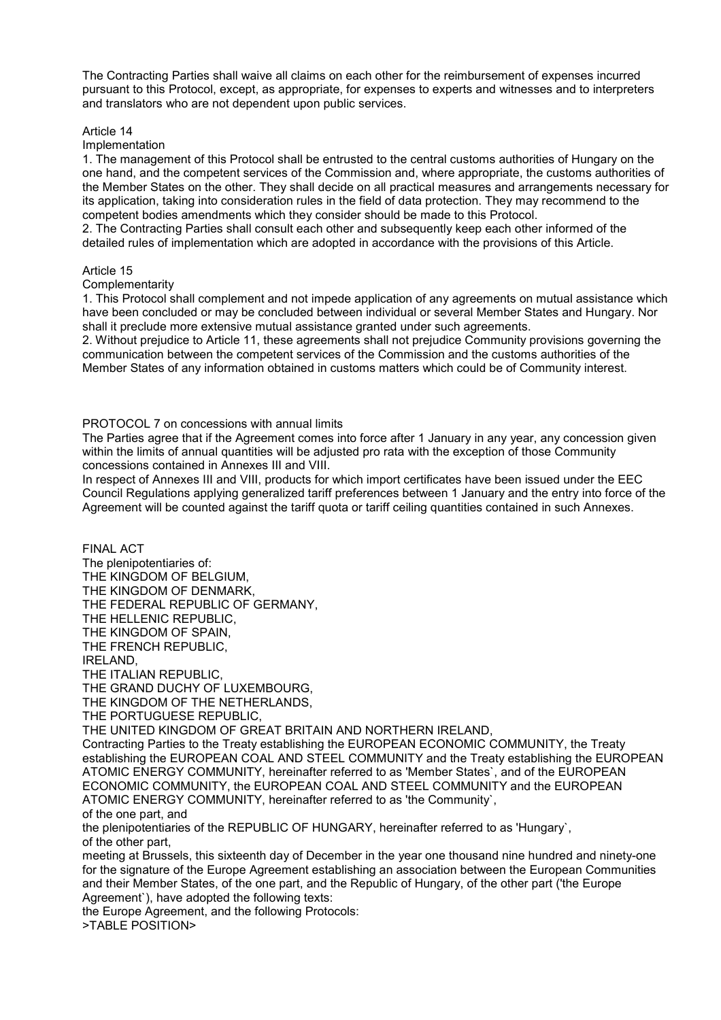The Contracting Parties shall waive all claims on each other for the reimbursement of expenses incurred pursuant to this Protocol, except, as appropriate, for expenses to experts and witnesses and to interpreters and translators who are not dependent upon public services.

#### Article 14

#### Implementation

1. The management of this Protocol shall be entrusted to the central customs authorities of Hungary on the one hand, and the competent services of the Commission and, where appropriate, the customs authorities of the Member States on the other. They shall decide on all practical measures and arrangements necessary for its application, taking into consideration rules in the field of data protection. They may recommend to the competent bodies amendments which they consider should be made to this Protocol.

2. The Contracting Parties shall consult each other and subsequently keep each other informed of the detailed rules of implementation which are adopted in accordance with the provisions of this Article.

#### Article 15

#### **Complementarity**

1. This Protocol shall complement and not impede application of any agreements on mutual assistance which have been concluded or may be concluded between individual or several Member States and Hungary. Nor shall it preclude more extensive mutual assistance granted under such agreements.

2. Without prejudice to Article 11, these agreements shall not prejudice Community provisions governing the communication between the competent services of the Commission and the customs authorities of the Member States of any information obtained in customs matters which could be of Community interest.

#### PROTOCOL 7 on concessions with annual limits

The Parties agree that if the Agreement comes into force after 1 January in any year, any concession given within the limits of annual quantities will be adjusted pro rata with the exception of those Community concessions contained in Annexes III and VIII.

In respect of Annexes III and VIII, products for which import certificates have been issued under the EEC Council Regulations applying generalized tariff preferences between 1 January and the entry into force of the Agreement will be counted against the tariff quota or tariff ceiling quantities contained in such Annexes.

FINAL ACT The plenipotentiaries of: THE KINGDOM OF BELGIUM, THE KINGDOM OF DENMARK, THE FEDERAL REPUBLIC OF GERMANY, THE HELLENIC REPUBLIC, THE KINGDOM OF SPAIN, THE FRENCH REPUBLIC, IRELAND, THE ITALIAN REPUBLIC, THE GRAND DUCHY OF LUXEMBOURG, THE KINGDOM OF THE NETHERLANDS, THE PORTUGUESE REPUBLIC, THE UNITED KINGDOM OF GREAT BRITAIN AND NORTHERN IRELAND, Contracting Parties to the Treaty establishing the EUROPEAN ECONOMIC COMMUNITY, the Treaty establishing the EUROPEAN COAL AND STEEL COMMUNITY and the Treaty establishing the EUROPEAN ATOMIC ENERGY COMMUNITY, hereinafter referred to as 'Member States`, and of the EUROPEAN ECONOMIC COMMUNITY, the EUROPEAN COAL AND STEEL COMMUNITY and the EUROPEAN ATOMIC ENERGY COMMUNITY, hereinafter referred to as 'the Community`, of the one part, and the plenipotentiaries of the REPUBLIC OF HUNGARY, hereinafter referred to as 'Hungary`, of the other part, meeting at Brussels, this sixteenth day of December in the year one thousand nine hundred and ninety-one

for the signature of the Europe Agreement establishing an association between the European Communities and their Member States, of the one part, and the Republic of Hungary, of the other part ('the Europe Agreement`), have adopted the following texts:

the Europe Agreement, and the following Protocols:

>TABLE POSITION>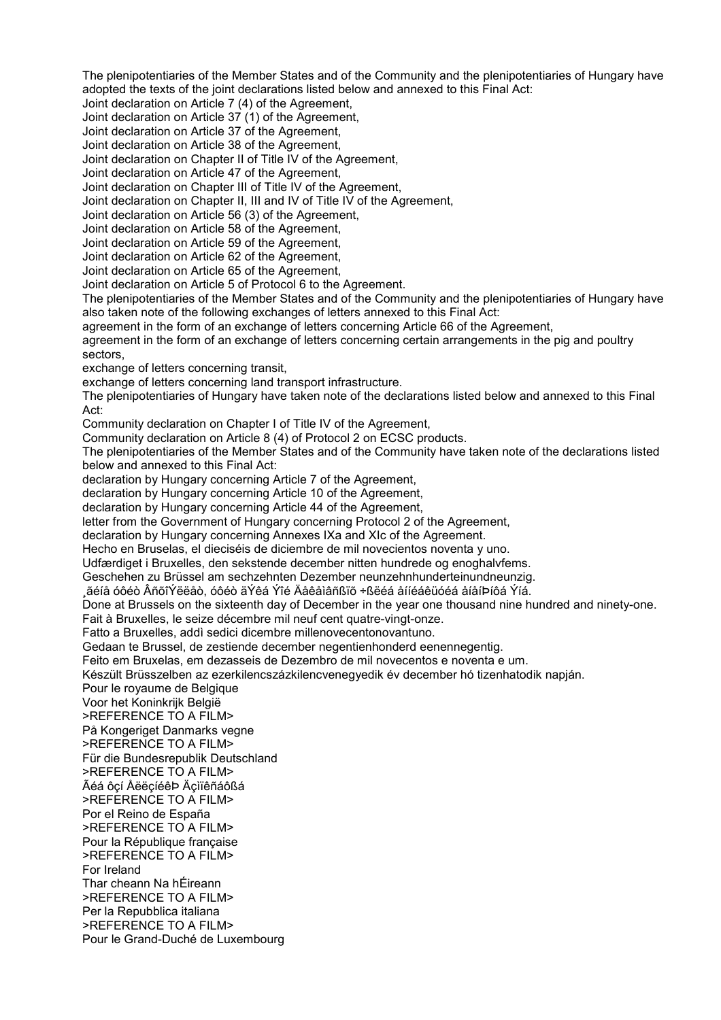The plenipotentiaries of the Member States and of the Community and the plenipotentiaries of Hungary have adopted the texts of the joint declarations listed below and annexed to this Final Act:

Joint declaration on Article 7 (4) of the Agreement,

Joint declaration on Article 37 (1) of the Agreement,

Joint declaration on Article 37 of the Agreement,

Joint declaration on Article 38 of the Agreement,

Joint declaration on Chapter II of Title IV of the Agreement,

Joint declaration on Article 47 of the Agreement,

Joint declaration on Chapter III of Title IV of the Agreement,

Joint declaration on Chapter II, III and IV of Title IV of the Agreement,

Joint declaration on Article 56 (3) of the Agreement,

Joint declaration on Article 58 of the Agreement,

Joint declaration on Article 59 of the Agreement,

Joint declaration on Article 62 of the Agreement,

Joint declaration on Article 65 of the Agreement,

Joint declaration on Article 5 of Protocol 6 to the Agreement.

The plenipotentiaries of the Member States and of the Community and the plenipotentiaries of Hungary have also taken note of the following exchanges of letters annexed to this Final Act:

agreement in the form of an exchange of letters concerning Article 66 of the Agreement,

agreement in the form of an exchange of letters concerning certain arrangements in the pig and poultry sectors,

exchange of letters concerning transit,

exchange of letters concerning land transport infrastructure.

The plenipotentiaries of Hungary have taken note of the declarations listed below and annexed to this Final Act:

Community declaration on Chapter I of Title IV of the Agreement,

Community declaration on Article 8 (4) of Protocol 2 on ECSC products.

The plenipotentiaries of the Member States and of the Community have taken note of the declarations listed below and annexed to this Final Act:

declaration by Hungary concerning Article 7 of the Agreement,

declaration by Hungary concerning Article 10 of the Agreement,

declaration by Hungary concerning Article 44 of the Agreement,

letter from the Government of Hungary concerning Protocol 2 of the Agreement,

declaration by Hungary concerning Annexes IXa and XIc of the Agreement.

Hecho en Bruselas, el dieciséis de diciembre de mil novecientos noventa y uno.

Udfærdiget i Bruxelles, den sekstende december nitten hundrede og enoghalvfems.

Geschehen zu Brüssel am sechzehnten Dezember neunzehnhunderteinundneunzig.

¸ãéíå óôéò ÂñõîÝëëåò, óôéò äÝêá Ýîé Äåêåìâñßïõ ÷ßëéá åííéáêüóéá åíåíÞíôá Ýíá.

Done at Brussels on the sixteenth day of December in the year one thousand nine hundred and ninety-one.

Fait à Bruxelles, le seize décembre mil neuf cent quatre-vingt-onze.

Fatto a Bruxelles, addì sedici dicembre millenovecentonovantuno.

Gedaan te Brussel, de zestiende december negentienhonderd eenennegentig.

Feito em Bruxelas, em dezasseis de Dezembro de mil novecentos e noventa e um.

Készült Brüsszelben az ezerkilencszázkilencvenegyedik év december hó tizenhatodik napján.

Pour le royaume de Belgique Voor het Koninkrijk België >REFERENCE TO A FILM> På Kongeriget Danmarks vegne >REFERENCE TO A FILM> Für die Bundesrepublik Deutschland >REFERENCE TO A FILM> Ãéá ôçí ÅëëçíéêÞ Äçìïêñáôßá >REFERENCE TO A FILM> Por el Reino de España >REFERENCE TO A FILM>

Pour la République française

>REFERENCE TO A FILM>

For Ireland

Thar cheann Na hÉireann

>REFERENCE TO A FILM>

Per la Repubblica italiana

>REFERENCE TO A FILM>

Pour le Grand-Duché de Luxembourg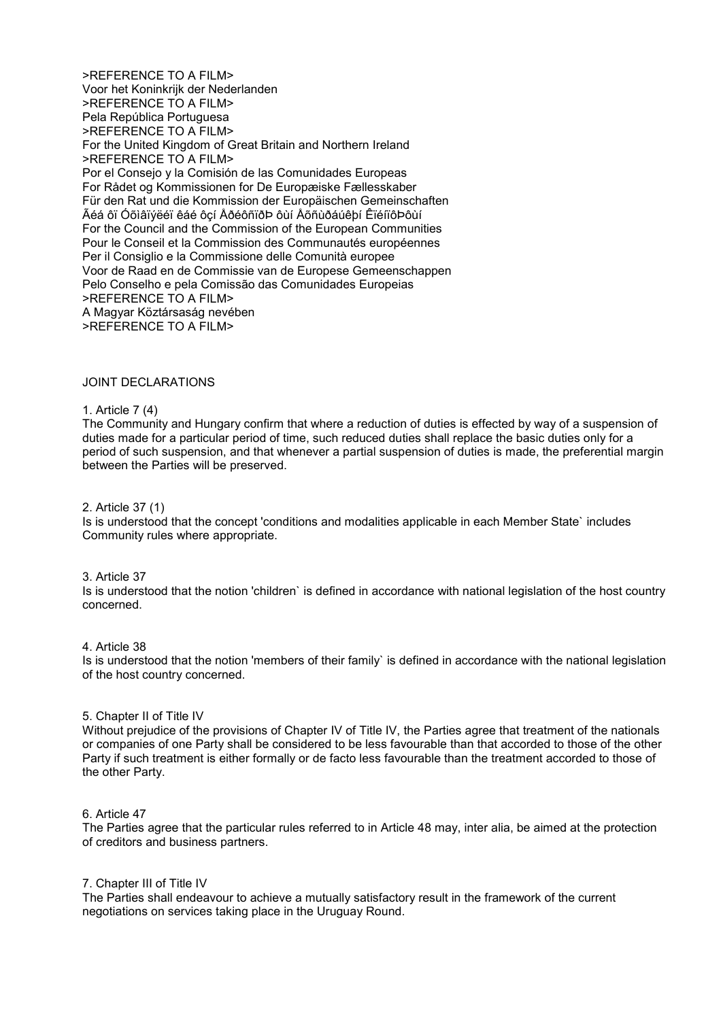>REFERENCE TO A FILM> Voor het Koninkrijk der Nederlanden >REFERENCE TO A FILM> Pela República Portuguesa >REFERENCE TO A FILM> For the United Kingdom of Great Britain and Northern Ireland >REFERENCE TO A FILM> Por el Consejo y la Comisión de las Comunidades Europeas For Rådet og Kommissionen for De Europæiske Fællesskaber Für den Rat und die Kommission der Europäischen Gemeinschaften Ãéá ôï Óõìâïýëéï êáé ôçí ÅðéôñïðÞ ôùí Åõñùðáúêþí ÊïéíïôÞôùí For the Council and the Commission of the European Communities Pour le Conseil et la Commission des Communautés européennes Per il Consiglio e la Commissione delle Comunità europee Voor de Raad en de Commissie van de Europese Gemeenschappen Pelo Conselho e pela Comissão das Comunidades Europeias >REFERENCE TO A FILM> A Magyar Köztársaság nevében >REFERENCE TO A FILM>

#### JOINT DECLARATIONS

#### 1. Article 7 (4)

The Community and Hungary confirm that where a reduction of duties is effected by way of a suspension of duties made for a particular period of time, such reduced duties shall replace the basic duties only for a period of such suspension, and that whenever a partial suspension of duties is made, the preferential margin between the Parties will be preserved.

#### 2. Article 37 (1)

Is is understood that the concept 'conditions and modalities applicable in each Member State` includes Community rules where appropriate.

#### 3. Article 37

Is is understood that the notion 'children` is defined in accordance with national legislation of the host country concerned.

#### 4. Article 38

Is is understood that the notion 'members of their family` is defined in accordance with the national legislation of the host country concerned.

#### 5. Chapter II of Title IV

Without prejudice of the provisions of Chapter IV of Title IV, the Parties agree that treatment of the nationals or companies of one Party shall be considered to be less favourable than that accorded to those of the other Party if such treatment is either formally or de facto less favourable than the treatment accorded to those of the other Party.

#### 6. Article 47

The Parties agree that the particular rules referred to in Article 48 may, inter alia, be aimed at the protection of creditors and business partners.

#### 7. Chapter III of Title IV

The Parties shall endeavour to achieve a mutually satisfactory result in the framework of the current negotiations on services taking place in the Uruguay Round.